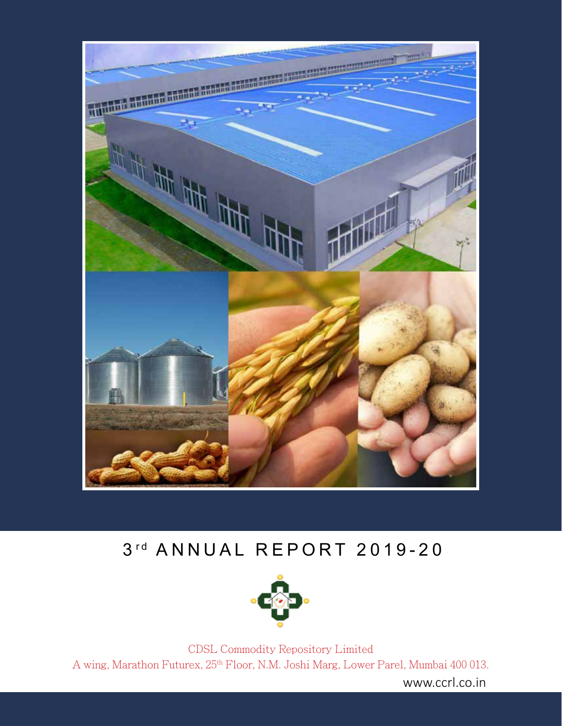

# 3rd ANNUAL REPORT 2019-20



CDSL Commodity Repository Limited A wing, Marathon Futurex, 25th Floor, N.M. Joshi Marg, Lower Parel, Mumbai 400 013.

www.ccrl.co.in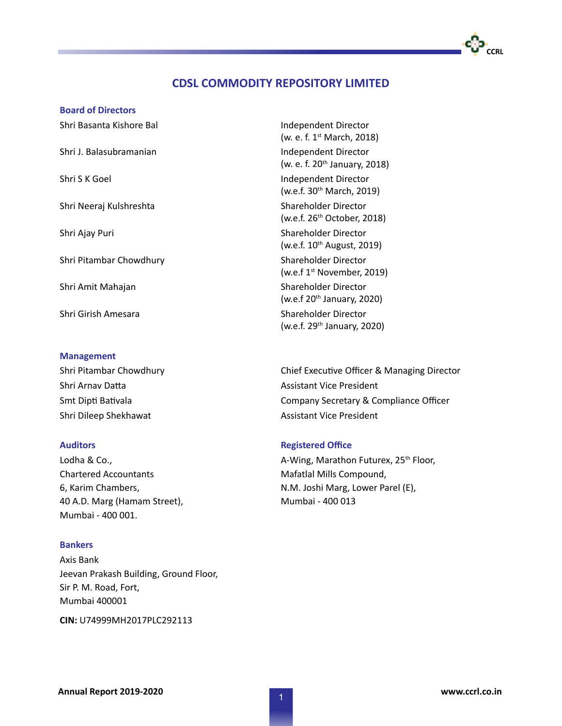#### **Board of Directors**

Shri Basanta Kishore Bal **Independent Director** Shri J. Balasubramanian **Independent Director** Shri S K Goel **Independent Director** Shri Neeraj Kulshreshta Shareholder Director Shri Ajay Puri Shareholder Director Shri Pitambar Chowdhury Shareholder Director Shri Amit Mahajan Shareholder Director Shri Girish Amesara Shareholder Director

#### **Management**

Shri Arnav Datta Assistant Vice President Shri Dileep Shekhawat Assistant Vice President

Lodha & Co., Chartered Accountants 6, Karim Chambers, 40 A.D. Marg (Hamam Street), Mumbai - 400 001.

### **Bankers**

Axis Bank Jeevan Prakash Building, Ground Floor, Sir P. M. Road, Fort, Mumbai 400001

**CIN:** U74999MH2017PLC292113

(w. e. f. 1st March, 2018) (w. e. f. 20<sup>th</sup> January, 2018) (w.e.f. 30<sup>th</sup> March, 2019) (w.e.f. 26th October, 2018) (w.e.f. 10<sup>th</sup> August, 2019) (w.e.f 1st November, 2019) (w.e.f 20<sup>th</sup> January, 2020) (w.e.f. 29<sup>th</sup> January, 2020)

Shri Pitambar Chowdhury **Chief Executive Officer & Managing Director** Chief Executive Officer & Managing Director Smt Dipti Bativala Company Secretary & Compliance Officer

#### **Auditors Registered Office**

A-Wing, Marathon Futurex, 25<sup>th</sup> Floor, Mafatlal Mills Compound, N.M. Joshi Marg, Lower Parel (E), Mumbai - 400 013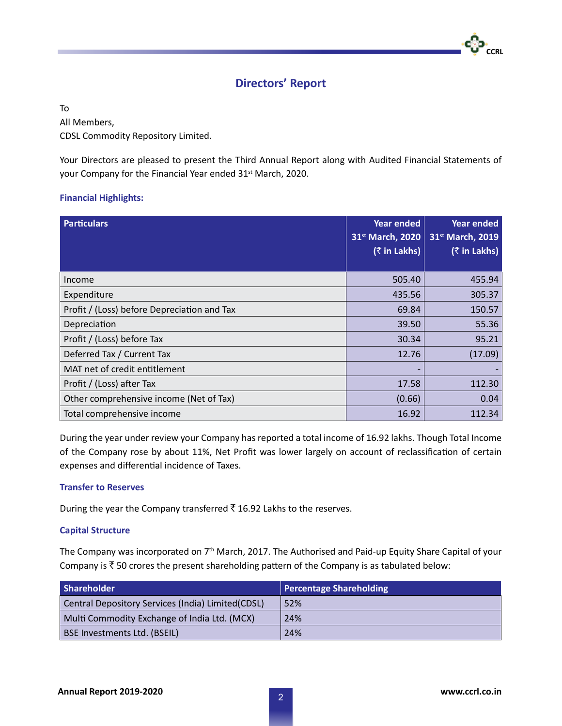## **Directors' Report**

To

### All Members,

CDSL Commodity Repository Limited.

Your Directors are pleased to present the Third Annual Report along with Audited Financial Statements of your Company for the Financial Year ended 31<sup>st</sup> March, 2020.

### **Financial Highlights:**

| <b>Particulars</b>                          | <b>Year ended</b><br>31 <sup>st</sup> March, 2020<br>$($ ₹ in Lakhs) | <b>Year ended</b><br>31st March, 2019<br>$($ ₹ in Lakhs) |
|---------------------------------------------|----------------------------------------------------------------------|----------------------------------------------------------|
| Income                                      | 505.40                                                               | 455.94                                                   |
| Expenditure                                 | 435.56                                                               | 305.37                                                   |
| Profit / (Loss) before Depreciation and Tax | 69.84                                                                | 150.57                                                   |
| Depreciation                                | 39.50                                                                | 55.36                                                    |
| Profit / (Loss) before Tax                  | 30.34                                                                | 95.21                                                    |
| Deferred Tax / Current Tax                  | 12.76                                                                | (17.09)                                                  |
| MAT net of credit entitlement               |                                                                      |                                                          |
| Profit / (Loss) after Tax                   | 17.58                                                                | 112.30                                                   |
| Other comprehensive income (Net of Tax)     | (0.66)                                                               | 0.04                                                     |
| Total comprehensive income                  | 16.92                                                                | 112.34                                                   |

During the year under review your Company has reported a total income of 16.92 lakhs. Though Total Income of the Company rose by about 11%, Net Profit was lower largely on account of reclassification of certain expenses and differential incidence of Taxes.

### **Transfer to Reserves**

During the year the Company transferred  $\bar{\tau}$  16.92 Lakhs to the reserves.

### **Capital Structure**

The Company was incorporated on 7<sup>th</sup> March, 2017. The Authorised and Paid-up Equity Share Capital of your Company is  $\bar{\tau}$  50 crores the present shareholding pattern of the Company is as tabulated below:

| Shareholder                                       | Percentage Shareholding |
|---------------------------------------------------|-------------------------|
| Central Depository Services (India) Limited(CDSL) | 52%                     |
| Multi Commodity Exchange of India Ltd. (MCX)      | 24%                     |
| <b>BSE Investments Ltd. (BSEIL)</b>               | 24%                     |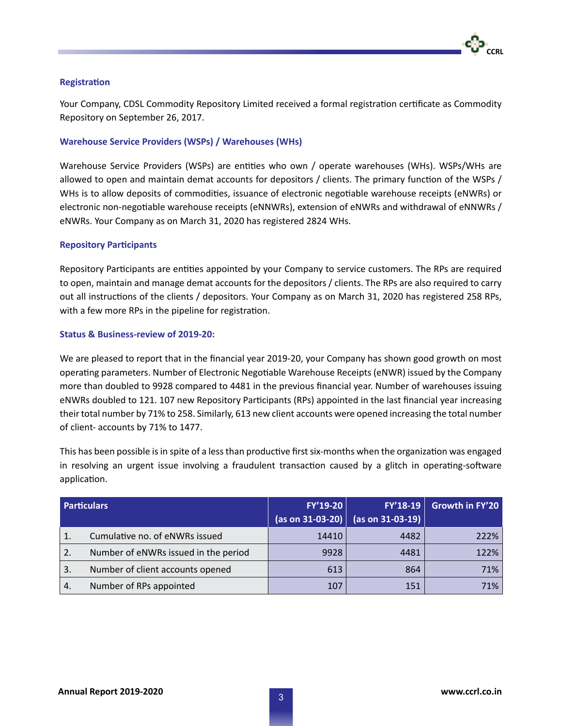#### **Registration**

Your Company, CDSL Commodity Repository Limited received a formal registration certificate as Commodity Repository on September 26, 2017.

#### **Warehouse Service Providers (WSPs) / Warehouses (WHs)**

Warehouse Service Providers (WSPs) are entities who own / operate warehouses (WHs). WSPs/WHs are allowed to open and maintain demat accounts for depositors / clients. The primary function of the WSPs / WHs is to allow deposits of commodities, issuance of electronic negotiable warehouse receipts (eNWRs) or electronic non-negotiable warehouse receipts (eNNWRs), extension of eNWRs and withdrawal of eNNWRs / eNWRs. Your Company as on March 31, 2020 has registered 2824 WHs.

#### **Repository Participants**

Repository Participants are entities appointed by your Company to service customers. The RPs are required to open, maintain and manage demat accounts for the depositors / clients. The RPs are also required to carry out all instructions of the clients / depositors. Your Company as on March 31, 2020 has registered 258 RPs, with a few more RPs in the pipeline for registration.

#### **Status & Business-review of 2019-20:**

We are pleased to report that in the financial year 2019-20, your Company has shown good growth on most operating parameters. Number of Electronic Negotiable Warehouse Receipts (eNWR) issued by the Company more than doubled to 9928 compared to 4481 in the previous financial year. Number of warehouses issuing eNWRs doubled to 121. 107 new Repository Participants (RPs) appointed in the last financial year increasing their total number by 71% to 258. Similarly, 613 new client accounts were opened increasing the total number of client- accounts by 71% to 1477.

This has been possible is in spite of a less than productive first six-months when the organization was engaged in resolving an urgent issue involving a fraudulent transaction caused by a glitch in operating-software application.

|    | <b>Particulars</b>                   | FY'19-20 | FY'18-19<br>(as on 31-03-20) $ $ (as on 31-03-19) | Growth in FY'20 |
|----|--------------------------------------|----------|---------------------------------------------------|-----------------|
|    | Cumulative no. of eNWRs issued       | 14410    | 4482                                              | 222%            |
| 2. | Number of eNWRs issued in the period | 9928     | 4481                                              | 122%            |
| 3. | Number of client accounts opened     | 613      | 864                                               | 71%             |
| 4. | Number of RPs appointed              | 107      | 151                                               | 71%             |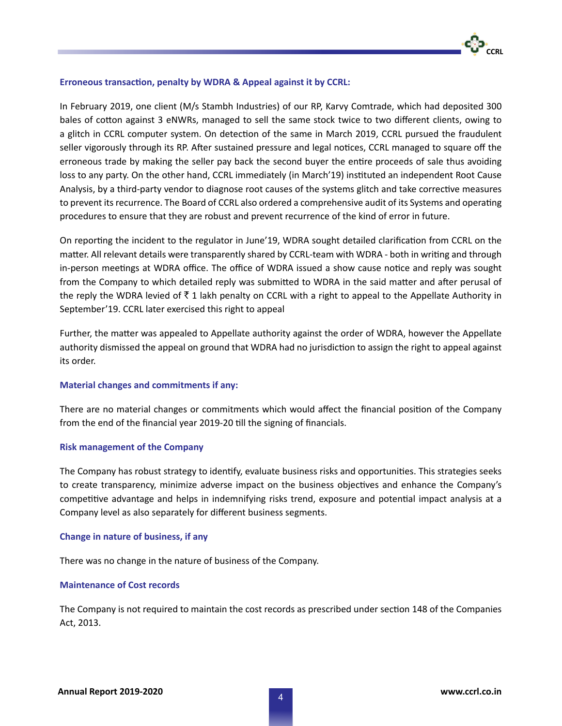#### **Erroneous transaction, penalty by WDRA & Appeal against it by CCRL:**

In February 2019, one client (M/s Stambh Industries) of our RP, Karvy Comtrade, which had deposited 300 bales of cotton against 3 eNWRs, managed to sell the same stock twice to two different clients, owing to a glitch in CCRL computer system. On detection of the same in March 2019, CCRL pursued the fraudulent seller vigorously through its RP. After sustained pressure and legal notices, CCRL managed to square off the erroneous trade by making the seller pay back the second buyer the entire proceeds of sale thus avoiding loss to any party. On the other hand, CCRL immediately (in March'19) instituted an independent Root Cause Analysis, by a third-party vendor to diagnose root causes of the systems glitch and take corrective measures to prevent its recurrence. The Board of CCRL also ordered a comprehensive audit of its Systems and operating procedures to ensure that they are robust and prevent recurrence of the kind of error in future.

On reporting the incident to the regulator in June'19, WDRA sought detailed clarification from CCRL on the matter. All relevant details were transparently shared by CCRL-team with WDRA - both in writing and through in-person meetings at WDRA office. The office of WDRA issued a show cause notice and reply was sought from the Company to which detailed reply was submitted to WDRA in the said matter and after perusal of the reply the WDRA levied of  $\bar{\tau}$  1 lakh penalty on CCRL with a right to appeal to the Appellate Authority in September'19. CCRL later exercised this right to appeal

Further, the matter was appealed to Appellate authority against the order of WDRA, however the Appellate authority dismissed the appeal on ground that WDRA had no jurisdiction to assign the right to appeal against its order.

#### **Material changes and commitments if any:**

There are no material changes or commitments which would affect the financial position of the Company from the end of the financial year 2019-20 till the signing of financials.

#### **Risk management of the Company**

The Company has robust strategy to identify, evaluate business risks and opportunities. This strategies seeks to create transparency, minimize adverse impact on the business objectives and enhance the Company's competitive advantage and helps in indemnifying risks trend, exposure and potential impact analysis at a Company level as also separately for different business segments.

#### **Change in nature of business, if any**

There was no change in the nature of business of the Company.

### **Maintenance of Cost records**

The Company is not required to maintain the cost records as prescribed under section 148 of the Companies Act, 2013.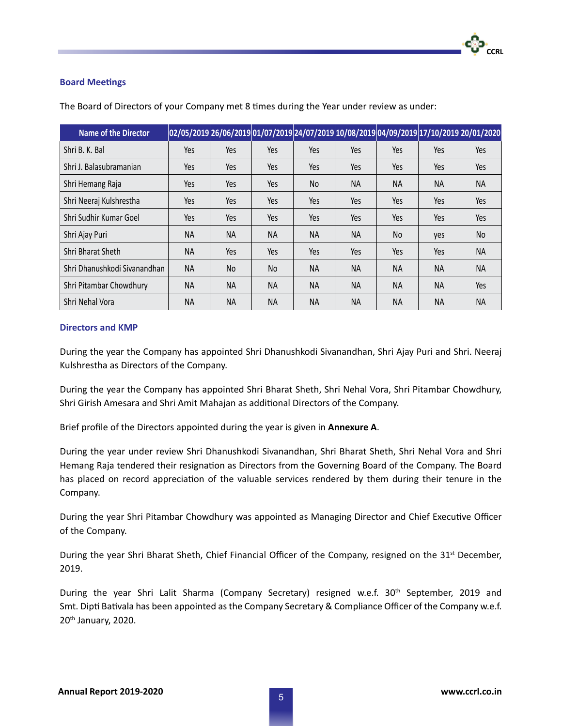### **Board Meetings**

| <b>Name of the Director</b>  |           |           |           |           |           |           |           | 02/05/2019 26/06/2019 01/07/2019 24/07/2019 10/08/2019 04/09/2019 17/10/2019 20/01/2020 |
|------------------------------|-----------|-----------|-----------|-----------|-----------|-----------|-----------|-----------------------------------------------------------------------------------------|
| Shri B. K. Bal               | Yes       | Yes       | Yes       | Yes       | Yes       | Yes       | Yes       | Yes                                                                                     |
| Shri J. Balasubramanian      | Yes       | Yes       | Yes       | Yes       | Yes       | Yes       | Yes       | Yes                                                                                     |
| Shri Hemang Raja             | Yes       | Yes       | Yes       | No        | <b>NA</b> | <b>NA</b> | <b>NA</b> | <b>NA</b>                                                                               |
| Shri Neeraj Kulshrestha      | Yes       | Yes       | Yes       | Yes       | Yes       | Yes       | Yes       | Yes                                                                                     |
| Shri Sudhir Kumar Goel       | Yes       | Yes       | Yes       | Yes       | Yes       | Yes       | Yes       | Yes                                                                                     |
| Shri Ajay Puri               | ΝA        | <b>NA</b> | NA        | <b>NA</b> | <b>NA</b> | No.       | yes       | No                                                                                      |
| Shri Bharat Sheth            | <b>NA</b> | Yes       | Yes       | Yes       | Yes       | Yes       | Yes       | <b>NA</b>                                                                               |
| Shri Dhanushkodi Sivanandhan | <b>NA</b> | No        | No        | <b>NA</b> | <b>NA</b> | <b>NA</b> | <b>NA</b> | <b>NA</b>                                                                               |
| Shri Pitambar Chowdhury      | <b>NA</b> | <b>NA</b> | <b>NA</b> | <b>NA</b> | <b>NA</b> | <b>NA</b> | <b>NA</b> | Yes                                                                                     |
| Shri Nehal Vora              | ΝA        | <b>NA</b> | <b>NA</b> | <b>NA</b> | <b>NA</b> | <b>NA</b> | <b>NA</b> | <b>NA</b>                                                                               |

The Board of Directors of your Company met 8 times during the Year under review as under:

### **Directors and KMP**

During the year the Company has appointed Shri Dhanushkodi Sivanandhan, Shri Ajay Puri and Shri. Neeraj Kulshrestha as Directors of the Company.

During the year the Company has appointed Shri Bharat Sheth, Shri Nehal Vora, Shri Pitambar Chowdhury, Shri Girish Amesara and Shri Amit Mahajan as additional Directors of the Company.

Brief profile of the Directors appointed during the year is given in **Annexure A**.

During the year under review Shri Dhanushkodi Sivanandhan, Shri Bharat Sheth, Shri Nehal Vora and Shri Hemang Raja tendered their resignation as Directors from the Governing Board of the Company. The Board has placed on record appreciation of the valuable services rendered by them during their tenure in the Company.

During the year Shri Pitambar Chowdhury was appointed as Managing Director and Chief Executive Officer of the Company.

During the year Shri Bharat Sheth, Chief Financial Officer of the Company, resigned on the 31<sup>st</sup> December, 2019.

During the year Shri Lalit Sharma (Company Secretary) resigned w.e.f. 30<sup>th</sup> September, 2019 and Smt. Dipti Bativala has been appointed as the Company Secretary & Compliance Officer of the Company w.e.f. 20th January, 2020.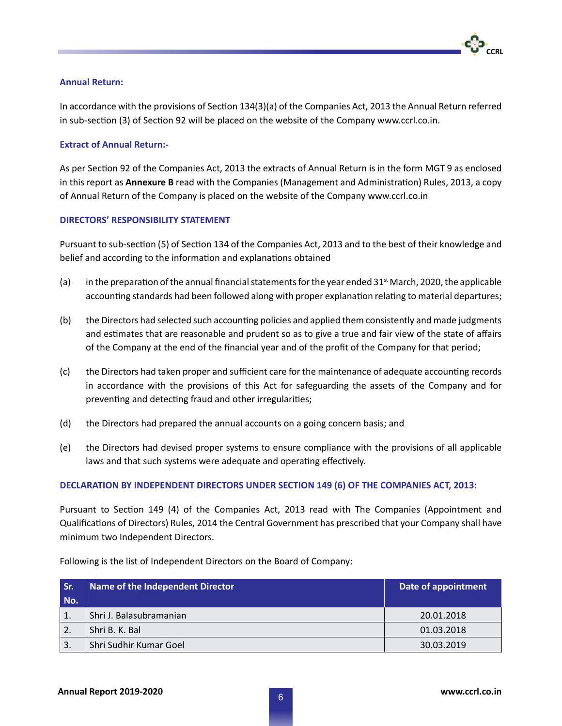# **CCRL**

### **Annual Return:**

In accordance with the provisions of Section 134(3)(a) of the Companies Act, 2013 the Annual Return referred in sub-section (3) of Section 92 will be placed on the website of the Company www.ccrl.co.in.

### **Extract of Annual Return:-**

As per Section 92 of the Companies Act, 2013 the extracts of Annual Return is in the form MGT 9 as enclosed in this report as **Annexure B** read with the Companies (Management and Administration) Rules, 2013, a copy of Annual Return of the Company is placed on the website of the Company www.ccrl.co.in

### **DIRECTORS' RESPONSIBILITY STATEMENT**

Pursuant to sub-section (5) of Section 134 of the Companies Act, 2013 and to the best of their knowledge and belief and according to the information and explanations obtained

- (a) in the preparation of the annual financial statements for the year ended 31st March, 2020, the applicable accounting standards had been followed along with proper explanation relating to material departures;
- (b) the Directors had selected such accounting policies and applied them consistently and made judgments and estimates that are reasonable and prudent so as to give a true and fair view of the state of affairs of the Company at the end of the financial year and of the profit of the Company for that period;
- (c) the Directors had taken proper and sufficient care for the maintenance of adequate accounting records in accordance with the provisions of this Act for safeguarding the assets of the Company and for preventing and detecting fraud and other irregularities;
- (d) the Directors had prepared the annual accounts on a going concern basis; and
- (e) the Directors had devised proper systems to ensure compliance with the provisions of all applicable laws and that such systems were adequate and operating effectively.

#### **DECLARATION BY INDEPENDENT DIRECTORS UNDER SECTION 149 (6) OF THE COMPANIES ACT, 2013:**

Pursuant to Section 149 (4) of the Companies Act, 2013 read with The Companies (Appointment and Qualifications of Directors) Rules, 2014 the Central Government has prescribed that your Company shall have minimum two Independent Directors.

Following is the list of Independent Directors on the Board of Company:

| Sr.<br>No. | Name of the Independent Director | Date of appointment |
|------------|----------------------------------|---------------------|
|            | Shri J. Balasubramanian          | 20.01.2018          |
|            | Shri B. K. Bal                   | 01.03.2018          |
|            | Shri Sudhir Kumar Goel           | 30.03.2019          |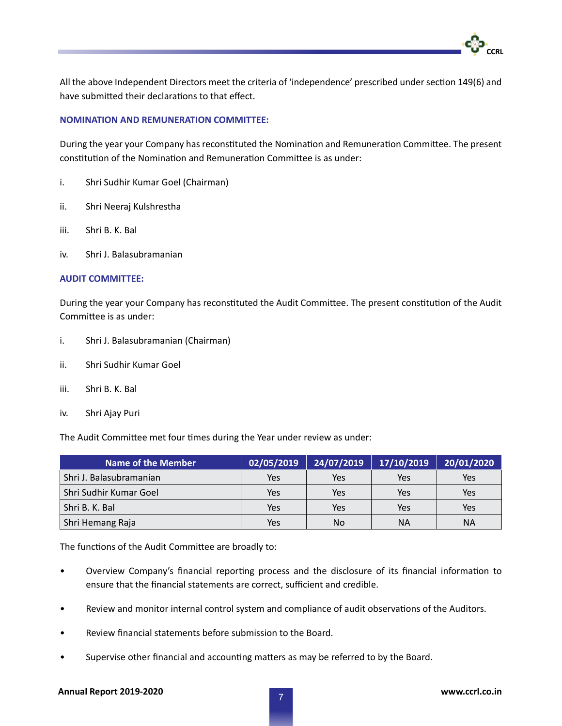All the above Independent Directors meet the criteria of 'independence' prescribed under section 149(6) and have submitted their declarations to that effect.

### **NOMINATION AND REMUNERATION COMMITTEE:**

During the year your Company has reconstituted the Nomination and Remuneration Committee. The present constitution of the Nomination and Remuneration Committee is as under:

- i. Shri Sudhir Kumar Goel (Chairman)
- ii. Shri Neeraj Kulshrestha
- iii. Shri B. K. Bal
- iv. Shri J. Balasubramanian

#### **AUDIT COMMITTEE:**

During the year your Company has reconstituted the Audit Committee. The present constitution of the Audit Committee is as under:

- i. Shri J. Balasubramanian (Chairman)
- ii. Shri Sudhir Kumar Goel
- iii. Shri B. K. Bal
- iv. Shri Ajay Puri

The Audit Committee met four times during the Year under review as under:

| Name of the Member      | 02/05/2019 | 24/07/2019 | 17/10/2019 | 20/01/2020 |
|-------------------------|------------|------------|------------|------------|
| Shri J. Balasubramanian | Yes        | Yes        | Yes        | Yes        |
| Shri Sudhir Kumar Goel  | Yes        | Yes        | Yes        | Yes        |
| Shri B. K. Bal          | Yes        | Yes        | Yes        | Yes        |
| Shri Hemang Raja        | Yes        | No         | ΝA         | ΝA         |

The functions of the Audit Committee are broadly to:

- Overview Company's financial reporting process and the disclosure of its financial information to ensure that the financial statements are correct, sufficient and credible.
- Review and monitor internal control system and compliance of audit observations of the Auditors.
- Review financial statements before submission to the Board.
- Supervise other financial and accounting matters as may be referred to by the Board.

### **Annual Report 2019-2020 www.ccrl.co.in** <sup>7</sup>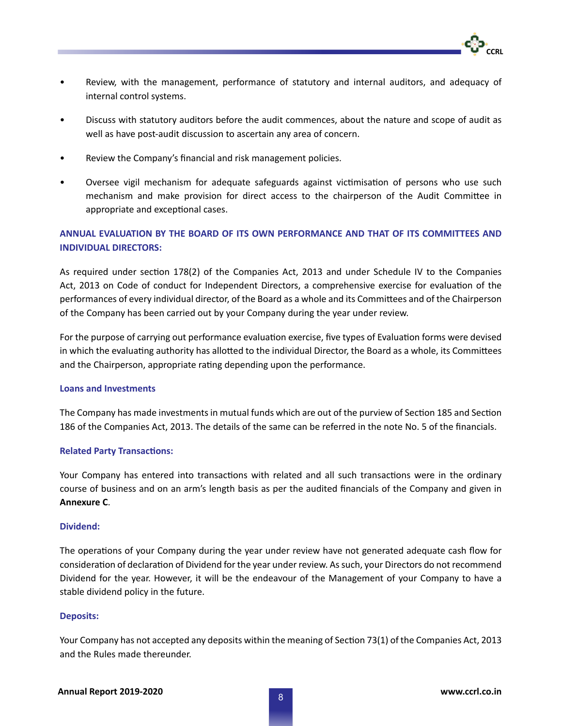- Review, with the management, performance of statutory and internal auditors, and adequacy of internal control systems.
- Discuss with statutory auditors before the audit commences, about the nature and scope of audit as well as have post-audit discussion to ascertain any area of concern.
- Review the Company's financial and risk management policies.
- Oversee vigil mechanism for adequate safeguards against victimisation of persons who use such mechanism and make provision for direct access to the chairperson of the Audit Committee in appropriate and exceptional cases.

### **ANNUAL EVALUATION BY THE BOARD OF ITS OWN PERFORMANCE AND THAT OF ITS COMMITTEES AND INDIVIDUAL DIRECTORS:**

As required under section 178(2) of the Companies Act, 2013 and under Schedule IV to the Companies Act, 2013 on Code of conduct for Independent Directors, a comprehensive exercise for evaluation of the performances of every individual director, of the Board as a whole and its Committees and of the Chairperson of the Company has been carried out by your Company during the year under review.

For the purpose of carrying out performance evaluation exercise, five types of Evaluation forms were devised in which the evaluating authority has allotted to the individual Director, the Board as a whole, its Committees and the Chairperson, appropriate rating depending upon the performance.

### **Loans and Investments**

The Company has made investments in mutual funds which are out of the purview of Section 185 and Section 186 of the Companies Act, 2013. The details of the same can be referred in the note No. 5 of the financials.

### **Related Party Transactions:**

Your Company has entered into transactions with related and all such transactions were in the ordinary course of business and on an arm's length basis as per the audited financials of the Company and given in **Annexure C**.

### **Dividend:**

The operations of your Company during the year under review have not generated adequate cash flow for consideration of declaration of Dividend for the year under review. As such, your Directors do not recommend Dividend for the year. However, it will be the endeavour of the Management of your Company to have a stable dividend policy in the future.

### **Deposits:**

Your Company has not accepted any deposits within the meaning of Section 73(1) of the Companies Act, 2013 and the Rules made thereunder.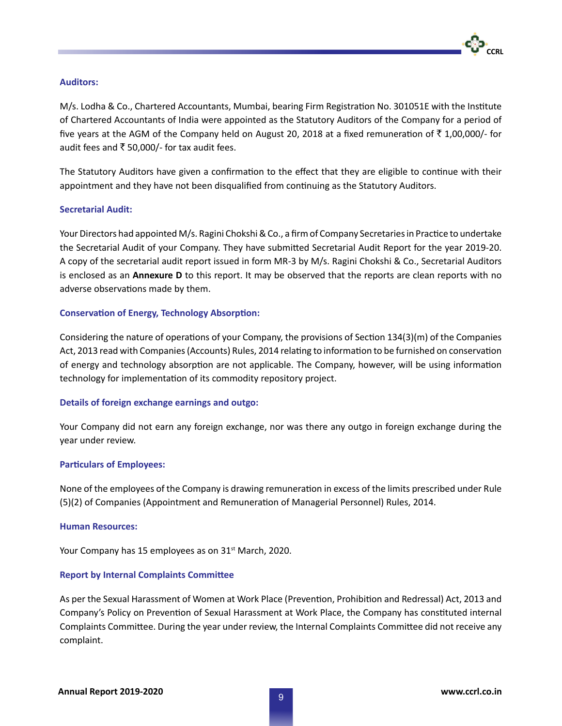

### **Auditors:**

M/s. Lodha & Co., Chartered Accountants, Mumbai, bearing Firm Registration No. 301051E with the Institute of Chartered Accountants of India were appointed as the Statutory Auditors of the Company for a period of five years at the AGM of the Company held on August 20, 2018 at a fixed remuneration of  $\bar{\tau}$  1,00,000/- for audit fees and ₹ 50,000/- for tax audit fees.

The Statutory Auditors have given a confirmation to the effect that they are eligible to continue with their appointment and they have not been disqualified from continuing as the Statutory Auditors.

### **Secretarial Audit:**

Your Directors had appointed M/s. Ragini Chokshi & Co., a firm of Company Secretaries in Practice to undertake the Secretarial Audit of your Company. They have submitted Secretarial Audit Report for the year 2019-20. A copy of the secretarial audit report issued in form MR-3 by M/s. Ragini Chokshi & Co., Secretarial Auditors is enclosed as an **Annexure D** to this report. It may be observed that the reports are clean reports with no adverse observations made by them.

### **Conservation of Energy, Technology Absorption:**

Considering the nature of operations of your Company, the provisions of Section 134(3)(m) of the Companies Act, 2013 read with Companies (Accounts) Rules, 2014 relating to information to be furnished on conservation of energy and technology absorption are not applicable. The Company, however, will be using information technology for implementation of its commodity repository project.

#### **Details of foreign exchange earnings and outgo:**

Your Company did not earn any foreign exchange, nor was there any outgo in foreign exchange during the year under review.

#### **Particulars of Employees:**

None of the employees of the Company is drawing remuneration in excess of the limits prescribed under Rule (5)(2) of Companies (Appointment and Remuneration of Managerial Personnel) Rules, 2014.

#### **Human Resources:**

Your Company has 15 employees as on 31<sup>st</sup> March, 2020.

#### **Report by Internal Complaints Committee**

As per the Sexual Harassment of Women at Work Place (Prevention, Prohibition and Redressal) Act, 2013 and Company's Policy on Prevention of Sexual Harassment at Work Place, the Company has constituted internal Complaints Committee. During the year under review, the Internal Complaints Committee did not receive any complaint.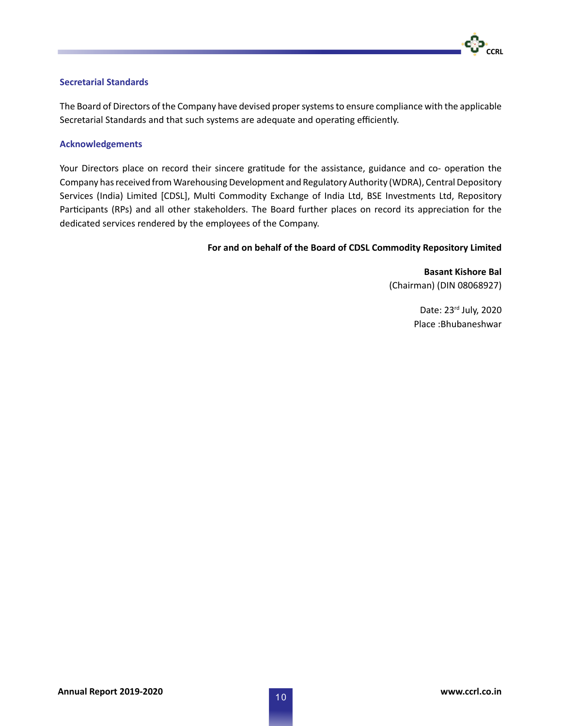### **Secretarial Standards**

The Board of Directors of the Company have devised proper systems to ensure compliance with the applicable Secretarial Standards and that such systems are adequate and operating efficiently.

#### **Acknowledgements**

Your Directors place on record their sincere gratitude for the assistance, guidance and co- operation the Company has received from Warehousing Development and Regulatory Authority (WDRA), Central Depository Services (India) Limited [CDSL], Multi Commodity Exchange of India Ltd, BSE Investments Ltd, Repository Participants (RPs) and all other stakeholders. The Board further places on record its appreciation for the dedicated services rendered by the employees of the Company.

### **For and on behalf of the Board of CDSL Commodity Repository Limited**

**Basant Kishore Bal** (Chairman) (DIN 08068927)

> Date: 23rd July, 2020 Place :Bhubaneshwar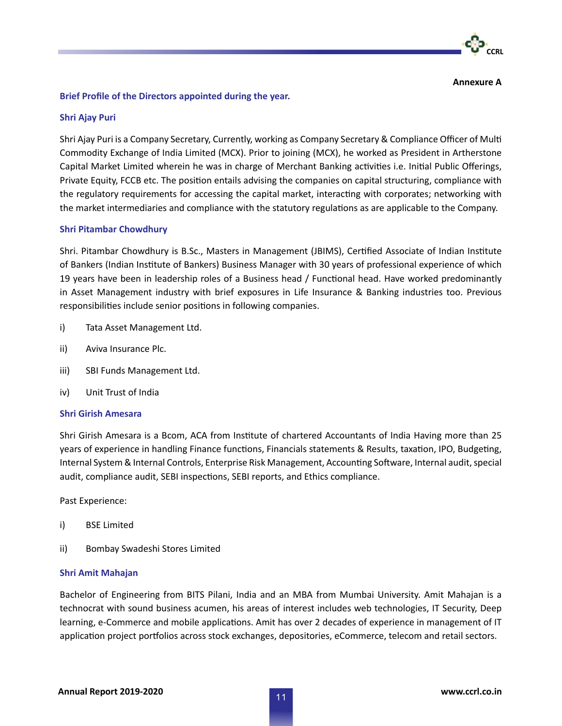

**Annexure A**

### **Brief Profile of the Directors appointed during the year.**

### **Shri Ajay Puri**

Shri Ajay Puri is a Company Secretary, Currently, working as Company Secretary & Compliance Officer of Multi Commodity Exchange of India Limited (MCX). Prior to joining (MCX), he worked as President in Artherstone Capital Market Limited wherein he was in charge of Merchant Banking activities i.e. Initial Public Offerings, Private Equity, FCCB etc. The position entails advising the companies on capital structuring, compliance with the regulatory requirements for accessing the capital market, interacting with corporates; networking with the market intermediaries and compliance with the statutory regulations as are applicable to the Company.

### **Shri Pitambar Chowdhury**

Shri. Pitambar Chowdhury is B.Sc., Masters in Management (JBIMS), Certified Associate of Indian Institute of Bankers (Indian Institute of Bankers) Business Manager with 30 years of professional experience of which 19 years have been in leadership roles of a Business head / Functional head. Have worked predominantly in Asset Management industry with brief exposures in Life Insurance & Banking industries too. Previous responsibilities include senior positions in following companies.

- i) Tata Asset Management Ltd.
- ii) Aviva Insurance Plc.
- iii) SBI Funds Management Ltd.
- iv) Unit Trust of India

#### **Shri Girish Amesara**

Shri Girish Amesara is a Bcom, ACA from Institute of chartered Accountants of India Having more than 25 years of experience in handling Finance functions, Financials statements & Results, taxation, IPO, Budgeting, Internal System & Internal Controls, Enterprise Risk Management, Accounting Software, Internal audit, special audit, compliance audit, SEBI inspections, SEBI reports, and Ethics compliance.

Past Experience:

- i) BSE Limited
- ii) Bombay Swadeshi Stores Limited

#### **Shri Amit Mahajan**

Bachelor of Engineering from BITS Pilani, India and an MBA from Mumbai University. Amit Mahajan is a technocrat with sound business acumen, his areas of interest includes web technologies, IT Security, Deep learning, e-Commerce and mobile applications. Amit has over 2 decades of experience in management of IT application project portfolios across stock exchanges, depositories, eCommerce, telecom and retail sectors.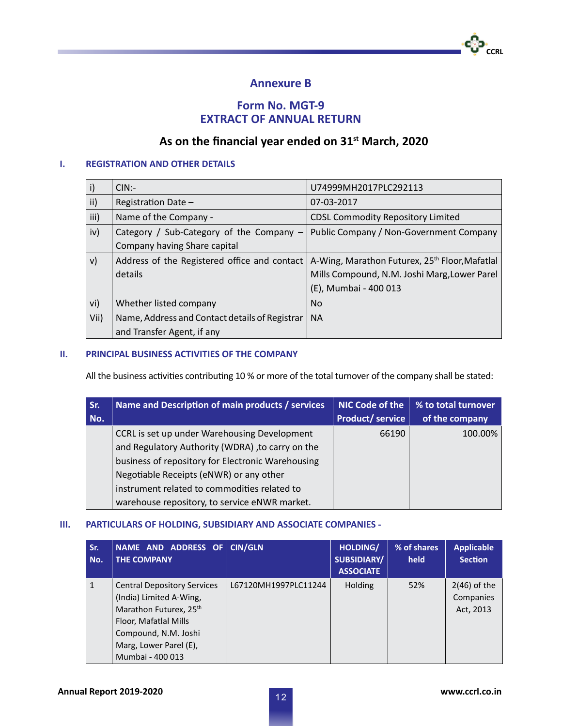

### **Form No. MGT-9 EXTRACT OF ANNUAL RETURN**

### **As on the financial year ended on 31st March, 2020**

### **I. REGISTRATION AND OTHER DETAILS**

| $\vert$ i) | $CIN$ :-                                       | U74999MH2017PLC292113                                      |
|------------|------------------------------------------------|------------------------------------------------------------|
| ii)        | Registration Date -                            | 07-03-2017                                                 |
| iii)       | Name of the Company -                          | <b>CDSL Commodity Repository Limited</b>                   |
| iv)        | Category / Sub-Category of the Company -       | Public Company / Non-Government Company                    |
|            | Company having Share capital                   |                                                            |
| V)         | Address of the Registered office and contact   | A-Wing, Marathon Futurex, 25 <sup>th</sup> Floor, Mafatlal |
|            | details                                        | Mills Compound, N.M. Joshi Marg, Lower Parel               |
|            |                                                | (E), Mumbai - 400 013                                      |
| vi)        | Whether listed company                         | <b>No</b>                                                  |
| Vii)       | Name, Address and Contact details of Registrar | <b>NA</b>                                                  |
|            | and Transfer Agent, if any                     |                                                            |

### **II. PRINCIPAL BUSINESS ACTIVITIES OF THE COMPANY**

All the business activities contributing 10 % or more of the total turnover of the company shall be stated:

| Sr. | Name and Description of main products / services  | <b>NIC Code of the</b> | % to total turnover |
|-----|---------------------------------------------------|------------------------|---------------------|
| No. |                                                   | <b>Product/service</b> | of the company      |
|     | CCRL is set up under Warehousing Development      | 66190                  | 100.00%             |
|     | and Regulatory Authority (WDRA), to carry on the  |                        |                     |
|     | business of repository for Electronic Warehousing |                        |                     |
|     | Negotiable Receipts (eNWR) or any other           |                        |                     |
|     | instrument related to commodities related to      |                        |                     |
|     | warehouse repository, to service eNWR market.     |                        |                     |

### **III. PARTICULARS OF HOLDING, SUBSIDIARY AND ASSOCIATE COMPANIES -**

| Sr.<br>No.   | NAME AND ADDRESS OF<br><b>THE COMPANY</b>                                                                                                                                              | <b>CIN/GLN</b>       | HOLDING/<br><b>SUBSIDIARY/</b><br><b>ASSOCIATE</b> | % of shares<br>held | <b>Applicable</b><br><b>Section</b>      |
|--------------|----------------------------------------------------------------------------------------------------------------------------------------------------------------------------------------|----------------------|----------------------------------------------------|---------------------|------------------------------------------|
| $\mathbf{1}$ | <b>Central Depository Services</b><br>(India) Limited A-Wing,<br>Marathon Futurex, 25th<br>Floor, Mafatlal Mills<br>Compound, N.M. Joshi<br>Marg, Lower Parel (E),<br>Mumbai - 400 013 | L67120MH1997PLC11244 | <b>Holding</b>                                     | 52%                 | $2(46)$ of the<br>Companies<br>Act, 2013 |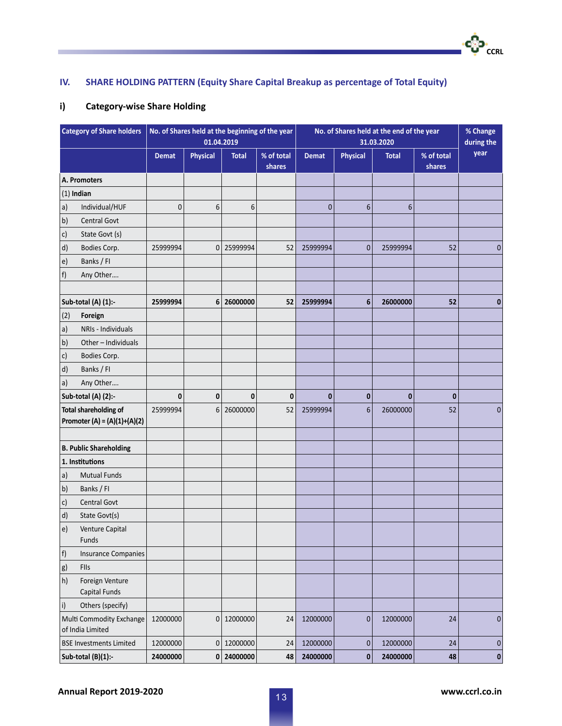### **IV. SHARE HOLDING PATTERN (Equity Share Capital Breakup as percentage of Total Equity)**

### **i) Category-wise Share Holding**

m.

| <b>Category of Share holders</b>                               |              |                 | 01.04.2019   | No. of Shares held at the beginning of the year | No. of Shares held at the end of the year<br>31.03.2020 |                 |              |                      | % Change<br>during the |
|----------------------------------------------------------------|--------------|-----------------|--------------|-------------------------------------------------|---------------------------------------------------------|-----------------|--------------|----------------------|------------------------|
|                                                                | <b>Demat</b> | <b>Physical</b> | <b>Total</b> | % of total<br>shares                            | <b>Demat</b>                                            | <b>Physical</b> | <b>Total</b> | % of total<br>shares | year                   |
| A. Promoters                                                   |              |                 |              |                                                 |                                                         |                 |              |                      |                        |
| $(1)$ Indian                                                   |              |                 |              |                                                 |                                                         |                 |              |                      |                        |
| Individual/HUF<br> a                                           | $\mathbf 0$  | 6               | 6            |                                                 | $\mathbf{0}$                                            | $6\phantom{1}6$ | 6            |                      |                        |
| $\vert b \rangle$<br><b>Central Govt</b>                       |              |                 |              |                                                 |                                                         |                 |              |                      |                        |
| State Govt (s)<br>$\mathsf{c})$                                |              |                 |              |                                                 |                                                         |                 |              |                      |                        |
| $\mathsf{d}$<br>Bodies Corp.                                   | 25999994     | $\mathbf 0$     | 25999994     | 52                                              | 25999994                                                | $\mathbf{0}$    | 25999994     | 52                   | $\mathbf{0}$           |
| Banks / FI<br>$ e\rangle$                                      |              |                 |              |                                                 |                                                         |                 |              |                      |                        |
| f <br>Any Other                                                |              |                 |              |                                                 |                                                         |                 |              |                      |                        |
| Sub-total (A) (1):-                                            | 25999994     | 6               | 26000000     | 52                                              | 25999994                                                | $6\phantom{1}$  | 26000000     | 52                   | 0                      |
| (2)<br>Foreign                                                 |              |                 |              |                                                 |                                                         |                 |              |                      |                        |
| NRIs - Individuals<br> a)                                      |              |                 |              |                                                 |                                                         |                 |              |                      |                        |
| Other - Individuals<br>  <sub>b</sub>                          |              |                 |              |                                                 |                                                         |                 |              |                      |                        |
| $\mathsf{c})$<br>Bodies Corp.                                  |              |                 |              |                                                 |                                                         |                 |              |                      |                        |
| $\vert d$<br>Banks / Fl                                        |              |                 |              |                                                 |                                                         |                 |              |                      |                        |
| a)<br>Any Other                                                |              |                 |              |                                                 |                                                         |                 |              |                      |                        |
| Sub-total (A) (2):-                                            | 0            | $\mathbf{0}$    | 0            | $\pmb{0}$                                       | $\bf{0}$                                                | $\mathbf 0$     | $\mathbf{0}$ | 0                    |                        |
| <b>Total shareholding of</b><br>Promoter (A) = $(A)(1)+(A)(2)$ | 25999994     | 6               | 26000000     | 52                                              | 25999994                                                | $6\phantom{1}6$ | 26000000     | 52                   | 0                      |
| <b>B. Public Shareholding</b>                                  |              |                 |              |                                                 |                                                         |                 |              |                      |                        |
| 1. Institutions                                                |              |                 |              |                                                 |                                                         |                 |              |                      |                        |
| <b>Mutual Funds</b><br> a)                                     |              |                 |              |                                                 |                                                         |                 |              |                      |                        |
| $\vert b \rangle$<br>Banks / Fl                                |              |                 |              |                                                 |                                                         |                 |              |                      |                        |
| Central Govt<br>$\mathsf{c})$                                  |              |                 |              |                                                 |                                                         |                 |              |                      |                        |
| $\vert d$<br>State Govt(s)                                     |              |                 |              |                                                 |                                                         |                 |              |                      |                        |
| Venture Capital<br>$\vert$ e)<br>Funds                         |              |                 |              |                                                 |                                                         |                 |              |                      |                        |
| f)<br><b>Insurance Companies</b>                               |              |                 |              |                                                 |                                                         |                 |              |                      |                        |
| g <br>FIIs                                                     |              |                 |              |                                                 |                                                         |                 |              |                      |                        |
| h)<br>Foreign Venture<br>Capital Funds                         |              |                 |              |                                                 |                                                         |                 |              |                      |                        |
| Others (specify)<br>$\vert$ i)                                 |              |                 |              |                                                 |                                                         |                 |              |                      |                        |
| Multi Commodity Exchange<br>of India Limited                   | 12000000     | $\pmb{0}$       | 12000000     | 24                                              | 12000000                                                | $\mathbf 0$     | 12000000     | 24                   | $\mathbf 0$            |
| <b>BSE Investments Limited</b>                                 | 12000000     | $\mathbf 0$     | 12000000     | 24                                              | 12000000                                                | $\pmb{0}$       | 12000000     | 24                   | $\pmb{0}$              |
| Sub-total (B)(1):-                                             | 24000000     |                 | 0 24000000   | 48                                              | 24000000                                                | $\pmb{0}$       | 24000000     | 48                   | $\pmb{0}$              |

•**င**္ပြဲ၁•<br>cc<sub>RL</sub>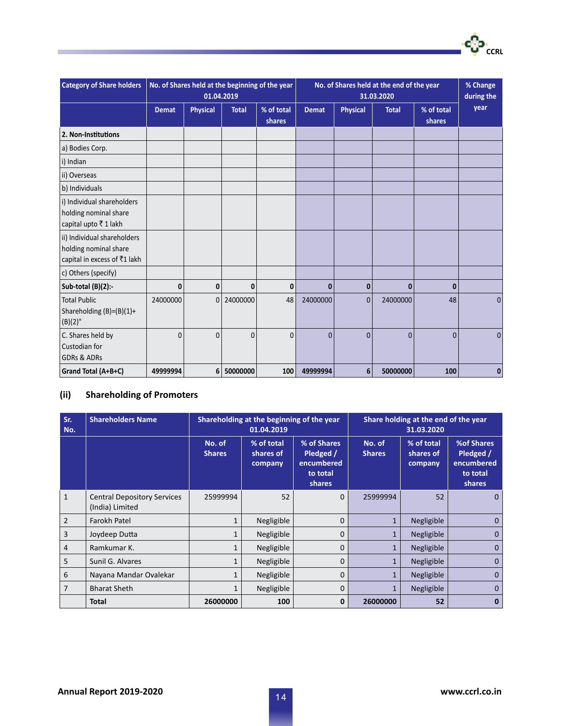| <b>Category of Share holders</b>                                                     | No. of Shares held at the beginning of the year<br>01.04.2019 |                 |              |                      | No. of Shares held at the end of the year<br>31.03.2020 |                 |              |                      | % Change<br>during the |
|--------------------------------------------------------------------------------------|---------------------------------------------------------------|-----------------|--------------|----------------------|---------------------------------------------------------|-----------------|--------------|----------------------|------------------------|
|                                                                                      | <b>Demat</b>                                                  | <b>Physical</b> | <b>Total</b> | % of total<br>shares | <b>Demat</b>                                            | <b>Physical</b> | <b>Total</b> | % of total<br>shares | year                   |
| 2. Non-Institutions                                                                  |                                                               |                 |              |                      |                                                         |                 |              |                      |                        |
| a) Bodies Corp.                                                                      |                                                               |                 |              |                      |                                                         |                 |              |                      |                        |
| i) Indian                                                                            |                                                               |                 |              |                      |                                                         |                 |              |                      |                        |
| ii) Overseas                                                                         |                                                               |                 |              |                      |                                                         |                 |              |                      |                        |
| b) Individuals                                                                       |                                                               |                 |              |                      |                                                         |                 |              |                      |                        |
| i) Individual shareholders<br>holding nominal share<br>capital upto ₹1 lakh          |                                                               |                 |              |                      |                                                         |                 |              |                      |                        |
| ii) Individual shareholders<br>holding nominal share<br>capital in excess of ₹1 lakh |                                                               |                 |              |                      |                                                         |                 |              |                      |                        |
| c) Others (specify)                                                                  |                                                               |                 |              |                      |                                                         |                 |              |                      |                        |
| Sub-total (B)(2):-                                                                   | 0                                                             | 0               | 0            | 0                    | $\bf{0}$                                                | 0               | $\mathbf{0}$ | $\bf{0}$             |                        |
| <b>Total Public</b><br>Shareholding (B)=(B)(1)+<br>$(B)(2)$ "                        | 24000000                                                      | $\mathbf 0$     | 24000000     | 48                   | 24000000                                                | $\mathbf{0}$    | 24000000     | 48                   | 0                      |
| C. Shares held by<br>Custodian for<br><b>GDRs &amp; ADRs</b>                         | $\mathbf{0}$                                                  | $\Omega$        | $\Omega$     | $\Omega$             | $\Omega$                                                | $\Omega$        | $\mathbf{0}$ | $\Omega$             | $\Omega$               |
| <b>Grand Total (A+B+C)</b>                                                           | 49999994                                                      | 6               | 50000000     | 100                  | 49999994                                                | 6               | 50000000     | 100                  | 0                      |

### **(ii) Shareholding of Promoters**

| Sr.<br>No.     | <b>Shareholders Name</b>                              |                         | Shareholding at the beginning of the year<br>01.04.2019 |                                                              |                         | Share holding at the end of the year<br>31.03.2020 |                                                             |
|----------------|-------------------------------------------------------|-------------------------|---------------------------------------------------------|--------------------------------------------------------------|-------------------------|----------------------------------------------------|-------------------------------------------------------------|
|                |                                                       | No. of<br><b>Shares</b> | % of total<br>shares of<br>company                      | % of Shares<br>Pledged /<br>encumbered<br>to total<br>shares | No. of<br><b>Shares</b> | % of total<br>shares of<br>company                 | %of Shares<br>Pledged /<br>encumbered<br>to total<br>shares |
| $\mathbf{1}$   | <b>Central Depository Services</b><br>(India) Limited | 25999994                | 52                                                      | $\mathbf{0}$                                                 | 25999994                | 52                                                 | $\mathbf{0}$                                                |
| $\overline{2}$ | Farokh Patel                                          | $\mathbf{1}$            | Negligible                                              | 0                                                            | $\mathbf{1}$            | Negligible                                         | $\mathbf{0}$                                                |
| 3              | Joydeep Dutta                                         | 1                       | Negligible                                              | $\Omega$                                                     | $\mathbf{1}$            | Negligible                                         | $\mathbf{0}$                                                |
| 4              | Ramkumar K.                                           | 1                       | Negligible                                              | 0                                                            | 1                       | Negligible                                         | $\mathbf{0}$                                                |
| 5              | Sunil G. Alvares                                      | 1                       | Negligible                                              | 0                                                            | $\mathbf{1}$            | Negligible                                         | $\Omega$                                                    |
| 6              | Nayana Mandar Ovalekar                                |                         | Negligible                                              | $\mathbf 0$                                                  | 1                       | Negligible                                         | $\mathbf{0}$                                                |
| $\overline{7}$ | <b>Bharat Sheth</b>                                   | 1                       | Negligible                                              | $\mathbf 0$                                                  | $\mathbf{1}$            | Negligible                                         | $\mathbf{0}$                                                |
|                | <b>Total</b>                                          | 26000000                | 100                                                     | 0                                                            | 26000000                | 52                                                 | 0                                                           |

·**င**္ပါ၁·<br>CCRL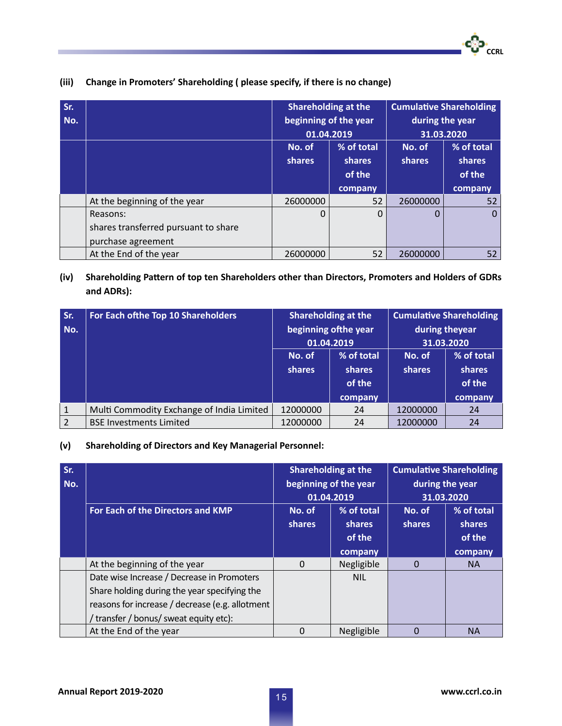| Sr.<br>No. |                                                                        | 01.04.2019              | <b>Shareholding at the</b><br>beginning of the year | <b>Cumulative Shareholding</b><br>during the year<br>31.03.2020 |                                           |  |
|------------|------------------------------------------------------------------------|-------------------------|-----------------------------------------------------|-----------------------------------------------------------------|-------------------------------------------|--|
|            |                                                                        | No. of<br><b>shares</b> | % of total<br><b>shares</b><br>of the<br>company    | No. of<br><b>shares</b>                                         | % of total<br>shares<br>of the<br>company |  |
|            | At the beginning of the year                                           | 26000000                | 52                                                  | 26000000                                                        | 52                                        |  |
|            | Reasons:<br>shares transferred pursuant to share<br>purchase agreement | 0                       | 0                                                   | 0                                                               | $\Omega$                                  |  |
|            | At the End of the year                                                 | 26000000                | 52                                                  | 26000000                                                        | 52                                        |  |

### **(iii) Change in Promoters' Shareholding ( please specify, if there is no change)**

### **(iv) Shareholding Pattern of top ten Shareholders other than Directors, Promoters and Holders of GDRs and ADRs):**

| Sr.<br>No. | For Each of the Top 10 Shareholders       | <b>Shareholding at the</b><br>beginning of the year |            | <b>Cumulative Shareholding</b><br>during theyear |            |  |
|------------|-------------------------------------------|-----------------------------------------------------|------------|--------------------------------------------------|------------|--|
|            |                                           |                                                     | 01.04.2019 |                                                  | 31.03.2020 |  |
|            |                                           |                                                     |            |                                                  |            |  |
|            |                                           | No. of                                              | % of total | No. of                                           | % of total |  |
|            |                                           | shares                                              | shares     | shares                                           | shares     |  |
|            |                                           |                                                     | of the     |                                                  | of the     |  |
|            |                                           |                                                     | company    |                                                  | company    |  |
|            | Multi Commodity Exchange of India Limited | 12000000                                            | 24         | 12000000                                         | 24         |  |
|            | <b>BSE Investments Limited</b>            | 12000000                                            | 24         | 12000000                                         | 24         |  |

### **(v) Shareholding of Directors and Key Managerial Personnel:**

| Sr.<br>No. |                                                 | <b>Shareholding at the</b><br>beginning of the year<br>01.04.2019 |               | <b>Cumulative Shareholding</b><br>during the year<br>31.03.2020 |            |
|------------|-------------------------------------------------|-------------------------------------------------------------------|---------------|-----------------------------------------------------------------|------------|
|            | For Each of the Directors and KMP               | No. of                                                            | % of total    | No. of                                                          | % of total |
|            |                                                 | shares                                                            | <b>shares</b> | shares                                                          | shares     |
|            |                                                 |                                                                   | of the        |                                                                 | of the     |
|            |                                                 |                                                                   | company       |                                                                 | company    |
|            | At the beginning of the year                    | $\Omega$                                                          | Negligible    | 0                                                               | <b>NA</b>  |
|            | Date wise Increase / Decrease in Promoters      |                                                                   | <b>NIL</b>    |                                                                 |            |
|            | Share holding during the year specifying the    |                                                                   |               |                                                                 |            |
|            | reasons for increase / decrease (e.g. allotment |                                                                   |               |                                                                 |            |
|            | / transfer / bonus/ sweat equity etc):          |                                                                   |               |                                                                 |            |
|            | At the End of the year                          | $\Omega$                                                          | Negligible    | 0                                                               | <b>NA</b>  |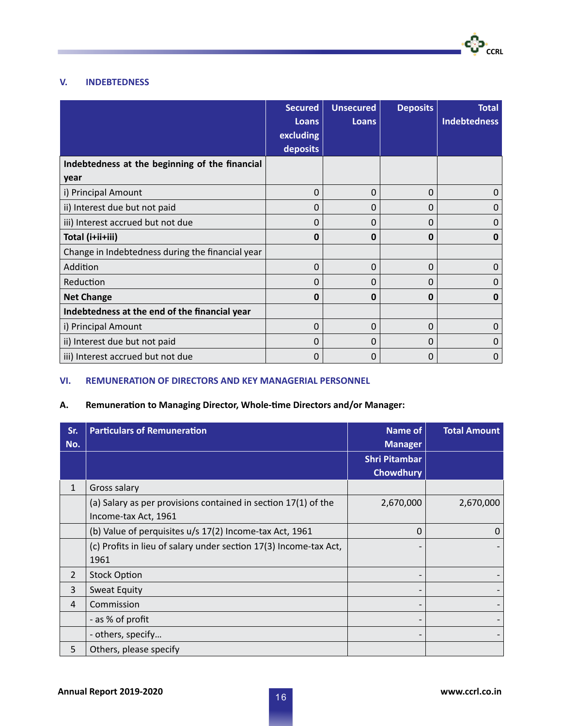

### **V. INDEBTEDNESS**

|                                                  | <b>Secured</b><br>Loans | <b>Unsecured</b><br><b>Loans</b> | <b>Deposits</b> | <b>Total</b><br><b>Indebtedness</b> |
|--------------------------------------------------|-------------------------|----------------------------------|-----------------|-------------------------------------|
|                                                  | excluding               |                                  |                 |                                     |
|                                                  | deposits                |                                  |                 |                                     |
| Indebtedness at the beginning of the financial   |                         |                                  |                 |                                     |
| year                                             |                         |                                  |                 |                                     |
| i) Principal Amount                              | 0                       | 0                                | 0               | 0                                   |
| ii) Interest due but not paid                    | 0                       | 0                                | 0               | 0                                   |
| iii) Interest accrued but not due                | 0                       | 0                                | $\Omega$        | 0                                   |
| Total (i+ii+iii)                                 | O                       | <sup>0</sup>                     | $\bf{0}$        | 0                                   |
| Change in Indebtedness during the financial year |                         |                                  |                 |                                     |
| Addition                                         | 0                       | 0                                | 0               | O                                   |
| Reduction                                        | O                       | O                                | 0               | O                                   |
| <b>Net Change</b>                                | Ω                       | 0                                | 0               | 0                                   |
| Indebtedness at the end of the financial year    |                         |                                  |                 |                                     |
| i) Principal Amount                              | 0                       | $\Omega$                         | $\Omega$        | 0                                   |
| ii) Interest due but not paid                    | 0                       | $\Omega$                         | $\Omega$        | 0                                   |
| iii) Interest accrued but not due                | 0                       | 0                                | 0               | 0                                   |

### **VI. REMUNERATION OF DIRECTORS AND KEY MANAGERIAL PERSONNEL**

### **A. Remuneration to Managing Director, Whole-time Directors and/or Manager:**

| Sr.<br>No.     | <b>Particulars of Remuneration</b>                                | <b>Name of</b><br><b>Manager</b> | <b>Total Amount</b> |
|----------------|-------------------------------------------------------------------|----------------------------------|---------------------|
|                |                                                                   | <b>Shri Pitambar</b>             |                     |
|                |                                                                   | <b>Chowdhury</b>                 |                     |
| $\mathbf{1}$   | Gross salary                                                      |                                  |                     |
|                | (a) Salary as per provisions contained in section 17(1) of the    | 2,670,000                        | 2,670,000           |
|                | Income-tax Act, 1961                                              |                                  |                     |
|                | (b) Value of perquisites u/s 17(2) Income-tax Act, 1961           | $\Omega$                         | 0                   |
|                | (c) Profits in lieu of salary under section 17(3) Income-tax Act, |                                  |                     |
|                | 1961                                                              |                                  |                     |
| $\overline{2}$ | <b>Stock Option</b>                                               |                                  |                     |
| 3              | <b>Sweat Equity</b>                                               |                                  |                     |
| 4              | Commission                                                        |                                  |                     |
|                | - as % of profit                                                  |                                  |                     |
|                | - others, specify                                                 |                                  |                     |
| 5              | Others, please specify                                            |                                  |                     |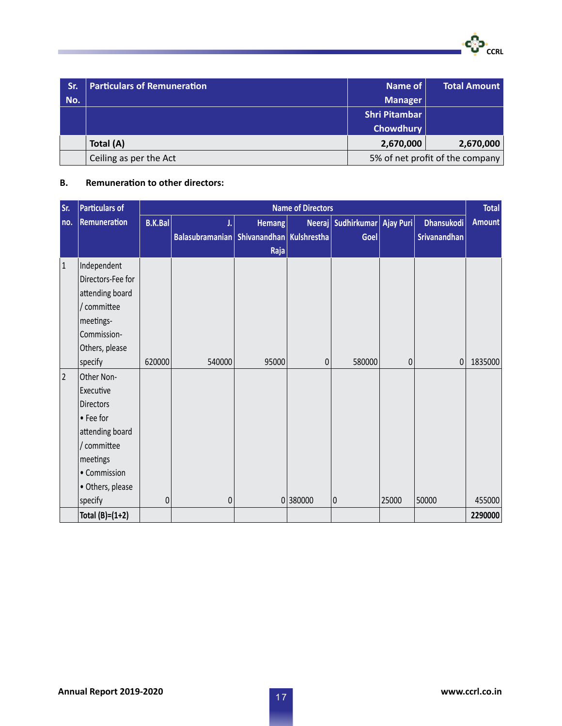**CCRL** 

| Sr. | <b>Particulars of Remuneration</b> | Name of                         | <b>Total Amount</b> |  |
|-----|------------------------------------|---------------------------------|---------------------|--|
| No. |                                    | <b>Manager</b>                  |                     |  |
|     |                                    | <b>Shri Pitambar</b>            |                     |  |
|     |                                    | <b>Chowdhury</b>                |                     |  |
|     | Total (A)                          | 2,670,000                       | 2,670,000           |  |
|     | Ceiling as per the Act             | 5% of net profit of the company |                     |  |

### **B. Remuneration to other directors:**

| Sr.            | <b>Particulars of</b>                                                                                                               | <b>Name of Directors</b> |                                                |                |         |                                      |       | <b>Total</b>                      |               |
|----------------|-------------------------------------------------------------------------------------------------------------------------------------|--------------------------|------------------------------------------------|----------------|---------|--------------------------------------|-------|-----------------------------------|---------------|
| no.            | Remuneration                                                                                                                        | B.K.Bal                  | J.<br>Balasubramanian Shivanandhan Kulshrestha | Hemang<br>Raja |         | Neeraj Sudhirkumar Ajay Puri<br>Goel |       | <b>Dhansukodi</b><br>Srivanandhan | <b>Amount</b> |
| $\vert$ 1      | Independent<br>Directors-Fee for<br>attending board<br>committee<br>meetings-<br>Commission-<br>Others, please                      |                          |                                                |                |         |                                      |       |                                   |               |
|                | specify                                                                                                                             | 620000                   | 540000                                         | 95000          | 0       | 580000                               | 0     | 0                                 | 1835000       |
| $\overline{2}$ | Other Non-<br>Executive<br>Directors<br>• Fee for<br>attending board<br>/ committee<br>meetings<br>• Commission<br>• Others, please |                          |                                                |                |         |                                      |       |                                   |               |
|                | specify                                                                                                                             | 0                        | $\pmb{0}$                                      |                | 0380000 | 0                                    | 25000 | 50000                             | 455000        |
|                | Total $(B)=(1+2)$                                                                                                                   |                          |                                                |                |         |                                      |       |                                   | 2290000       |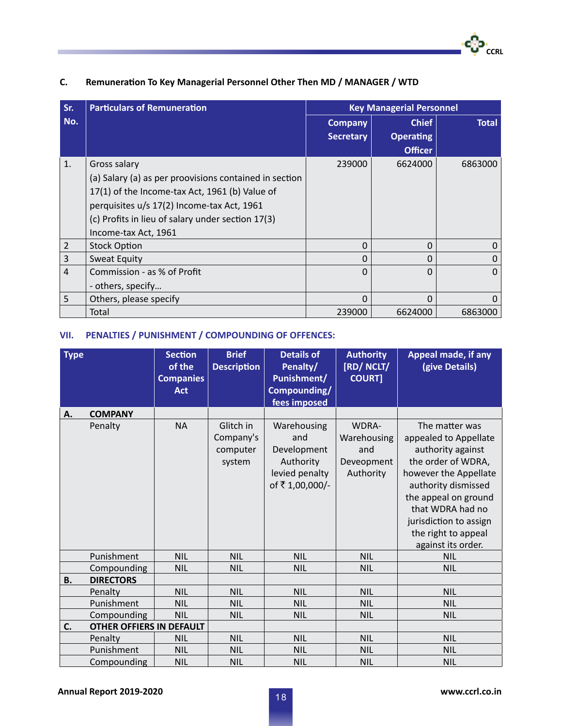| Sr.            | <b>Particulars of Remuneration</b>                                                                                                                                                                                                                  | <b>Key Managerial Personnel</b>    |                                                    |              |  |
|----------------|-----------------------------------------------------------------------------------------------------------------------------------------------------------------------------------------------------------------------------------------------------|------------------------------------|----------------------------------------------------|--------------|--|
| No.            |                                                                                                                                                                                                                                                     | <b>Company</b><br><b>Secretary</b> | <b>Chief</b><br><b>Operating</b><br><b>Officer</b> | <b>Total</b> |  |
| 1.             | Gross salary<br>(a) Salary (a) as per proovisions contained in section<br>17(1) of the Income-tax Act, 1961 (b) Value of<br>perquisites u/s 17(2) Income-tax Act, 1961<br>(c) Profits in lieu of salary under section 17(3)<br>Income-tax Act, 1961 | 239000                             | 6624000                                            | 6863000      |  |
| $\overline{2}$ | <b>Stock Option</b>                                                                                                                                                                                                                                 | 0                                  | 0                                                  | 0            |  |
| $\mathsf{3}$   | <b>Sweat Equity</b>                                                                                                                                                                                                                                 | O                                  | 0                                                  | 0            |  |
| $\overline{4}$ | Commission - as % of Profit<br>- others, specify                                                                                                                                                                                                    | O                                  | 0                                                  | $\Omega$     |  |
| 5              | Others, please specify                                                                                                                                                                                                                              | 0                                  | 0                                                  | O            |  |
|                | Total                                                                                                                                                                                                                                               | 239000                             | 6624000                                            | 6863000      |  |

### **C. Remuneration To Key Managerial Personnel Other Then MD / MANAGER / WTD**

### **VII. PENALTIES / PUNISHMENT / COMPOUNDING OF OFFENCES:**

| <b>Type</b> |                                 | <b>Section</b><br>of the<br><b>Companies</b><br><b>Act</b> | <b>Brief</b><br><b>Description</b>           | <b>Details of</b><br>Penalty/<br><b>Punishment/</b><br>Compounding/<br>fees imposed | <b>Authority</b><br>[RD/NCLT/<br><b>COURT]</b>         | Appeal made, if any<br>(give Details)                                                                                                                                                                                                                 |
|-------------|---------------------------------|------------------------------------------------------------|----------------------------------------------|-------------------------------------------------------------------------------------|--------------------------------------------------------|-------------------------------------------------------------------------------------------------------------------------------------------------------------------------------------------------------------------------------------------------------|
| Α.          | <b>COMPANY</b>                  |                                                            |                                              |                                                                                     |                                                        |                                                                                                                                                                                                                                                       |
|             | Penalty                         | <b>NA</b>                                                  | Glitch in<br>Company's<br>computer<br>system | Warehousing<br>and<br>Development<br>Authority<br>levied penalty<br>of ₹1,00,000/-  | WDRA-<br>Warehousing<br>and<br>Deveopment<br>Authority | The matter was<br>appealed to Appellate<br>authority against<br>the order of WDRA,<br>however the Appellate<br>authority dismissed<br>the appeal on ground<br>that WDRA had no<br>jurisdiction to assign<br>the right to appeal<br>against its order. |
|             | Punishment                      | <b>NIL</b>                                                 | <b>NIL</b>                                   | <b>NIL</b>                                                                          | <b>NIL</b>                                             | <b>NIL</b>                                                                                                                                                                                                                                            |
|             | Compounding                     | <b>NIL</b>                                                 | <b>NIL</b>                                   | <b>NIL</b>                                                                          | <b>NIL</b>                                             | <b>NIL</b>                                                                                                                                                                                                                                            |
| <b>B.</b>   | <b>DIRECTORS</b>                |                                                            |                                              |                                                                                     |                                                        |                                                                                                                                                                                                                                                       |
|             | Penalty                         | <b>NIL</b>                                                 | <b>NIL</b>                                   | <b>NIL</b>                                                                          | <b>NIL</b>                                             | <b>NIL</b>                                                                                                                                                                                                                                            |
|             | Punishment                      | <b>NIL</b>                                                 | <b>NIL</b>                                   | <b>NIL</b>                                                                          | <b>NIL</b>                                             | <b>NIL</b>                                                                                                                                                                                                                                            |
|             | Compounding                     | <b>NIL</b>                                                 | <b>NIL</b>                                   | <b>NIL</b>                                                                          | <b>NIL</b>                                             | <b>NIL</b>                                                                                                                                                                                                                                            |
| C.          | <b>OTHER OFFIERS IN DEFAULT</b> |                                                            |                                              |                                                                                     |                                                        |                                                                                                                                                                                                                                                       |
|             | Penalty                         | <b>NIL</b>                                                 | <b>NIL</b>                                   | <b>NIL</b>                                                                          | <b>NIL</b>                                             | <b>NIL</b>                                                                                                                                                                                                                                            |
|             | Punishment                      | <b>NIL</b>                                                 | <b>NIL</b>                                   | <b>NIL</b>                                                                          | <b>NIL</b>                                             | <b>NIL</b>                                                                                                                                                                                                                                            |
|             | Compounding                     | <b>NIL</b>                                                 | <b>NIL</b>                                   | <b>NIL</b>                                                                          | <b>NIL</b>                                             | <b>NIL</b>                                                                                                                                                                                                                                            |

**CCRL** 

-လေ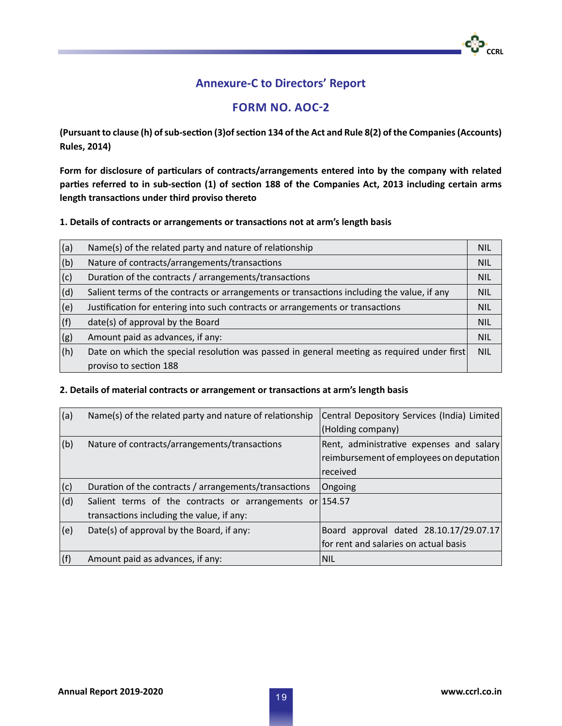## **Annexure-C to Directors' Report**

### **Form No. AOC-2**

**(Pursuant to clause (h) of sub-section (3)of section 134 of the Act and Rule 8(2) of the Companies (Accounts) Rules, 2014)**

**Form for disclosure of particulars of contracts/arrangements entered into by the company with related parties referred to in sub-section (1) of section 188 of the Companies Act, 2013 including certain arms length transactions under third proviso thereto**

**1. Details of contracts or arrangements or transactions not at arm's length basis**

| (a)            | Name(s) of the related party and nature of relationship                                    | <b>NIL</b> |
|----------------|--------------------------------------------------------------------------------------------|------------|
| (b)            | Nature of contracts/arrangements/transactions                                              | <b>NIL</b> |
| (c)            | Duration of the contracts / arrangements/transactions                                      | <b>NIL</b> |
| d              | Salient terms of the contracts or arrangements or transactions including the value, if any | <b>NIL</b> |
| (e)            | Justification for entering into such contracts or arrangements or transactions             | <b>NIL</b> |
| (f)            | date(s) of approval by the Board                                                           | <b>NIL</b> |
| <sub>(g)</sub> | Amount paid as advances, if any:                                                           | <b>NIL</b> |
| (h)            | Date on which the special resolution was passed in general meeting as required under first | <b>NIL</b> |
|                | proviso to section 188                                                                     |            |

### **2. Details of material contracts or arrangement or transactions at arm's length basis**

| (a) | Name(s) of the related party and nature of relationship                                                   | Central Depository Services (India) Limited<br>(Holding company)                                                |
|-----|-----------------------------------------------------------------------------------------------------------|-----------------------------------------------------------------------------------------------------------------|
| (b) | Nature of contracts/arrangements/transactions                                                             | Rent, administrative expenses and salary<br>$ $ reimbursement of employees on deputation $ $<br><i>received</i> |
| (c) | Duration of the contracts / arrangements/transactions                                                     | Ongoing                                                                                                         |
| (d) | Salient terms of the contracts or arrangements or $ 154.57 $<br>transactions including the value, if any: |                                                                                                                 |
| (e) | Date(s) of approval by the Board, if any:                                                                 | Board approval dated 28.10.17/29.07.17<br>for rent and salaries on actual basis                                 |
| (f) | Amount paid as advances, if any:                                                                          | NIL                                                                                                             |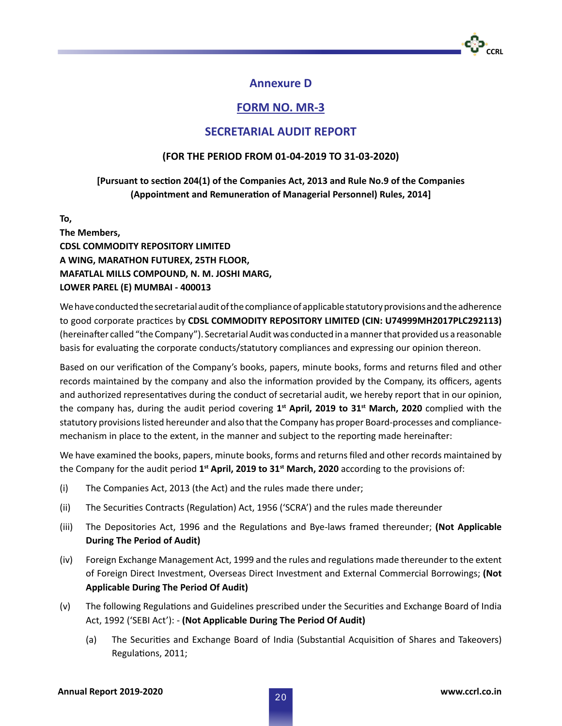

### **Annexure D**

### **FORM NO. MR-3**

### **SECRETARIAL AUDIT REPORT**

### **(FOR THE PERIOD FROM 01-04-2019 TO 31-03-2020)**

### **[Pursuant to section 204(1) of the Companies Act, 2013 and Rule No.9 of the Companies (Appointment and Remuneration of Managerial Personnel) Rules, 2014]**

**To,**

**The Members, CDSL COMMODITY REPOSITORY LIMITED A WING, MARATHON FUTUREX, 25TH FLOOR, MAFATLAL MILLS COMPOUND, N. M. JOSHI MARG, LOWER PAREL (E) MUMBAI - 400013**

We have conducted the secretarial audit of the compliance of applicable statutory provisions and the adherence to good corporate practices by **CDSL COMMODITY REPOSITORY LIMITED (CIN: U74999MH2017PLC292113)**  (hereinafter called "the Company"). Secretarial Audit was conducted in a manner that provided us a reasonable basis for evaluating the corporate conducts/statutory compliances and expressing our opinion thereon.

Based on our verification of the Company's books, papers, minute books, forms and returns filed and other records maintained by the company and also the information provided by the Company, its officers, agents and authorized representatives during the conduct of secretarial audit, we hereby report that in our opinion, the company has, during the audit period covering 1<sup>st</sup> April, 2019 to 31<sup>st</sup> March, 2020 complied with the statutory provisions listed hereunder and also that the Company has proper Board-processes and compliancemechanism in place to the extent, in the manner and subject to the reporting made hereinafter:

We have examined the books, papers, minute books, forms and returns filed and other records maintained by the Company for the audit period **1st April, 2019 to 31st March, 2020** according to the provisions of:

- (i) The Companies Act, 2013 (the Act) and the rules made there under;
- (ii) The Securities Contracts (Regulation) Act, 1956 ('SCRA') and the rules made thereunder
- (iii) The Depositories Act, 1996 and the Regulations and Bye-laws framed thereunder; **(Not Applicable During The Period of Audit)**
- (iv) Foreign Exchange Management Act, 1999 and the rules and regulations made thereunder to the extent of Foreign Direct Investment, Overseas Direct Investment and External Commercial Borrowings; **(Not Applicable During The Period Of Audit)**
- (v) The following Regulations and Guidelines prescribed under the Securities and Exchange Board of India Act, 1992 ('SEBI Act'): - **(Not Applicable During The Period Of Audit)**
	- (a) The Securities and Exchange Board of India (Substantial Acquisition of Shares and Takeovers) Regulations, 2011;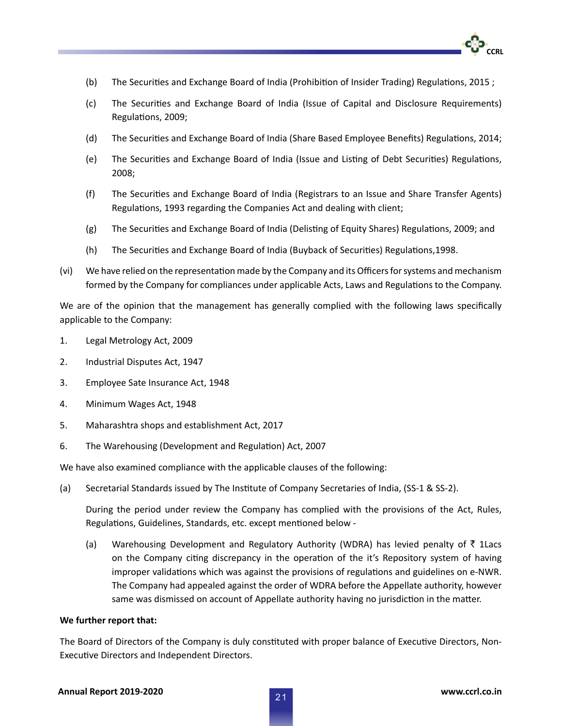- **CCRL**
- (b) The Securities and Exchange Board of India (Prohibition of Insider Trading) Regulations, 2015 ;
- (c) The Securities and Exchange Board of India (Issue of Capital and Disclosure Requirements) Regulations, 2009;
- (d) The Securities and Exchange Board of India (Share Based Employee Benefits) Regulations, 2014;
- (e) The Securities and Exchange Board of India (Issue and Listing of Debt Securities) Regulations, 2008;
- (f) The Securities and Exchange Board of India (Registrars to an Issue and Share Transfer Agents) Regulations, 1993 regarding the Companies Act and dealing with client;
- (g) The Securities and Exchange Board of India (Delisting of Equity Shares) Regulations, 2009; and
- (h) The Securities and Exchange Board of India (Buyback of Securities) Regulations,1998.
- (vi) We have relied on the representation made by the Company and its Officers for systems and mechanism formed by the Company for compliances under applicable Acts, Laws and Regulations to the Company.

We are of the opinion that the management has generally complied with the following laws specifically applicable to the Company:

- 1. Legal Metrology Act, 2009
- 2. Industrial Disputes Act, 1947
- 3. Employee Sate Insurance Act, 1948
- 4. Minimum Wages Act, 1948
- 5. Maharashtra shops and establishment Act, 2017
- 6. The Warehousing (Development and Regulation) Act, 2007

We have also examined compliance with the applicable clauses of the following:

(a) Secretarial Standards issued by The Institute of Company Secretaries of India, (SS-1 & SS-2).

During the period under review the Company has complied with the provisions of the Act, Rules, Regulations, Guidelines, Standards, etc. except mentioned below -

(a) Warehousing Development and Regulatory Authority (WDRA) has levied penalty of  $\bar{\tau}$  1Lacs on the Company citing discrepancy in the operation of the it's Repository system of having improper validations which was against the provisions of regulations and guidelines on e-NWR. The Company had appealed against the order of WDRA before the Appellate authority, however same was dismissed on account of Appellate authority having no jurisdiction in the matter.

#### **We further report that:**

The Board of Directors of the Company is duly constituted with proper balance of Executive Directors, Non-Executive Directors and Independent Directors.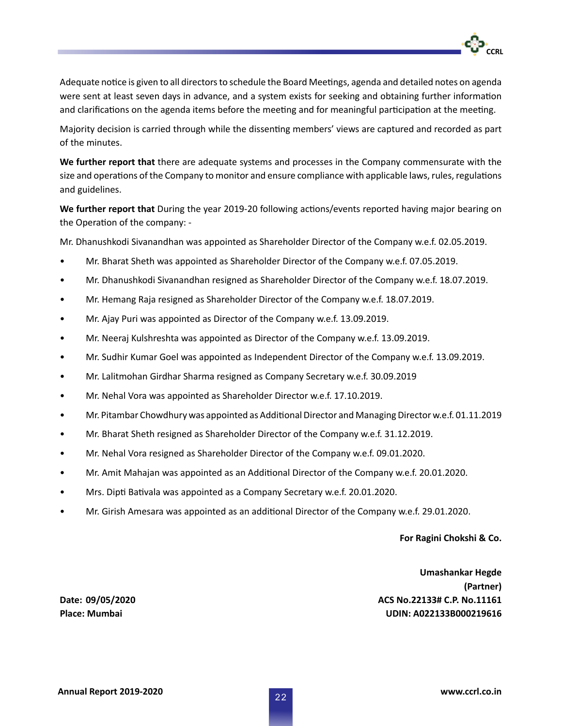Adequate notice is given to all directors to schedule the Board Meetings, agenda and detailed notes on agenda were sent at least seven days in advance, and a system exists for seeking and obtaining further information and clarifications on the agenda items before the meeting and for meaningful participation at the meeting.

Majority decision is carried through while the dissenting members' views are captured and recorded as part of the minutes.

**We further report that** there are adequate systems and processes in the Company commensurate with the size and operations of the Company to monitor and ensure compliance with applicable laws, rules, regulations and guidelines.

**We further report that** During the year 2019-20 following actions/events reported having major bearing on the Operation of the company: -

Mr. Dhanushkodi Sivanandhan was appointed as Shareholder Director of the Company w.e.f. 02.05.2019.

- Mr. Bharat Sheth was appointed as Shareholder Director of the Company w.e.f. 07.05.2019.
- Mr. Dhanushkodi Sivanandhan resigned as Shareholder Director of the Company w.e.f. 18.07.2019.
- Mr. Hemang Raja resigned as Shareholder Director of the Company w.e.f. 18.07.2019.
- Mr. Ajay Puri was appointed as Director of the Company w.e.f. 13.09.2019.
- Mr. Neeraj Kulshreshta was appointed as Director of the Company w.e.f. 13.09.2019.
- Mr. Sudhir Kumar Goel was appointed as Independent Director of the Company w.e.f. 13.09.2019.
- Mr. Lalitmohan Girdhar Sharma resigned as Company Secretary w.e.f. 30.09.2019
- Mr. Nehal Vora was appointed as Shareholder Director w.e.f. 17.10.2019.
- Mr. Pitambar Chowdhury was appointed as Additional Director and Managing Director w.e.f. 01.11.2019
- Mr. Bharat Sheth resigned as Shareholder Director of the Company w.e.f. 31.12.2019.
- Mr. Nehal Vora resigned as Shareholder Director of the Company w.e.f. 09.01.2020.
- Mr. Amit Mahajan was appointed as an Additional Director of the Company w.e.f. 20.01.2020.
- Mrs. Dipti Bativala was appointed as a Company Secretary w.e.f. 20.01.2020.
- Mr. Girish Amesara was appointed as an additional Director of the Company w.e.f. 29.01.2020.

#### **For Ragini Chokshi & Co.**

**CCRL**

 **Umashankar Hegde (Partner) Date: 09/05/2020 ACS No.22133# C.P. No.11161 Place: Mumbai UDIN: A022133B000219616**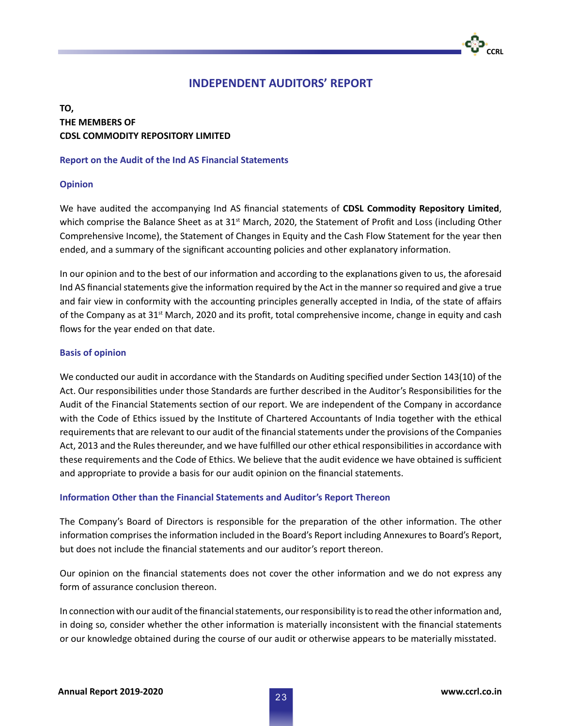### **INDEPENDENT AUDITORS' REPORT**

### **TO, THE MEMBERS OF CDSL COMMODITY REPOSITORY LIMITED**

### **Report on the Audit of the Ind AS Financial Statements**

### **Opinion**

We have audited the accompanying Ind AS financial statements of **CDSL Commodity Repository Limited**, which comprise the Balance Sheet as at  $31<sup>st</sup>$  March, 2020, the Statement of Profit and Loss (including Other Comprehensive Income), the Statement of Changes in Equity and the Cash Flow Statement for the year then ended, and a summary of the significant accounting policies and other explanatory information.

In our opinion and to the best of our information and according to the explanations given to us, the aforesaid Ind AS financial statements give the information required by the Act in the manner so required and give a true and fair view in conformity with the accounting principles generally accepted in India, of the state of affairs of the Company as at 31<sup>st</sup> March, 2020 and its profit, total comprehensive income, change in equity and cash flows for the year ended on that date.

### **Basis of opinion**

We conducted our audit in accordance with the Standards on Auditing specified under Section 143(10) of the Act. Our responsibilities under those Standards are further described in the Auditor's Responsibilities for the Audit of the Financial Statements section of our report. We are independent of the Company in accordance with the Code of Ethics issued by the Institute of Chartered Accountants of India together with the ethical requirements that are relevant to our audit of the financial statements under the provisions of the Companies Act, 2013 and the Rules thereunder, and we have fulfilled our other ethical responsibilities in accordance with these requirements and the Code of Ethics. We believe that the audit evidence we have obtained is sufficient and appropriate to provide a basis for our audit opinion on the financial statements.

### **Information Other than the Financial Statements and Auditor's Report Thereon**

The Company's Board of Directors is responsible for the preparation of the other information. The other information comprises the information included in the Board's Report including Annexures to Board's Report, but does not include the financial statements and our auditor's report thereon.

Our opinion on the financial statements does not cover the other information and we do not express any form of assurance conclusion thereon.

In connection with our audit of the financial statements, our responsibility is to read the other information and, in doing so, consider whether the other information is materially inconsistent with the financial statements or our knowledge obtained during the course of our audit or otherwise appears to be materially misstated.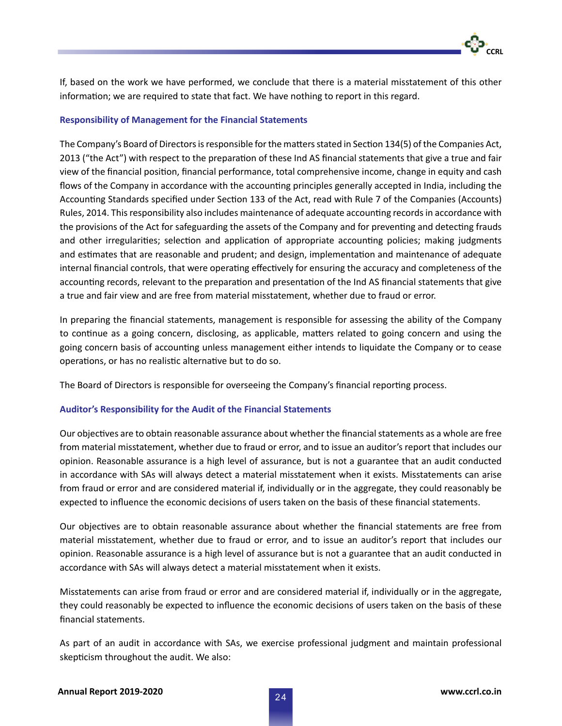If, based on the work we have performed, we conclude that there is a material misstatement of this other information; we are required to state that fact. We have nothing to report in this regard.

### **Responsibility of Management for the Financial Statements**

The Company's Board of Directors is responsible for the matters stated in Section 134(5) of the Companies Act, 2013 ("the Act") with respect to the preparation of these Ind AS financial statements that give a true and fair view of the financial position, financial performance, total comprehensive income, change in equity and cash flows of the Company in accordance with the accounting principles generally accepted in India, including the Accounting Standards specified under Section 133 of the Act, read with Rule 7 of the Companies (Accounts) Rules, 2014. This responsibility also includes maintenance of adequate accounting records in accordance with the provisions of the Act for safeguarding the assets of the Company and for preventing and detecting frauds and other irregularities; selection and application of appropriate accounting policies; making judgments and estimates that are reasonable and prudent; and design, implementation and maintenance of adequate internal financial controls, that were operating effectively for ensuring the accuracy and completeness of the accounting records, relevant to the preparation and presentation of the Ind AS financial statements that give a true and fair view and are free from material misstatement, whether due to fraud or error.

In preparing the financial statements, management is responsible for assessing the ability of the Company to continue as a going concern, disclosing, as applicable, matters related to going concern and using the going concern basis of accounting unless management either intends to liquidate the Company or to cease operations, or has no realistic alternative but to do so.

The Board of Directors is responsible for overseeing the Company's financial reporting process.

### **Auditor's Responsibility for the Audit of the Financial Statements**

Our objectives are to obtain reasonable assurance about whether the financial statements as a whole are free from material misstatement, whether due to fraud or error, and to issue an auditor's report that includes our opinion. Reasonable assurance is a high level of assurance, but is not a guarantee that an audit conducted in accordance with SAs will always detect a material misstatement when it exists. Misstatements can arise from fraud or error and are considered material if, individually or in the aggregate, they could reasonably be expected to influence the economic decisions of users taken on the basis of these financial statements.

Our objectives are to obtain reasonable assurance about whether the financial statements are free from material misstatement, whether due to fraud or error, and to issue an auditor's report that includes our opinion. Reasonable assurance is a high level of assurance but is not a guarantee that an audit conducted in accordance with SAs will always detect a material misstatement when it exists.

Misstatements can arise from fraud or error and are considered material if, individually or in the aggregate, they could reasonably be expected to influence the economic decisions of users taken on the basis of these financial statements.

As part of an audit in accordance with SAs, we exercise professional judgment and maintain professional skepticism throughout the audit. We also: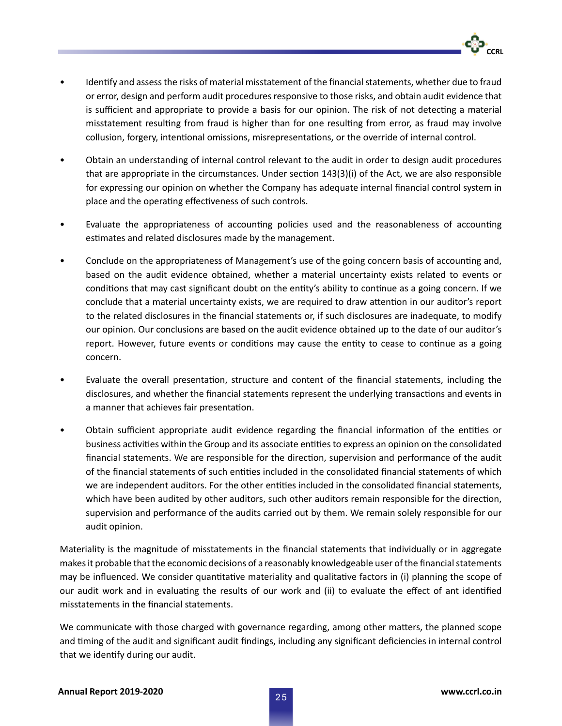- Identify and assess the risks of material misstatement of the financial statements, whether due to fraud or error, design and perform audit procedures responsive to those risks, and obtain audit evidence that is sufficient and appropriate to provide a basis for our opinion. The risk of not detecting a material misstatement resulting from fraud is higher than for one resulting from error, as fraud may involve collusion, forgery, intentional omissions, misrepresentations, or the override of internal control.
- Obtain an understanding of internal control relevant to the audit in order to design audit procedures that are appropriate in the circumstances. Under section 143(3)(i) of the Act, we are also responsible for expressing our opinion on whether the Company has adequate internal financial control system in place and the operating effectiveness of such controls.
- Evaluate the appropriateness of accounting policies used and the reasonableness of accounting estimates and related disclosures made by the management.
- Conclude on the appropriateness of Management's use of the going concern basis of accounting and, based on the audit evidence obtained, whether a material uncertainty exists related to events or conditions that may cast significant doubt on the entity's ability to continue as a going concern. If we conclude that a material uncertainty exists, we are required to draw attention in our auditor's report to the related disclosures in the financial statements or, if such disclosures are inadequate, to modify our opinion. Our conclusions are based on the audit evidence obtained up to the date of our auditor's report. However, future events or conditions may cause the entity to cease to continue as a going concern.
- Evaluate the overall presentation, structure and content of the financial statements, including the disclosures, and whether the financial statements represent the underlying transactions and events in a manner that achieves fair presentation.
- Obtain sufficient appropriate audit evidence regarding the financial information of the entities or business activities within the Group and its associate entities to express an opinion on the consolidated financial statements. We are responsible for the direction, supervision and performance of the audit of the financial statements of such entities included in the consolidated financial statements of which we are independent auditors. For the other entities included in the consolidated financial statements, which have been audited by other auditors, such other auditors remain responsible for the direction, supervision and performance of the audits carried out by them. We remain solely responsible for our audit opinion.

Materiality is the magnitude of misstatements in the financial statements that individually or in aggregate makes it probable that the economic decisions of a reasonably knowledgeable user of the financial statements may be influenced. We consider quantitative materiality and qualitative factors in (i) planning the scope of our audit work and in evaluating the results of our work and (ii) to evaluate the effect of ant identified misstatements in the financial statements.

We communicate with those charged with governance regarding, among other matters, the planned scope and timing of the audit and significant audit findings, including any significant deficiencies in internal control that we identify during our audit.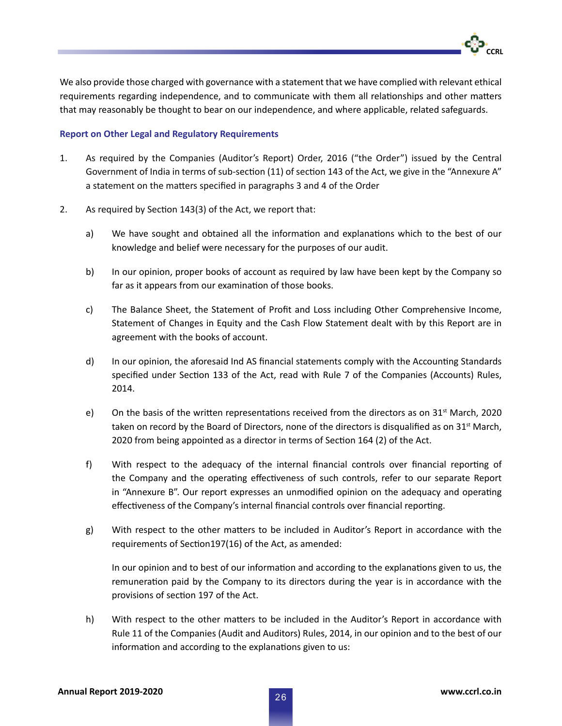We also provide those charged with governance with a statement that we have complied with relevant ethical requirements regarding independence, and to communicate with them all relationships and other matters that may reasonably be thought to bear on our independence, and where applicable, related safeguards.

### **Report on Other Legal and Regulatory Requirements**

- 1. As required by the Companies (Auditor's Report) Order, 2016 ("the Order") issued by the Central Government of India in terms of sub-section (11) of section 143 of the Act, we give in the "Annexure A" a statement on the matters specified in paragraphs 3 and 4 of the Order
- 2. As required by Section 143(3) of the Act, we report that:
	- a) We have sought and obtained all the information and explanations which to the best of our knowledge and belief were necessary for the purposes of our audit.
	- b) In our opinion, proper books of account as required by law have been kept by the Company so far as it appears from our examination of those books.
	- c) The Balance Sheet, the Statement of Profit and Loss including Other Comprehensive Income, Statement of Changes in Equity and the Cash Flow Statement dealt with by this Report are in agreement with the books of account.
	- d) In our opinion, the aforesaid Ind AS financial statements comply with the Accounting Standards specified under Section 133 of the Act, read with Rule 7 of the Companies (Accounts) Rules, 2014.
	- e) On the basis of the written representations received from the directors as on  $31^{st}$  March, 2020 taken on record by the Board of Directors, none of the directors is disqualified as on 31<sup>st</sup> March, 2020 from being appointed as a director in terms of Section 164 (2) of the Act.
	- f) With respect to the adequacy of the internal financial controls over financial reporting of the Company and the operating effectiveness of such controls, refer to our separate Report in "Annexure B". Our report expresses an unmodified opinion on the adequacy and operating effectiveness of the Company's internal financial controls over financial reporting.
	- g) With respect to the other matters to be included in Auditor's Report in accordance with the requirements of Section197(16) of the Act, as amended:

In our opinion and to best of our information and according to the explanations given to us, the remuneration paid by the Company to its directors during the year is in accordance with the provisions of section 197 of the Act.

h) With respect to the other matters to be included in the Auditor's Report in accordance with Rule 11 of the Companies (Audit and Auditors) Rules, 2014, in our opinion and to the best of our information and according to the explanations given to us: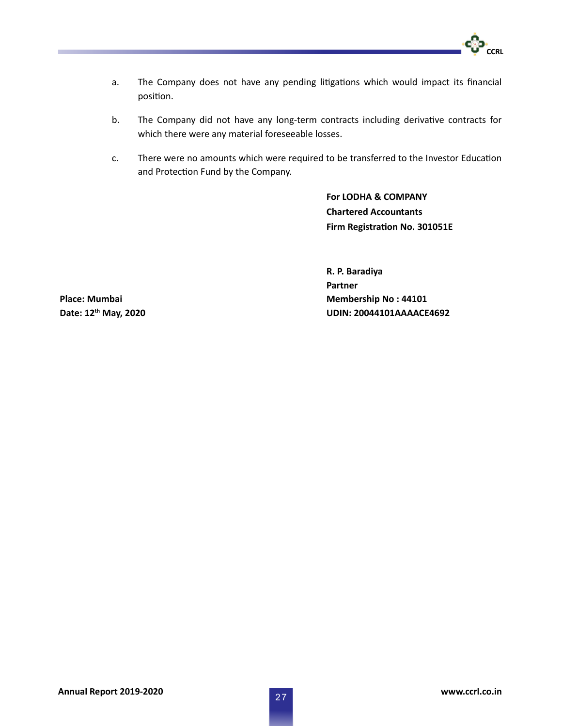

- a. The Company does not have any pending litigations which would impact its financial position.
- b. The Company did not have any long-term contracts including derivative contracts for which there were any material foreseeable losses.
- c. There were no amounts which were required to be transferred to the Investor Education and Protection Fund by the Company.

**For LODHA & COMPANY Chartered Accountants Firm Registration No. 301051E**

**R. P. Baradiya Partner Membership No : 44101 UDIN: 20044101AAAACE4692**

**Place: Mumbai Date: 12th May, 2020**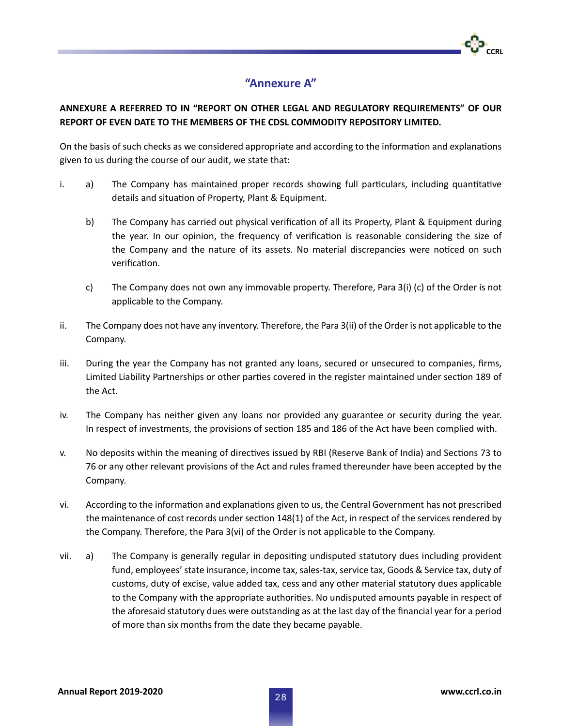

## **"Annexure A"**

### **ANNEXURE A REFERRED TO IN "REPORT ON OTHER LEGAL AND REGULATORY REQUIREMENTS" OF OUR REPORT OF EVEN DATE TO THE MEMBERS OF THE CDSL COMMODITY REPOSITORY LIMITED.**

On the basis of such checks as we considered appropriate and according to the information and explanations given to us during the course of our audit, we state that:

- i. a) The Company has maintained proper records showing full particulars, including quantitative details and situation of Property, Plant & Equipment.
	- b) The Company has carried out physical verification of all its Property, Plant & Equipment during the year. In our opinion, the frequency of verification is reasonable considering the size of the Company and the nature of its assets. No material discrepancies were noticed on such verification.
	- c) The Company does not own any immovable property. Therefore, Para 3(i) (c) of the Order is not applicable to the Company.
- ii. The Company does not have any inventory. Therefore, the Para 3(ii) of the Order is not applicable to the Company.
- iii. During the year the Company has not granted any loans, secured or unsecured to companies, firms, Limited Liability Partnerships or other parties covered in the register maintained under section 189 of the Act.
- iv. The Company has neither given any loans nor provided any guarantee or security during the year. In respect of investments, the provisions of section 185 and 186 of the Act have been complied with.
- v. No deposits within the meaning of directives issued by RBI (Reserve Bank of India) and Sections 73 to 76 or any other relevant provisions of the Act and rules framed thereunder have been accepted by the Company.
- vi. According to the information and explanations given to us, the Central Government has not prescribed the maintenance of cost records under section 148(1) of the Act, in respect of the services rendered by the Company. Therefore, the Para 3(vi) of the Order is not applicable to the Company.
- vii. a) The Company is generally regular in depositing undisputed statutory dues including provident fund, employees' state insurance, income tax, sales-tax, service tax, Goods & Service tax, duty of customs, duty of excise, value added tax, cess and any other material statutory dues applicable to the Company with the appropriate authorities. No undisputed amounts payable in respect of the aforesaid statutory dues were outstanding as at the last day of the financial year for a period of more than six months from the date they became payable.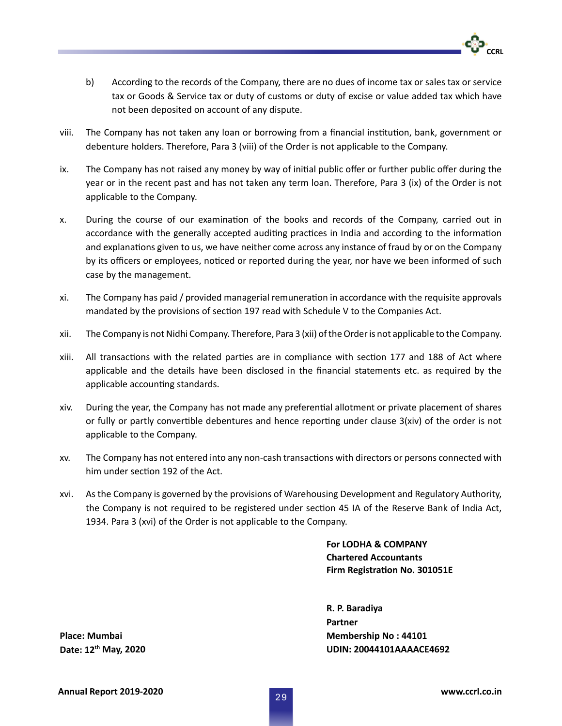- b) According to the records of the Company, there are no dues of income tax or sales tax or service tax or Goods & Service tax or duty of customs or duty of excise or value added tax which have not been deposited on account of any dispute.
- viii. The Company has not taken any loan or borrowing from a financial institution, bank, government or debenture holders. Therefore, Para 3 (viii) of the Order is not applicable to the Company.
- ix. The Company has not raised any money by way of initial public offer or further public offer during the year or in the recent past and has not taken any term loan. Therefore, Para 3 (ix) of the Order is not applicable to the Company.
- x. During the course of our examination of the books and records of the Company, carried out in accordance with the generally accepted auditing practices in India and according to the information and explanations given to us, we have neither come across any instance of fraud by or on the Company by its officers or employees, noticed or reported during the year, nor have we been informed of such case by the management.
- xi. The Company has paid / provided managerial remuneration in accordance with the requisite approvals mandated by the provisions of section 197 read with Schedule V to the Companies Act.
- xii. The Company is not Nidhi Company. Therefore, Para 3 (xii) of the Order is not applicable to the Company.
- xiii. All transactions with the related parties are in compliance with section 177 and 188 of Act where applicable and the details have been disclosed in the financial statements etc. as required by the applicable accounting standards.
- xiv. During the year, the Company has not made any preferential allotment or private placement of shares or fully or partly convertible debentures and hence reporting under clause 3(xiv) of the order is not applicable to the Company.
- xv. The Company has not entered into any non-cash transactions with directors or persons connected with him under section 192 of the Act.
- xvi. As the Company is governed by the provisions of Warehousing Development and Regulatory Authority, the Company is not required to be registered under section 45 IA of the Reserve Bank of India Act, 1934. Para 3 (xvi) of the Order is not applicable to the Company.

**For LODHA & COMPANY Chartered Accountants Firm Registration No. 301051E**

**R. P. Baradiya Partner Membership No : 44101 UDIN: 20044101AAAACE4692**

**Place: Mumbai Date: 12th May, 2020**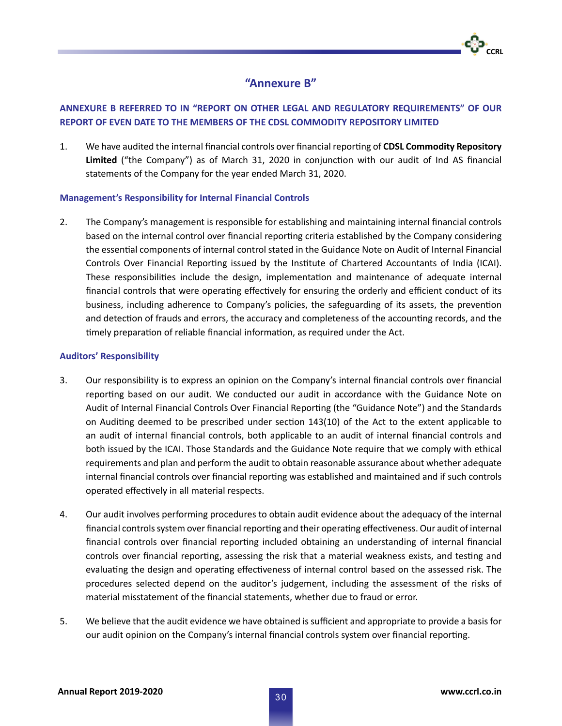

### **"Annexure B"**

### **ANNEXURE B REFERRED TO IN "REPORT ON OTHER LEGAL AND REGULATORY REQUIREMENTS" OF OUR REPORT OF EVEN DATE TO THE MEMBERS OF THE CDSL COMMODITY REPOSITORY LIMITED**

1. We have audited the internal financial controls over financial reporting of **CDSL Commodity Repository Limited** ("the Company") as of March 31, 2020 in conjunction with our audit of Ind AS financial statements of the Company for the year ended March 31, 2020.

### **Management's Responsibility for Internal Financial Controls**

2. The Company's management is responsible for establishing and maintaining internal financial controls based on the internal control over financial reporting criteria established by the Company considering the essential components of internal control stated in the Guidance Note on Audit of Internal Financial Controls Over Financial Reporting issued by the Institute of Chartered Accountants of India (ICAI). These responsibilities include the design, implementation and maintenance of adequate internal financial controls that were operating effectively for ensuring the orderly and efficient conduct of its business, including adherence to Company's policies, the safeguarding of its assets, the prevention and detection of frauds and errors, the accuracy and completeness of the accounting records, and the timely preparation of reliable financial information, as required under the Act.

### **Auditors' Responsibility**

- 3. Our responsibility is to express an opinion on the Company's internal financial controls over financial reporting based on our audit. We conducted our audit in accordance with the Guidance Note on Audit of Internal Financial Controls Over Financial Reporting (the "Guidance Note") and the Standards on Auditing deemed to be prescribed under section 143(10) of the Act to the extent applicable to an audit of internal financial controls, both applicable to an audit of internal financial controls and both issued by the ICAI. Those Standards and the Guidance Note require that we comply with ethical requirements and plan and perform the audit to obtain reasonable assurance about whether adequate internal financial controls over financial reporting was established and maintained and if such controls operated effectively in all material respects.
- 4. Our audit involves performing procedures to obtain audit evidence about the adequacy of the internal financial controls system over financial reporting and their operating effectiveness. Our audit of internal financial controls over financial reporting included obtaining an understanding of internal financial controls over financial reporting, assessing the risk that a material weakness exists, and testing and evaluating the design and operating effectiveness of internal control based on the assessed risk. The procedures selected depend on the auditor's judgement, including the assessment of the risks of material misstatement of the financial statements, whether due to fraud or error.
- 5. We believe that the audit evidence we have obtained is sufficient and appropriate to provide a basis for our audit opinion on the Company's internal financial controls system over financial reporting.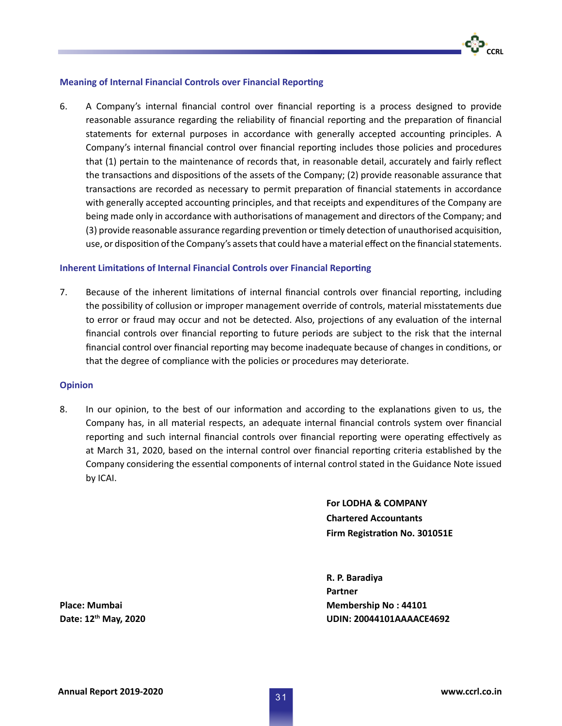#### **Meaning of Internal Financial Controls over Financial Reporting**

6. A Company's internal financial control over financial reporting is a process designed to provide reasonable assurance regarding the reliability of financial reporting and the preparation of financial statements for external purposes in accordance with generally accepted accounting principles. A Company's internal financial control over financial reporting includes those policies and procedures that (1) pertain to the maintenance of records that, in reasonable detail, accurately and fairly reflect the transactions and dispositions of the assets of the Company; (2) provide reasonable assurance that transactions are recorded as necessary to permit preparation of financial statements in accordance with generally accepted accounting principles, and that receipts and expenditures of the Company are being made only in accordance with authorisations of management and directors of the Company; and (3) provide reasonable assurance regarding prevention or timely detection of unauthorised acquisition, use, or disposition of the Company's assets that could have a material effect on the financial statements.

#### **Inherent Limitations of Internal Financial Controls over Financial Reporting**

7. Because of the inherent limitations of internal financial controls over financial reporting, including the possibility of collusion or improper management override of controls, material misstatements due to error or fraud may occur and not be detected. Also, projections of any evaluation of the internal financial controls over financial reporting to future periods are subject to the risk that the internal financial control over financial reporting may become inadequate because of changes in conditions, or that the degree of compliance with the policies or procedures may deteriorate.

#### **Opinion**

8. In our opinion, to the best of our information and according to the explanations given to us, the Company has, in all material respects, an adequate internal financial controls system over financial reporting and such internal financial controls over financial reporting were operating effectively as at March 31, 2020, based on the internal control over financial reporting criteria established by the Company considering the essential components of internal control stated in the Guidance Note issued by ICAI.

> **For LODHA & COMPANY Chartered Accountants Firm Registration No. 301051E**

**R. P. Baradiya Partner Membership No : 44101 UDIN: 20044101AAAACE4692**

**Place: Mumbai Date: 12th May, 2020**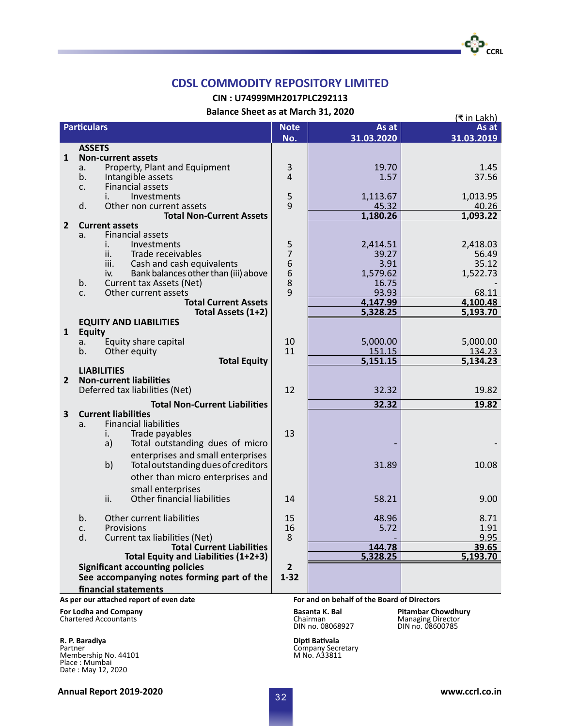**CIN : U74999MH2017PLC292113**

**Balance Sheet as at March 31, 2020**

|                       |                                  | Balance Sheet as at March 31, 2020                          |                  |                                             | (₹ in Lakh)               |
|-----------------------|----------------------------------|-------------------------------------------------------------|------------------|---------------------------------------------|---------------------------|
|                       | <b>Particulars</b>               |                                                             | <b>Note</b>      | As at                                       | As at                     |
|                       |                                  |                                                             | No.              | 31.03.2020                                  | 31.03.2019                |
|                       | <b>ASSETS</b>                    |                                                             |                  |                                             |                           |
| 1                     |                                  | <b>Non-current assets</b>                                   |                  |                                             |                           |
|                       | a.                               | Property, Plant and Equipment                               | 3                | 19.70                                       | 1.45                      |
|                       | b.                               | Intangible assets                                           | $\overline{4}$   | 1.57                                        | 37.56                     |
|                       | $C_{\star}$                      | <b>Financial assets</b>                                     |                  |                                             |                           |
|                       |                                  | Investments<br>İ.                                           | 5<br>9           | 1,113.67                                    | 1,013.95                  |
|                       | d.                               | Other non current assets<br><b>Total Non-Current Assets</b> |                  | 45.32                                       | 40.26                     |
|                       |                                  | <b>Current assets</b>                                       |                  | 1,180.26                                    | 1,093.22                  |
| $\overline{2}$        | a.                               | <b>Financial assets</b>                                     |                  |                                             |                           |
|                       |                                  | Investments<br>İ.                                           |                  | 2,414.51                                    | 2,418.03                  |
|                       |                                  | ii.<br>Trade receivables                                    | $\frac{5}{7}$    | 39.27                                       | 56.49                     |
|                       |                                  | Cash and cash equivalents<br>iii.                           |                  | 3.91                                        | 35.12                     |
|                       |                                  | Bank balances other than (iii) above<br>iv.                 |                  | 1,579.62                                    | 1,522.73                  |
|                       | b.                               | Current tax Assets (Net)                                    | 6<br>6<br>8<br>9 | 16.75                                       |                           |
|                       | C.                               | Other current assets                                        |                  | 93.93                                       | 68.11                     |
|                       |                                  | <b>Total Current Assets</b>                                 |                  | 4,147.99                                    | 4,100.48                  |
|                       |                                  | Total Assets (1+2)                                          |                  | 5,328.25                                    | 5,193.70                  |
|                       |                                  | <b>EQUITY AND LIABILITIES</b>                               |                  |                                             |                           |
| $\mathbf{1}$          | <b>Equity</b>                    |                                                             | 10               |                                             |                           |
|                       | а.                               | Equity share capital                                        |                  | 5,000.00                                    | 5,000.00                  |
|                       | b.                               | Other equity                                                | 11               | 151.15                                      | 134.23                    |
|                       |                                  | <b>Total Equity</b>                                         |                  | 5,151.15                                    | 5,134.23                  |
|                       |                                  | <b>LIABILITIES</b>                                          |                  |                                             |                           |
| $\overline{2}$        |                                  | <b>Non-current liabilities</b>                              |                  |                                             |                           |
|                       |                                  | Deferred tax liabilities (Net)                              | 12               | 32.32                                       | 19.82                     |
|                       |                                  | <b>Total Non-Current Liabilities</b>                        |                  | 32.32                                       | 19.82                     |
| 3                     |                                  | <b>Current liabilities</b>                                  |                  |                                             |                           |
|                       | a.                               | <b>Financial liabilities</b>                                |                  |                                             |                           |
|                       |                                  | Trade payables<br>i.                                        | 13               |                                             |                           |
|                       |                                  | Total outstanding dues of micro<br>a)                       |                  |                                             |                           |
|                       |                                  | enterprises and small enterprises                           |                  |                                             |                           |
|                       |                                  | Total outstanding dues of creditors<br>b)                   |                  | 31.89                                       | 10.08                     |
|                       |                                  | other than micro enterprises and                            |                  |                                             |                           |
|                       |                                  | small enterprises                                           |                  |                                             |                           |
|                       |                                  | Other financial liabilities<br>ii.                          | 14               | 58.21                                       | 9.00                      |
|                       |                                  |                                                             |                  |                                             |                           |
|                       | b.                               | Other current liabilities                                   | 15               | 48.96                                       | 8.71                      |
|                       | c.                               | Provisions                                                  | 16<br>8          | 5.72                                        | 1.91                      |
|                       | d.                               | Current tax liabilities (Net)                               |                  |                                             | 9.95                      |
|                       | <b>Total Current Liabilities</b> |                                                             |                  | 144.78                                      | 39.65                     |
|                       |                                  | Total Equity and Liabilities (1+2+3)                        |                  | 5,328.25                                    | 5,193.70                  |
|                       |                                  | <b>Significant accounting policies</b>                      | $\overline{2}$   |                                             |                           |
|                       |                                  | See accompanying notes forming part of the                  | $1 - 32$         |                                             |                           |
|                       |                                  | financial statements                                        |                  |                                             |                           |
|                       |                                  | As per our attached report of even date                     |                  | For and on behalf of the Board of Directors |                           |
| For Lodha and Company |                                  |                                                             |                  | Basanta K. Bal                              | <b>Pitambar Chowdhury</b> |

Chartered Accountants Chartered Accountants Chairman Managing Director Chairman Chairman Managing Director Chairman Director Chairman Director Chairman Managing Director Chairman Director Chairman Director Chairman Directo

Partner<br>Membership No. 44101<br>Place : Mumbai<br>Date : May 12, 2020<br>Date : May 12, 2020

nambar<br>Managing Director<br>DIN no. 08600785

**R. P. Baradiya Dipti Bativala**<br>
Partner **Dipti Bativala** Company Secretary<br>
Membership No. 44101 **Dipti Bativala** Company Secretary

**CCRL**

دیّ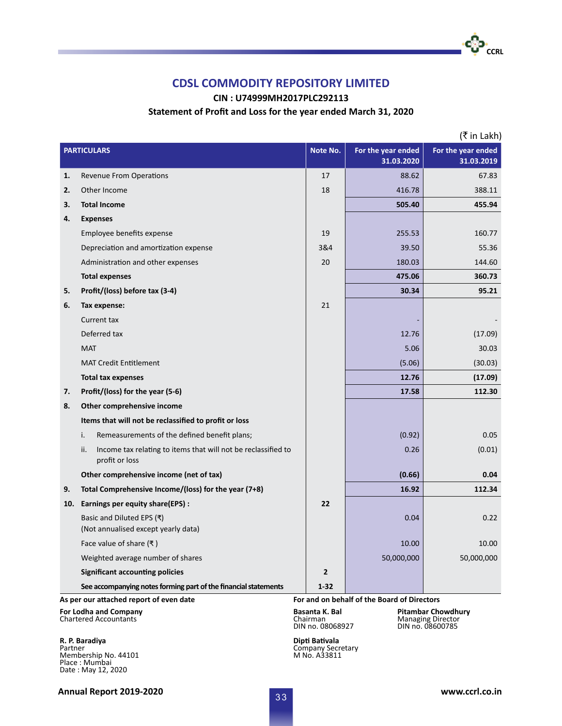**CIN : U74999MH2017PLC292113**

#### **Statement of Profit and Loss for the year ended March 31, 2020**

|     |                                                                                        |              |                    | (₹ in Lakh)        |
|-----|----------------------------------------------------------------------------------------|--------------|--------------------|--------------------|
|     | <b>PARTICULARS</b>                                                                     |              | For the year ended | For the year ended |
|     |                                                                                        |              | 31.03.2020         | 31.03.2019         |
| 1.  | <b>Revenue From Operations</b>                                                         | 17           | 88.62              | 67.83              |
| 2.  | Other Income                                                                           | 18           | 416.78             | 388.11             |
| 3.  | <b>Total Income</b>                                                                    |              | 505.40             | 455.94             |
| 4.  | <b>Expenses</b>                                                                        |              |                    |                    |
|     | Employee benefits expense                                                              | 19           | 255.53             | 160.77             |
|     | Depreciation and amortization expense                                                  | 3&4          | 39.50              | 55.36              |
|     | Administration and other expenses                                                      | 20           | 180.03             | 144.60             |
|     | <b>Total expenses</b>                                                                  |              | 475.06             | 360.73             |
| 5.  | Profit/(loss) before tax (3-4)                                                         |              | 30.34              | 95.21              |
| 6.  | Tax expense:                                                                           | 21           |                    |                    |
|     | Current tax                                                                            |              |                    |                    |
|     | Deferred tax                                                                           |              | 12.76              | (17.09)            |
|     | <b>MAT</b>                                                                             |              | 5.06               | 30.03              |
|     | <b>MAT Credit Entitlement</b>                                                          |              | (5.06)             | (30.03)            |
|     | <b>Total tax expenses</b>                                                              |              | 12.76              | (17.09)            |
| 7.  | Profit/(loss) for the year (5-6)                                                       |              | 17.58              | 112.30             |
| 8.  | Other comprehensive income                                                             |              |                    |                    |
|     | Items that will not be reclassified to profit or loss                                  |              |                    |                    |
|     | Remeasurements of the defined benefit plans;<br>i.                                     |              | (0.92)             | 0.05               |
|     | ii.<br>Income tax relating to items that will not be reclassified to<br>profit or loss |              | 0.26               | (0.01)             |
|     | Other comprehensive income (net of tax)                                                |              | (0.66)             | 0.04               |
| 9.  | Total Comprehensive Income/(loss) for the year (7+8)                                   |              | 16.92              | 112.34             |
| 10. | Earnings per equity share(EPS):                                                        | 22           |                    |                    |
|     | Basic and Diluted EPS (₹)<br>(Not annualised except yearly data)                       |              | 0.04               | 0.22               |
|     | Face value of share $(\bar{\tau})$                                                     |              | 10.00              | 10.00              |
|     | Weighted average number of shares                                                      |              | 50,000,000         | 50,000,000         |
|     | <b>Significant accounting policies</b>                                                 | $\mathbf{2}$ |                    |                    |
|     | See accompanying notes forming part of the financial statements                        | $1 - 32$     |                    |                    |
|     | For and on behalf of the Board of Directors<br>As per our attached report of even date |              |                    |                    |

**For Lodha and Company Basanta K. Bal Chartered Accountants Basanta K. Bal Philosopher Chowdhury Basanta K. Bal Chairman DIN** no. 08068927 Chartered Accountants

**R. P. Baradiya Dipti Bativala** Partner<br>Membership No. 44101<br>Place : Mumbai<br>Date : May 12, 2020<br>Date : May 12, 2020

Pitambar Chowdhury<br>Managing Director<br>DIN no. 08600785

**Annual Report 2019-2020 www.ccrl.co.in** 

**CCRL**

-60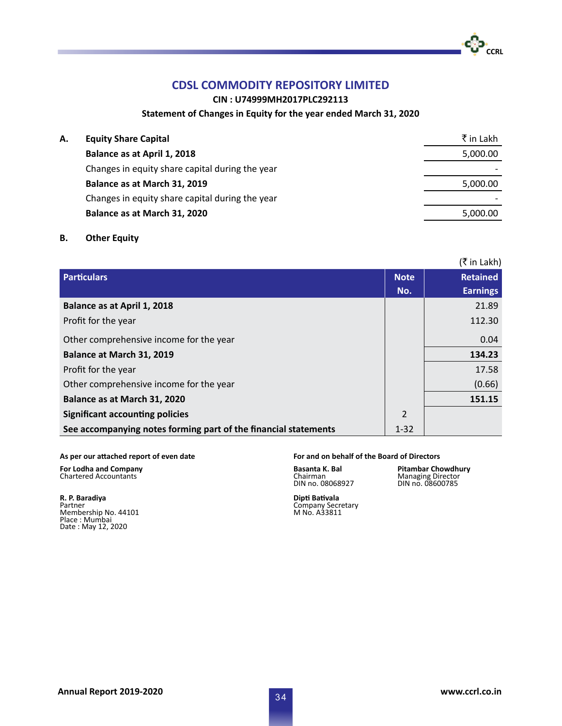**CIN : U74999MH2017PLC292113**

### **Statement of Changes in Equity for the year ended March 31, 2020**

| А. | <b>Equity Share Capital</b>                     | ₹ in Lakh |
|----|-------------------------------------------------|-----------|
|    | Balance as at April 1, 2018                     | 5,000.00  |
|    | Changes in equity share capital during the year |           |
|    | Balance as at March 31, 2019                    | 5,000.00  |
|    | Changes in equity share capital during the year |           |
|    | Balance as at March 31, 2020                    | 5,000.00  |
|    |                                                 |           |

### **B. Other Equity**

|                                                                 |             | (₹ in Lakh)     |
|-----------------------------------------------------------------|-------------|-----------------|
| <b>Particulars</b>                                              | <b>Note</b> | <b>Retained</b> |
|                                                                 | No.         | <b>Earnings</b> |
| Balance as at April 1, 2018                                     |             | 21.89           |
| Profit for the year                                             |             | 112.30          |
| Other comprehensive income for the year                         |             | 0.04            |
| Balance at March 31, 2019                                       |             | 134.23          |
| Profit for the year                                             |             | 17.58           |
| Other comprehensive income for the year                         |             | (0.66)          |
| Balance as at March 31, 2020                                    |             | 151.15          |
| <b>Significant accounting policies</b>                          | 2           |                 |
| See accompanying notes forming part of the financial statements |             |                 |

Chartered Accountants

**R. P. Baradiya Dipti Bativala** Membership No. 44101 Place : Mumbai Date : May 12, 2020

#### **As per our attached report of even date For and on behalf of the Board of Directors**

Chairman<br>DIN no. 08068927

**For Lodha and Company Basanta K. Bal Pitambar Chowdhury**<br>
Chartered Accountants **Pitambar Chowdhury**<br>
DIN no. 08068927 DIN no. 08600785

**CCRL** 

Company Secretary<br>M No. A33811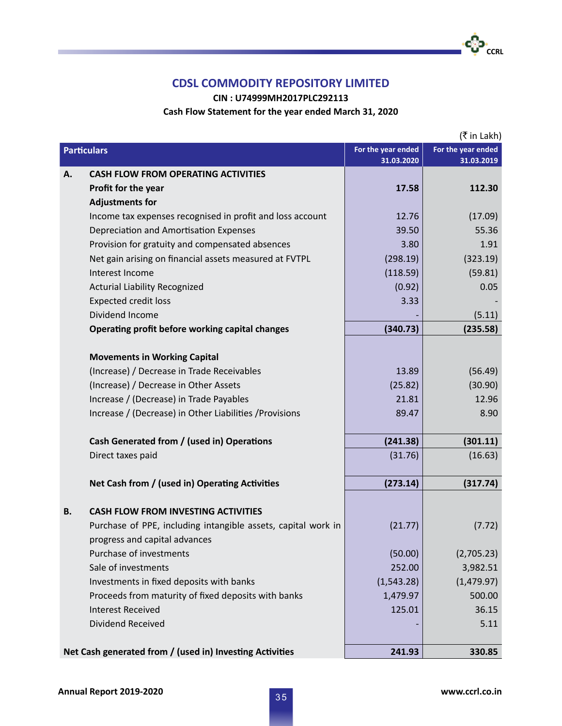**CIN : U74999MH2017PLC292113**

### **Cash Flow Statement for the year ended March 31, 2020**

|                                                          | (₹ in Lakh)                                                   |                                  |                    |
|----------------------------------------------------------|---------------------------------------------------------------|----------------------------------|--------------------|
| <b>Particulars</b>                                       |                                                               | For the year ended<br>31.03.2020 | For the year ended |
| Α.                                                       | <b>CASH FLOW FROM OPERATING ACTIVITIES</b>                    |                                  | 31.03.2019         |
|                                                          | Profit for the year                                           | 17.58                            | 112.30             |
|                                                          | <b>Adjustments for</b>                                        |                                  |                    |
|                                                          | Income tax expenses recognised in profit and loss account     | 12.76                            | (17.09)            |
|                                                          | Depreciation and Amortisation Expenses                        | 39.50                            | 55.36              |
|                                                          | Provision for gratuity and compensated absences               | 3.80                             | 1.91               |
|                                                          | Net gain arising on financial assets measured at FVTPL        | (298.19)                         | (323.19)           |
|                                                          | Interest Income                                               | (118.59)                         | (59.81)            |
|                                                          | <b>Acturial Liability Recognized</b>                          | (0.92)                           | 0.05               |
|                                                          | <b>Expected credit loss</b>                                   | 3.33                             |                    |
|                                                          | Dividend Income                                               |                                  | (5.11)             |
|                                                          | Operating profit before working capital changes               | (340.73)                         | (235.58)           |
|                                                          |                                                               |                                  |                    |
|                                                          | <b>Movements in Working Capital</b>                           |                                  |                    |
|                                                          | (Increase) / Decrease in Trade Receivables                    | 13.89                            | (56.49)            |
|                                                          | (Increase) / Decrease in Other Assets                         | (25.82)                          | (30.90)            |
|                                                          | Increase / (Decrease) in Trade Payables                       | 21.81                            | 12.96              |
|                                                          | Increase / (Decrease) in Other Liabilities / Provisions       | 89.47                            | 8.90               |
|                                                          |                                                               |                                  |                    |
|                                                          | Cash Generated from / (used in) Operations                    | (241.38)                         | (301.11)           |
|                                                          | Direct taxes paid                                             | (31.76)                          | (16.63)            |
|                                                          | Net Cash from / (used in) Operating Activities                | (273.14)                         | (317.74)           |
| В.                                                       | <b>CASH FLOW FROM INVESTING ACTIVITIES</b>                    |                                  |                    |
|                                                          | Purchase of PPE, including intangible assets, capital work in | (21.77)                          | (7.72)             |
|                                                          | progress and capital advances                                 |                                  |                    |
|                                                          | Purchase of investments                                       | (50.00)                          | (2,705.23)         |
|                                                          | Sale of investments                                           | 252.00                           | 3,982.51           |
|                                                          | Investments in fixed deposits with banks                      | (1,543.28)                       | (1,479.97)         |
|                                                          | Proceeds from maturity of fixed deposits with banks           | 1,479.97                         | 500.00             |
|                                                          | <b>Interest Received</b>                                      | 125.01                           | 36.15              |
|                                                          | Dividend Received                                             |                                  | 5.11               |
|                                                          |                                                               |                                  |                    |
| Net Cash generated from / (used in) Investing Activities |                                                               | 241.93                           | 330.85             |

•**င**္ပါ၁−<br>ccRL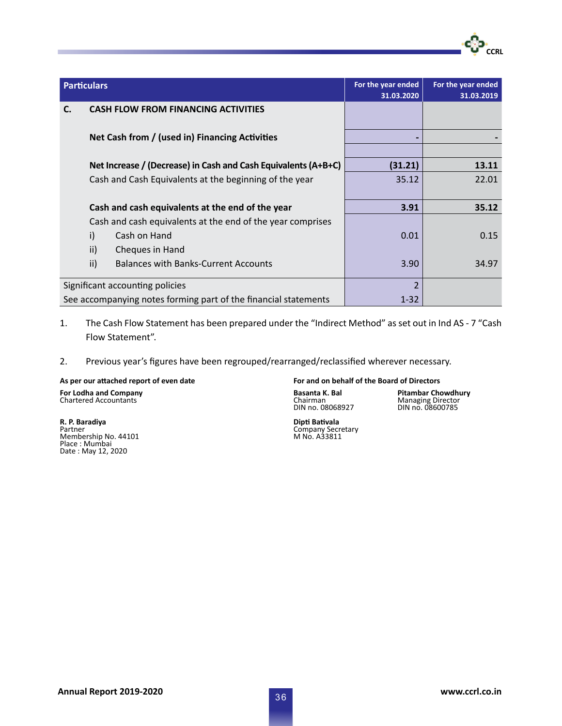| <b>Particulars</b> |                                                                 | For the year ended<br>31.03.2020 | For the year ended<br>31.03.2019 |
|--------------------|-----------------------------------------------------------------|----------------------------------|----------------------------------|
| C.                 | <b>CASH FLOW FROM FINANCING ACTIVITIES</b>                      |                                  |                                  |
|                    | Net Cash from / (used in) Financing Activities                  |                                  |                                  |
|                    | Net Increase / (Decrease) in Cash and Cash Equivalents (A+B+C)  | (31.21)                          | 13.11                            |
|                    | Cash and Cash Equivalents at the beginning of the year          | 35.12                            | 22.01                            |
|                    | Cash and cash equivalents at the end of the year                | 3.91                             | 35.12                            |
|                    | Cash and cash equivalents at the end of the year comprises      |                                  |                                  |
|                    | i)<br>Cash on Hand                                              | 0.01                             | 0.15                             |
|                    | ii)<br>Cheques in Hand                                          |                                  |                                  |
|                    | ii)<br><b>Balances with Banks-Current Accounts</b>              | 3.90                             | 34.97                            |
|                    | Significant accounting policies                                 | $\overline{2}$                   |                                  |
|                    | See accompanying notes forming part of the financial statements | $1 - 32$                         |                                  |

# 1. The Cash Flow Statement has been prepared under the "Indirect Method" as set out in Ind AS - 7 "Cash Flow Statement".

2. Previous year's figures have been regrouped/rearranged/reclassified wherever necessary.

**For Lodha and Company Basanta K. Bal Pitambar Chowdhury** Chartered Accountants Chairman Managing Director

Membership No. 44101<br>Place : Mumbai<br>Date : May 12, 2020

#### **As per our attached report of even date For and on behalf of the Board of Directors**

DIN no. 08068927 DIN no. 08600785

**CCRL** 

**R. P. Baradiya**<br>Partner Company Secretary<br>
Partner Company Secretary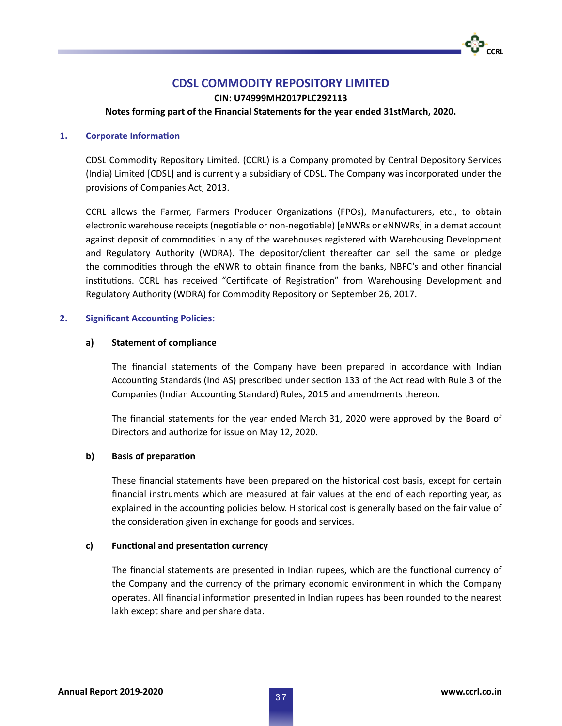# **CDSL COMMODITY REPOSITORY LIMITED**

**CIN: U74999MH2017PLC292113**

**Notes forming part of the Financial Statements for the year ended 31stMarch, 2020.**

### **1. Corporate Information**

CDSL Commodity Repository Limited. (CCRL) is a Company promoted by Central Depository Services (India) Limited [CDSL] and is currently a subsidiary of CDSL. The Company was incorporated under the provisions of Companies Act, 2013.

CCRL allows the Farmer, Farmers Producer Organizations (FPOs), Manufacturers, etc., to obtain electronic warehouse receipts (negotiable or non-negotiable) [eNWRs or eNNWRs] in a demat account against deposit of commodities in any of the warehouses registered with Warehousing Development and Regulatory Authority (WDRA). The depositor/client thereafter can sell the same or pledge the commodities through the eNWR to obtain finance from the banks, NBFC's and other financial institutions. CCRL has received "Certificate of Registration" from Warehousing Development and Regulatory Authority (WDRA) for Commodity Repository on September 26, 2017.

### **2. Significant Accounting Policies:**

# **a) Statement of compliance**

The financial statements of the Company have been prepared in accordance with Indian Accounting Standards (Ind AS) prescribed under section 133 of the Act read with Rule 3 of the Companies (Indian Accounting Standard) Rules, 2015 and amendments thereon.

The financial statements for the year ended March 31, 2020 were approved by the Board of Directors and authorize for issue on May 12, 2020.

# **b) Basis of preparation**

These financial statements have been prepared on the historical cost basis, except for certain financial instruments which are measured at fair values at the end of each reporting year, as explained in the accounting policies below. Historical cost is generally based on the fair value of the consideration given in exchange for goods and services.

### **c) Functional and presentation currency**

The financial statements are presented in Indian rupees, which are the functional currency of the Company and the currency of the primary economic environment in which the Company operates. All financial information presented in Indian rupees has been rounded to the nearest lakh except share and per share data.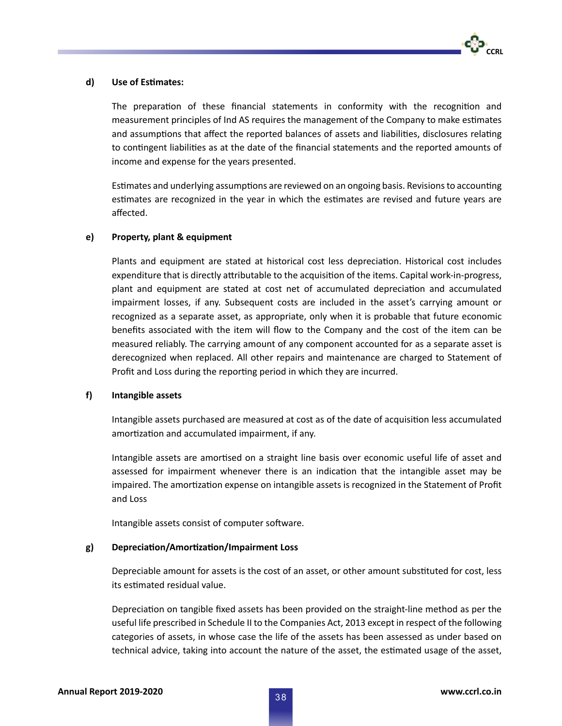

### **d) Use of Estimates:**

The preparation of these financial statements in conformity with the recognition and measurement principles of Ind AS requires the management of the Company to make estimates and assumptions that affect the reported balances of assets and liabilities, disclosures relating to contingent liabilities as at the date of the financial statements and the reported amounts of income and expense for the years presented.

Estimates and underlying assumptions are reviewed on an ongoing basis. Revisions to accounting estimates are recognized in the year in which the estimates are revised and future years are affected.

# **e) Property, plant & equipment**

Plants and equipment are stated at historical cost less depreciation. Historical cost includes expenditure that is directly attributable to the acquisition of the items. Capital work-in-progress, plant and equipment are stated at cost net of accumulated depreciation and accumulated impairment losses, if any. Subsequent costs are included in the asset's carrying amount or recognized as a separate asset, as appropriate, only when it is probable that future economic benefits associated with the item will flow to the Company and the cost of the item can be measured reliably. The carrying amount of any component accounted for as a separate asset is derecognized when replaced. All other repairs and maintenance are charged to Statement of Profit and Loss during the reporting period in which they are incurred.

### **f) Intangible assets**

Intangible assets purchased are measured at cost as of the date of acquisition less accumulated amortization and accumulated impairment, if any.

Intangible assets are amortised on a straight line basis over economic useful life of asset and assessed for impairment whenever there is an indication that the intangible asset may be impaired. The amortization expense on intangible assets is recognized in the Statement of Profit and Loss

Intangible assets consist of computer software.

### **g) Depreciation/Amortization/Impairment Loss**

Depreciable amount for assets is the cost of an asset, or other amount substituted for cost, less its estimated residual value.

Depreciation on tangible fixed assets has been provided on the straight-line method as per the useful life prescribed in Schedule II to the Companies Act, 2013 except in respect of the following categories of assets, in whose case the life of the assets has been assessed as under based on technical advice, taking into account the nature of the asset, the estimated usage of the asset,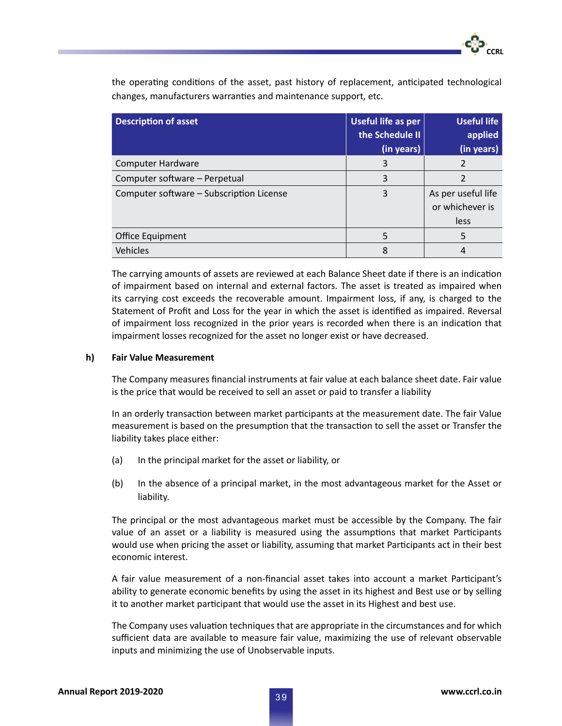the operating conditions of the asset, past history of replacement, anticipated technological changes, manufacturers warranties and maintenance support, etc.

| <b>Description of asset</b>              | Useful life as per<br>the Schedule II<br>(in years) | <b>Useful life</b><br>applied<br>(in years)   |
|------------------------------------------|-----------------------------------------------------|-----------------------------------------------|
| <b>Computer Hardware</b>                 | 3                                                   |                                               |
| Computer software - Perpetual            | 3                                                   | 2                                             |
| Computer software - Subscription License | 3                                                   | As per useful life<br>or whichever is<br>less |
| Office Equipment                         | 5                                                   |                                               |
| Vehicles                                 | 8                                                   |                                               |

The carrying amounts of assets are reviewed at each Balance Sheet date if there is an indication of impairment based on internal and external factors. The asset is treated as impaired when its carrying cost exceeds the recoverable amount. Impairment loss, if any, is charged to the Statement of Profit and Loss for the year in which the asset is identified as impaired. Reversal of impairment loss recognized in the prior years is recorded when there is an indication that impairment losses recognized for the asset no longer exist or have decreased.

#### **h) Fair Value Measurement**

The Company measures financial instruments at fair value at each balance sheet date. Fair value is the price that would be received to sell an asset or paid to transfer a liability

In an orderly transaction between market participants at the measurement date. The fair Value measurement is based on the presumption that the transaction to sell the asset or Transfer the liability takes place either:

- (a) In the principal market for the asset or liability, or
- (b) In the absence of a principal market, in the most advantageous market for the Asset or liability.

 The principal or the most advantageous market must be accessible by the Company. The fair value of an asset or a liability is measured using the assumptions that market Participants would use when pricing the asset or liability, assuming that market Participants act in their best economic interest.

A fair value measurement of a non-financial asset takes into account a market Participant's ability to generate economic benefits by using the asset in its highest and Best use or by selling it to another market participant that would use the asset in its Highest and best use.

The Company uses valuation techniques that are appropriate in the circumstances and for which sufficient data are available to measure fair value, maximizing the use of relevant observable inputs and minimizing the use of Unobservable inputs.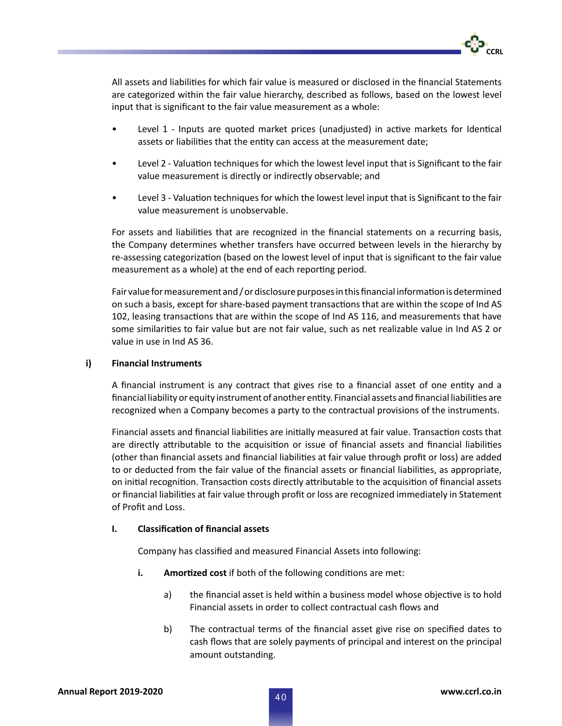

All assets and liabilities for which fair value is measured or disclosed in the financial Statements are categorized within the fair value hierarchy, described as follows, based on the lowest level input that is significant to the fair value measurement as a whole:

- Level 1 Inputs are quoted market prices (unadjusted) in active markets for Identical assets or liabilities that the entity can access at the measurement date;
- Level 2 Valuation techniques for which the lowest level input that is Significant to the fair value measurement is directly or indirectly observable; and
- Level 3 Valuation techniques for which the lowest level input that is Significant to the fair value measurement is unobservable.

For assets and liabilities that are recognized in the financial statements on a recurring basis, the Company determines whether transfers have occurred between levels in the hierarchy by re-assessing categorization (based on the lowest level of input that is significant to the fair value measurement as a whole) at the end of each reporting period.

Fair value for measurement and / or disclosure purposes in this financial information is determined on such a basis, except for share-based payment transactions that are within the scope of Ind AS 102, leasing transactions that are within the scope of Ind AS 116, and measurements that have some similarities to fair value but are not fair value, such as net realizable value in Ind AS 2 or value in use in Ind AS 36.

## **i) Financial Instruments**

A financial instrument is any contract that gives rise to a financial asset of one entity and a financial liability or equity instrument of another entity. Financial assets and financial liabilities are recognized when a Company becomes a party to the contractual provisions of the instruments.

Financial assets and financial liabilities are initially measured at fair value. Transaction costs that are directly attributable to the acquisition or issue of financial assets and financial liabilities (other than financial assets and financial liabilities at fair value through profit or loss) are added to or deducted from the fair value of the financial assets or financial liabilities, as appropriate, on initial recognition. Transaction costs directly attributable to the acquisition of financial assets or financial liabilities at fair value through profit or loss are recognized immediately in Statement of Profit and Loss.

# **I. Classification of financial assets**

Company has classified and measured Financial Assets into following:

- **i. Amortized cost** if both of the following conditions are met:
	- a) the financial asset is held within a business model whose objective is to hold Financial assets in order to collect contractual cash flows and
	- b) The contractual terms of the financial asset give rise on specified dates to cash flows that are solely payments of principal and interest on the principal amount outstanding.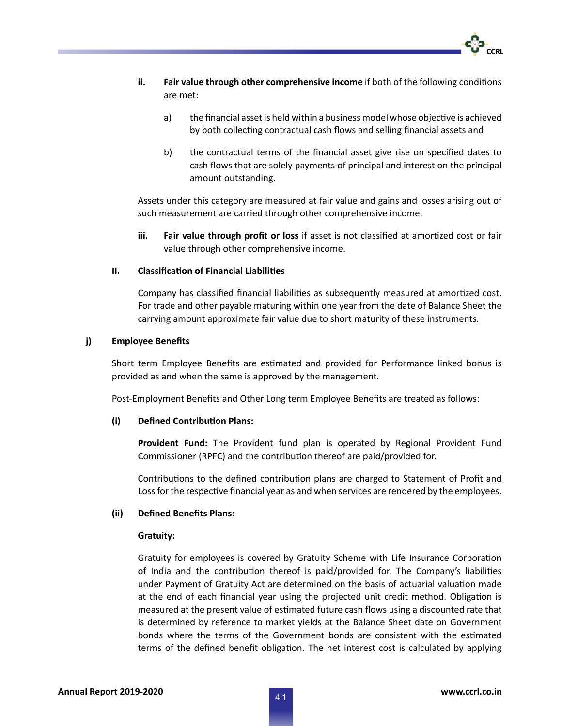

- **ii. Fair value through other comprehensive income** if both of the following conditions are met:
	- a) the financial asset is held within a business model whose objective is achieved by both collecting contractual cash flows and selling financial assets and
	- b) the contractual terms of the financial asset give rise on specified dates to cash flows that are solely payments of principal and interest on the principal amount outstanding.

 Assets under this category are measured at fair value and gains and losses arising out of such measurement are carried through other comprehensive income.

 **iii. Fair value through profit or loss** if asset is not classified at amortized cost or fair value through other comprehensive income.

#### **II. Classification of Financial Liabilities**

Company has classified financial liabilities as subsequently measured at amortized cost. For trade and other payable maturing within one year from the date of Balance Sheet the carrying amount approximate fair value due to short maturity of these instruments.

#### **j) Employee Benefits**

Short term Employee Benefits are estimated and provided for Performance linked bonus is provided as and when the same is approved by the management.

Post-Employment Benefits and Other Long term Employee Benefits are treated as follows:

#### **(i) Defined Contribution Plans:**

 **Provident Fund:** The Provident fund plan is operated by Regional Provident Fund Commissioner (RPFC) and the contribution thereof are paid/provided for.

Contributions to the defined contribution plans are charged to Statement of Profit and Loss for the respective financial year as and when services are rendered by the employees.

#### **(ii) Defined Benefits Plans:**

#### **Gratuity:**

Gratuity for employees is covered by Gratuity Scheme with Life Insurance Corporation of India and the contribution thereof is paid/provided for. The Company's liabilities under Payment of Gratuity Act are determined on the basis of actuarial valuation made at the end of each financial year using the projected unit credit method. Obligation is measured at the present value of estimated future cash flows using a discounted rate that is determined by reference to market yields at the Balance Sheet date on Government bonds where the terms of the Government bonds are consistent with the estimated terms of the defined benefit obligation. The net interest cost is calculated by applying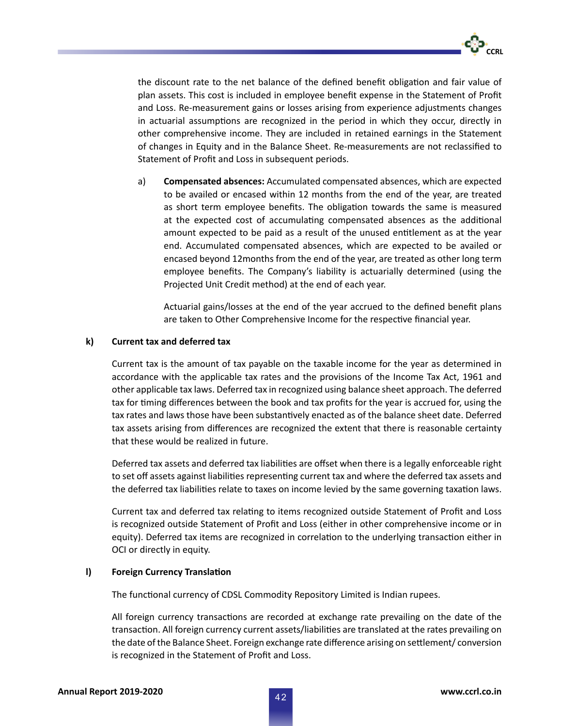

the discount rate to the net balance of the defined benefit obligation and fair value of plan assets. This cost is included in employee benefit expense in the Statement of Profit and Loss. Re-measurement gains or losses arising from experience adjustments changes in actuarial assumptions are recognized in the period in which they occur, directly in other comprehensive income. They are included in retained earnings in the Statement of changes in Equity and in the Balance Sheet. Re-measurements are not reclassified to Statement of Profit and Loss in subsequent periods.

 a) **Compensated absences:** Accumulated compensated absences, which are expected to be availed or encased within 12 months from the end of the year, are treated as short term employee benefits. The obligation towards the same is measured at the expected cost of accumulating compensated absences as the additional amount expected to be paid as a result of the unused entitlement as at the year end. Accumulated compensated absences, which are expected to be availed or encased beyond 12months from the end of the year, are treated as other long term employee benefits. The Company's liability is actuarially determined (using the Projected Unit Credit method) at the end of each year.

Actuarial gains/losses at the end of the year accrued to the defined benefit plans are taken to Other Comprehensive Income for the respective financial year.

#### **k) Current tax and deferred tax**

 Current tax is the amount of tax payable on the taxable income for the year as determined in accordance with the applicable tax rates and the provisions of the Income Tax Act, 1961 and other applicable tax laws. Deferred tax in recognized using balance sheet approach. The deferred tax for timing differences between the book and tax profits for the year is accrued for, using the tax rates and laws those have been substantively enacted as of the balance sheet date. Deferred tax assets arising from differences are recognized the extent that there is reasonable certainty that these would be realized in future.

Deferred tax assets and deferred tax liabilities are offset when there is a legally enforceable right to set off assets against liabilities representing current tax and where the deferred tax assets and the deferred tax liabilities relate to taxes on income levied by the same governing taxation laws.

Current tax and deferred tax relating to items recognized outside Statement of Profit and Loss is recognized outside Statement of Profit and Loss (either in other comprehensive income or in equity). Deferred tax items are recognized in correlation to the underlying transaction either in OCI or directly in equity.

### **l) Foreign Currency Translation**

The functional currency of CDSL Commodity Repository Limited is Indian rupees.

All foreign currency transactions are recorded at exchange rate prevailing on the date of the transaction. All foreign currency current assets/liabilities are translated at the rates prevailing on the date of the Balance Sheet. Foreign exchange rate difference arising on settlement/ conversion is recognized in the Statement of Profit and Loss.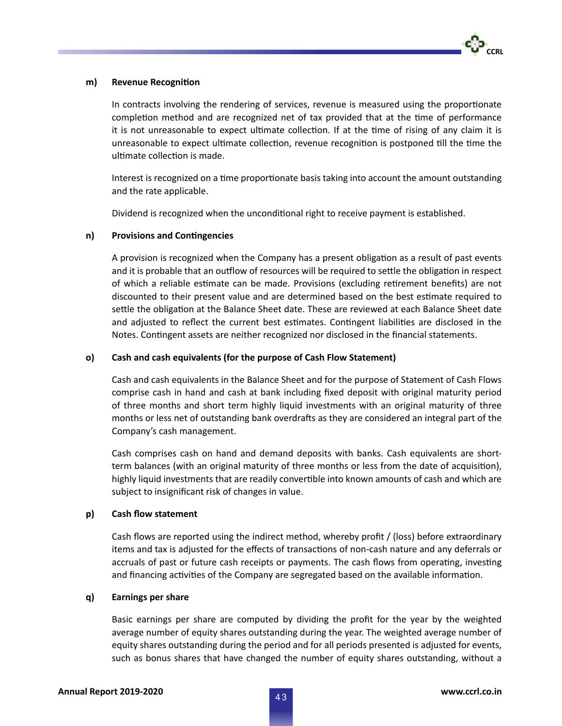

#### **m) Revenue Recognition**

In contracts involving the rendering of services, revenue is measured using the proportionate completion method and are recognized net of tax provided that at the time of performance it is not unreasonable to expect ultimate collection. If at the time of rising of any claim it is unreasonable to expect ultimate collection, revenue recognition is postponed till the time the ultimate collection is made.

Interest is recognized on a time proportionate basis taking into account the amount outstanding and the rate applicable.

Dividend is recognized when the unconditional right to receive payment is established.

### **n) Provisions and Contingencies**

A provision is recognized when the Company has a present obligation as a result of past events and it is probable that an outflow of resources will be required to settle the obligation in respect of which a reliable estimate can be made. Provisions (excluding retirement benefits) are not discounted to their present value and are determined based on the best estimate required to settle the obligation at the Balance Sheet date. These are reviewed at each Balance Sheet date and adjusted to reflect the current best estimates. Contingent liabilities are disclosed in the Notes. Contingent assets are neither recognized nor disclosed in the financial statements.

#### **o) Cash and cash equivalents (for the purpose of Cash Flow Statement)**

 Cash and cash equivalents in the Balance Sheet and for the purpose of Statement of Cash Flows comprise cash in hand and cash at bank including fixed deposit with original maturity period of three months and short term highly liquid investments with an original maturity of three months or less net of outstanding bank overdrafts as they are considered an integral part of the Company's cash management.

 Cash comprises cash on hand and demand deposits with banks. Cash equivalents are shortterm balances (with an original maturity of three months or less from the date of acquisition), highly liquid investments that are readily convertible into known amounts of cash and which are subject to insignificant risk of changes in value.

### **p) Cash flow statement**

Cash flows are reported using the indirect method, whereby profit / (loss) before extraordinary items and tax is adjusted for the effects of transactions of non-cash nature and any deferrals or accruals of past or future cash receipts or payments. The cash flows from operating, investing and financing activities of the Company are segregated based on the available information.

#### **q) Earnings per share**

Basic earnings per share are computed by dividing the profit for the year by the weighted average number of equity shares outstanding during the year. The weighted average number of equity shares outstanding during the period and for all periods presented is adjusted for events, such as bonus shares that have changed the number of equity shares outstanding, without a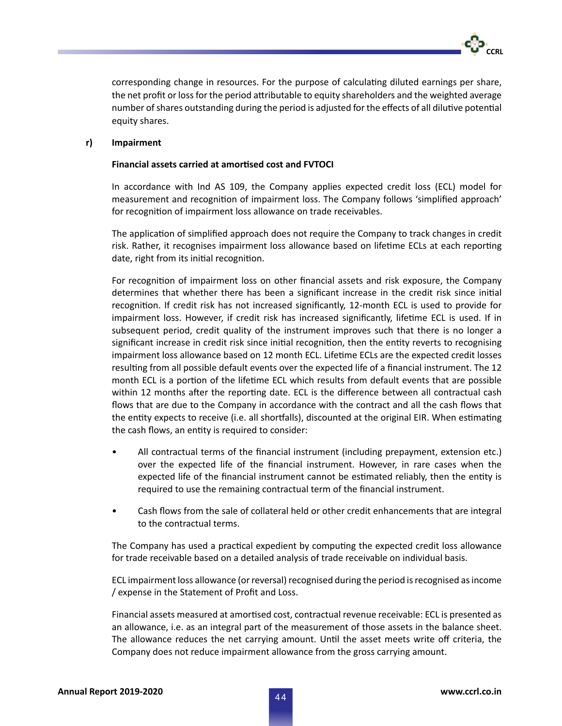corresponding change in resources. For the purpose of calculating diluted earnings per share, the net profit or loss for the period attributable to equity shareholders and the weighted average number of shares outstanding during the period is adjusted for the effects of all dilutive potential equity shares.

#### **r) Impairment**

#### **Financial assets carried at amortised cost and FVTOCI**

 In accordance with Ind AS 109, the Company applies expected credit loss (ECL) model for measurement and recognition of impairment loss. The Company follows 'simplified approach' for recognition of impairment loss allowance on trade receivables.

The application of simplified approach does not require the Company to track changes in credit risk. Rather, it recognises impairment loss allowance based on lifetime ECLs at each reporting date, right from its initial recognition.

For recognition of impairment loss on other financial assets and risk exposure, the Company determines that whether there has been a significant increase in the credit risk since initial recognition. If credit risk has not increased significantly, 12-month ECL is used to provide for impairment loss. However, if credit risk has increased significantly, lifetime ECL is used. If in subsequent period, credit quality of the instrument improves such that there is no longer a significant increase in credit risk since initial recognition, then the entity reverts to recognising impairment loss allowance based on 12 month ECL. Lifetime ECLs are the expected credit losses resulting from all possible default events over the expected life of a financial instrument. The 12 month ECL is a portion of the lifetime ECL which results from default events that are possible within 12 months after the reporting date. ECL is the difference between all contractual cash flows that are due to the Company in accordance with the contract and all the cash flows that the entity expects to receive (i.e. all shortfalls), discounted at the original EIR. When estimating the cash flows, an entity is required to consider:

- All contractual terms of the financial instrument (including prepayment, extension etc.) over the expected life of the financial instrument. However, in rare cases when the expected life of the financial instrument cannot be estimated reliably, then the entity is required to use the remaining contractual term of the financial instrument.
- Cash flows from the sale of collateral held or other credit enhancements that are integral to the contractual terms.

The Company has used a practical expedient by computing the expected credit loss allowance for trade receivable based on a detailed analysis of trade receivable on individual basis.

 ECL impairment loss allowance (or reversal) recognised during the period is recognised as income / expense in the Statement of Profit and Loss.

Financial assets measured at amortised cost, contractual revenue receivable: ECL is presented as an allowance, i.e. as an integral part of the measurement of those assets in the balance sheet. The allowance reduces the net carrying amount. Until the asset meets write off criteria, the Company does not reduce impairment allowance from the gross carrying amount.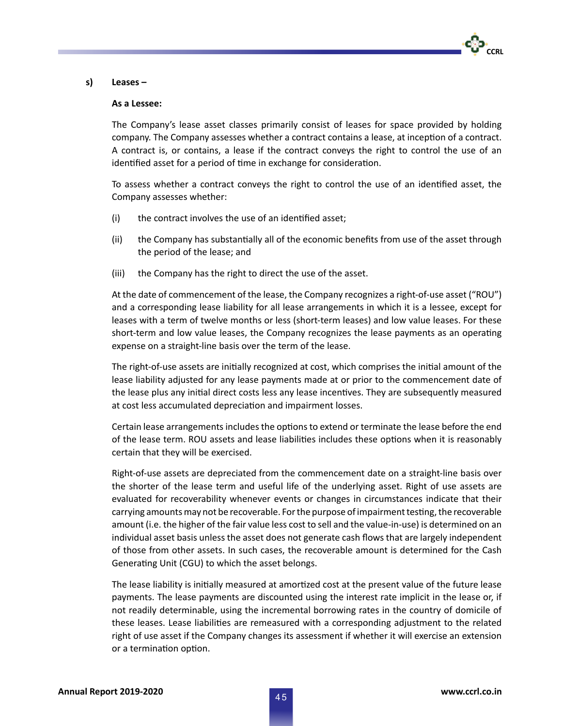

#### **s) Leases –**

#### **As a Lessee:**

 The Company's lease asset classes primarily consist of leases for space provided by holding company. The Company assesses whether a contract contains a lease, at inception of a contract. A contract is, or contains, a lease if the contract conveys the right to control the use of an identified asset for a period of time in exchange for consideration.

To assess whether a contract conveys the right to control the use of an identified asset, the Company assesses whether:

- (i) the contract involves the use of an identified asset;
- (ii) the Company has substantially all of the economic benefits from use of the asset through the period of the lease; and
- (iii) the Company has the right to direct the use of the asset.

At the date of commencement of the lease, the Company recognizes a right-of-use asset ("ROU") and a corresponding lease liability for all lease arrangements in which it is a lessee, except for leases with a term of twelve months or less (short-term leases) and low value leases. For these short-term and low value leases, the Company recognizes the lease payments as an operating expense on a straight-line basis over the term of the lease.

The right-of-use assets are initially recognized at cost, which comprises the initial amount of the lease liability adjusted for any lease payments made at or prior to the commencement date of the lease plus any initial direct costs less any lease incentives. They are subsequently measured at cost less accumulated depreciation and impairment losses.

Certain lease arrangements includes the options to extend or terminate the lease before the end of the lease term. ROU assets and lease liabilities includes these options when it is reasonably certain that they will be exercised.

 Right-of-use assets are depreciated from the commencement date on a straight-line basis over the shorter of the lease term and useful life of the underlying asset. Right of use assets are evaluated for recoverability whenever events or changes in circumstances indicate that their carrying amounts may not be recoverable. For the purpose of impairment testing, the recoverable amount (i.e. the higher of the fair value less cost to sell and the value-in-use) is determined on an individual asset basis unless the asset does not generate cash flows that are largely independent of those from other assets. In such cases, the recoverable amount is determined for the Cash Generating Unit (CGU) to which the asset belongs.

The lease liability is initially measured at amortized cost at the present value of the future lease payments. The lease payments are discounted using the interest rate implicit in the lease or, if not readily determinable, using the incremental borrowing rates in the country of domicile of these leases. Lease liabilities are remeasured with a corresponding adjustment to the related right of use asset if the Company changes its assessment if whether it will exercise an extension or a termination option.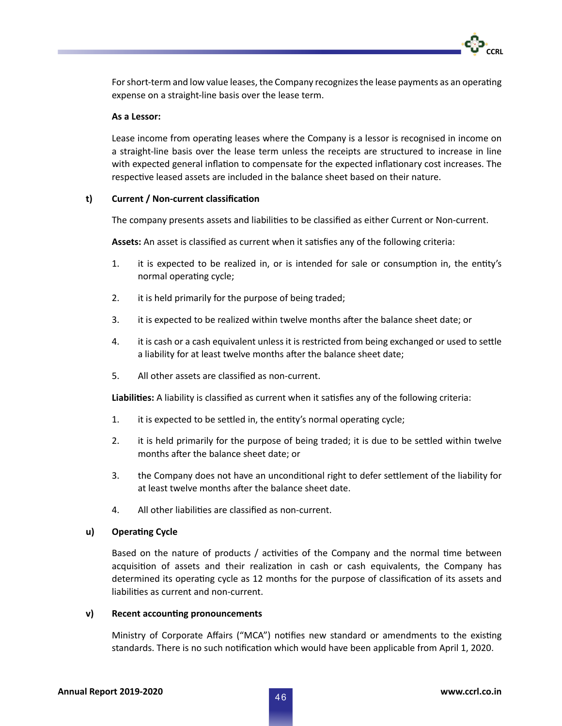For short-term and low value leases, the Company recognizes the lease payments as an operating expense on a straight-line basis over the lease term.

#### **As a Lessor:**

Lease income from operating leases where the Company is a lessor is recognised in income on a straight-line basis over the lease term unless the receipts are structured to increase in line with expected general inflation to compensate for the expected inflationary cost increases. The respective leased assets are included in the balance sheet based on their nature.

### **t) Current / Non-current classification**

The company presents assets and liabilities to be classified as either Current or Non-current.

**Assets:** An asset is classified as current when it satisfies any of the following criteria:

- 1. it is expected to be realized in, or is intended for sale or consumption in, the entity's normal operating cycle;
- 2. it is held primarily for the purpose of being traded;
- 3. it is expected to be realized within twelve months after the balance sheet date; or
- 4. it is cash or a cash equivalent unless it is restricted from being exchanged or used to settle a liability for at least twelve months after the balance sheet date;
- 5. All other assets are classified as non-current.

**Liabilities:** A liability is classified as current when it satisfies any of the following criteria:

- 1. it is expected to be settled in, the entity's normal operating cycle;
- 2. it is held primarily for the purpose of being traded; it is due to be settled within twelve months after the balance sheet date; or
- 3. the Company does not have an unconditional right to defer settlement of the liability for at least twelve months after the balance sheet date.
- 4. All other liabilities are classified as non-current.

#### **u) Operating Cycle**

Based on the nature of products / activities of the Company and the normal time between acquisition of assets and their realization in cash or cash equivalents, the Company has determined its operating cycle as 12 months for the purpose of classification of its assets and liabilities as current and non-current.

#### **v) Recent accounting pronouncements**

Ministry of Corporate Affairs ("MCA") notifies new standard or amendments to the existing standards. There is no such notification which would have been applicable from April 1, 2020.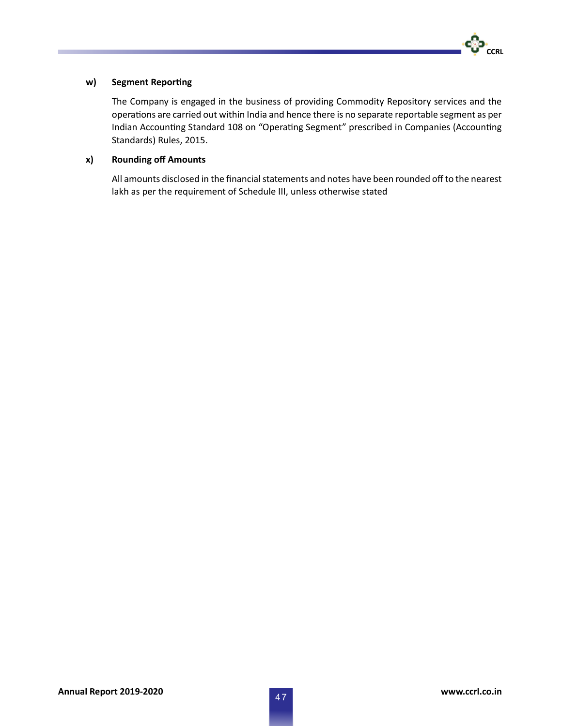

# **w) Segment Reporting**

 The Company is engaged in the business of providing Commodity Repository services and the operations are carried out within India and hence there is no separate reportable segment as per Indian Accounting Standard 108 on "Operating Segment" prescribed in Companies (Accounting Standards) Rules, 2015.

# **x) Rounding off Amounts**

All amounts disclosed in the financial statements and notes have been rounded off to the nearest lakh as per the requirement of Schedule III, unless otherwise stated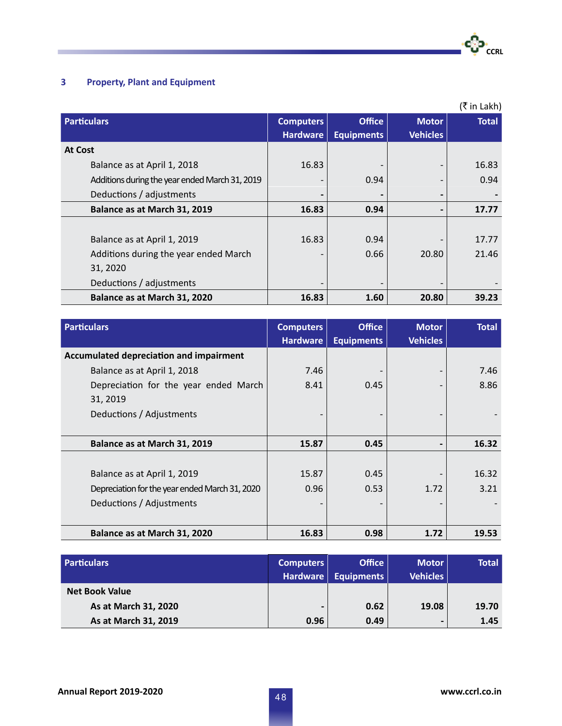# **3 Property, Plant and Equipment**

**COL** 

|                                                |                  |                          |                 | (₹ in Lakh)  |
|------------------------------------------------|------------------|--------------------------|-----------------|--------------|
| <b>Particulars</b>                             | <b>Computers</b> | <b>Office</b>            | <b>Motor</b>    | <b>Total</b> |
|                                                | <b>Hardware</b>  | <b>Equipments</b>        | <b>Vehicles</b> |              |
| <b>At Cost</b>                                 |                  |                          |                 |              |
| Balance as at April 1, 2018                    | 16.83            |                          | ٠               | 16.83        |
| Additions during the year ended March 31, 2019 |                  | 0.94                     |                 | 0.94         |
| Deductions / adjustments                       |                  | $\blacksquare$           | $\blacksquare$  |              |
| Balance as at March 31, 2019                   | 16.83            | 0.94                     | $\blacksquare$  | 17.77        |
|                                                |                  |                          |                 |              |
| Balance as at April 1, 2019                    | 16.83            | 0.94                     |                 | 17.77        |
| Additions during the year ended March          |                  | 0.66                     | 20.80           | 21.46        |
| 31, 2020                                       |                  |                          |                 |              |
| Deductions / adjustments                       | $\qquad \qquad$  | $\overline{\phantom{a}}$ | ٠               |              |
| Balance as at March 31, 2020                   | 16.83            | 1.60                     | 20.80           | 39.23        |

| <b>Particulars</b>                             | <b>Computers</b> | <b>Office</b>     | <b>Motor</b>                 | <b>Total</b> |
|------------------------------------------------|------------------|-------------------|------------------------------|--------------|
|                                                | <b>Hardware</b>  | <b>Equipments</b> | <b>Vehicles</b>              |              |
| Accumulated depreciation and impairment        |                  |                   |                              |              |
| Balance as at April 1, 2018                    | 7.46             |                   | $\overline{\phantom{0}}$     | 7.46         |
| Depreciation for the year ended March          | 8.41             | 0.45              |                              | 8.86         |
| 31, 2019                                       |                  |                   |                              |              |
| Deductions / Adjustments                       |                  |                   |                              |              |
|                                                |                  |                   |                              |              |
| Balance as at March 31, 2019                   | 15.87            | 0.45              | $\qquad \qquad \blacksquare$ | 16.32        |
|                                                |                  |                   |                              |              |
| Balance as at April 1, 2019                    | 15.87            | 0.45              |                              | 16.32        |
| Depreciation for the year ended March 31, 2020 | 0.96             | 0.53              | 1.72                         | 3.21         |
| Deductions / Adjustments                       |                  |                   |                              |              |
|                                                |                  |                   |                              |              |
| Balance as at March 31, 2020                   | 16.83            | 0.98              | 1.72                         | 19.53        |

| <b>Particulars</b>    | Computers  <br>Hardware | <b>Office</b><br>Equipments | <b>Motor</b><br><b>Vehicles</b> | <b>Total</b> |
|-----------------------|-------------------------|-----------------------------|---------------------------------|--------------|
| <b>Net Book Value</b> |                         |                             |                                 |              |
| As at March 31, 2020  | $\blacksquare$          | 0.62                        | 19.08                           | 19.70        |
| As at March 31, 2019  | 0.96                    | 0.49                        | $\blacksquare$                  | 1.45         |

**D**<br>CCRL

.ကိုး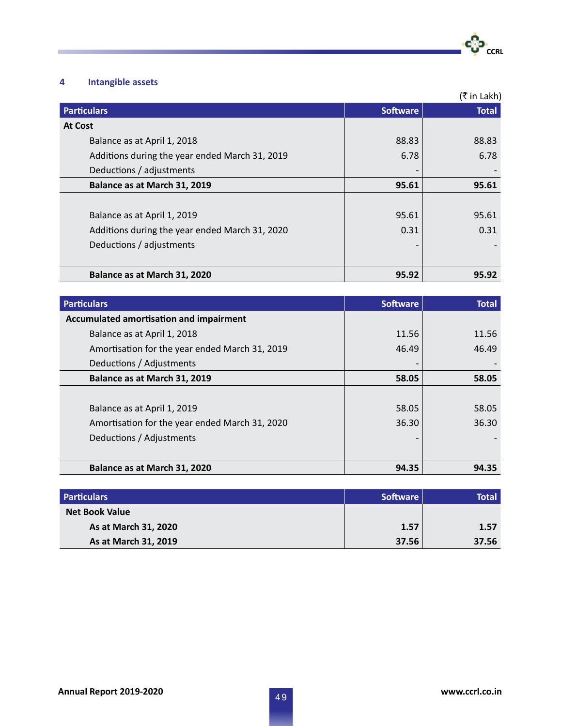

# **4 Intangible assets**

T.

|                                                |                 | (₹ in Lakh)  |
|------------------------------------------------|-----------------|--------------|
| <b>Particulars</b>                             | <b>Software</b> | <b>Total</b> |
| <b>At Cost</b>                                 |                 |              |
| Balance as at April 1, 2018                    | 88.83           | 88.83        |
| Additions during the year ended March 31, 2019 | 6.78            | 6.78         |
| Deductions / adjustments                       |                 |              |
| Balance as at March 31, 2019                   | 95.61           | 95.61        |
|                                                |                 |              |
| Balance as at April 1, 2019                    | 95.61           | 95.61        |
| Additions during the year ended March 31, 2020 | 0.31            | 0.31         |
| Deductions / adjustments                       |                 |              |
|                                                |                 |              |
| Balance as at March 31, 2020                   | 95.92           | 95.92        |

| <b>Particulars</b>                             | <b>Software</b> | <b>Total</b> |
|------------------------------------------------|-----------------|--------------|
| Accumulated amortisation and impairment        |                 |              |
| Balance as at April 1, 2018                    | 11.56           | 11.56        |
| Amortisation for the year ended March 31, 2019 | 46.49           | 46.49        |
| Deductions / Adjustments                       |                 |              |
| Balance as at March 31, 2019                   | 58.05           | 58.05        |
|                                                |                 |              |
| Balance as at April 1, 2019                    | 58.05           | 58.05        |
| Amortisation for the year ended March 31, 2020 | 36.30           | 36.30        |
| Deductions / Adjustments                       |                 |              |
|                                                |                 |              |
| Balance as at March 31, 2020                   | 94.35           | 94.35        |

| <b>Particulars</b>    | Software | Total |
|-----------------------|----------|-------|
| <b>Net Book Value</b> |          |       |
| As at March 31, 2020  | 1.57     | 1.57  |
| As at March 31, 2019  | 37.56    | 37.56 |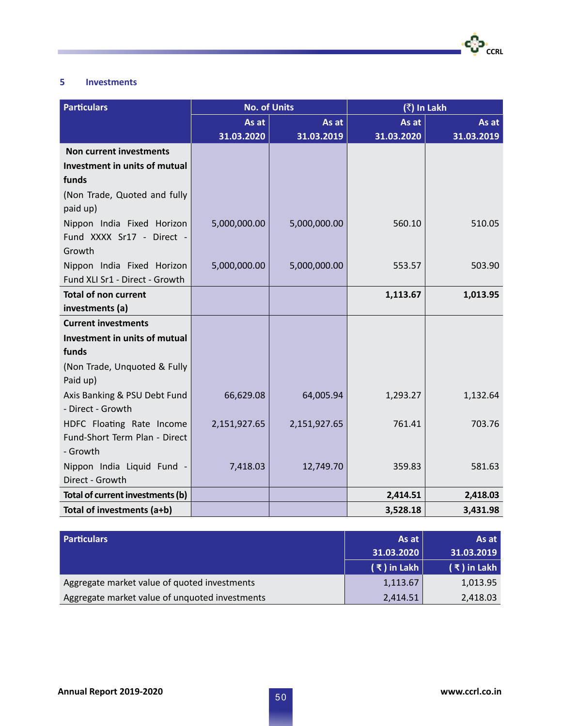# **5 Investments**

**Tara** 

| <b>Particulars</b>               | <b>No. of Units</b> |              | (₹) In Lakh |            |
|----------------------------------|---------------------|--------------|-------------|------------|
|                                  | As at               | As at        | As at       | As at      |
|                                  | 31.03.2020          | 31.03.2019   | 31.03.2020  | 31.03.2019 |
| <b>Non current investments</b>   |                     |              |             |            |
| Investment in units of mutual    |                     |              |             |            |
| funds                            |                     |              |             |            |
| (Non Trade, Quoted and fully     |                     |              |             |            |
| paid up)                         |                     |              |             |            |
| Nippon India Fixed Horizon       | 5,000,000.00        | 5,000,000.00 | 560.10      | 510.05     |
| Fund XXXX Sr17 - Direct -        |                     |              |             |            |
| Growth                           |                     |              |             |            |
| Nippon India Fixed Horizon       | 5,000,000.00        | 5,000,000.00 | 553.57      | 503.90     |
| Fund XLI Sr1 - Direct - Growth   |                     |              |             |            |
| <b>Total of non current</b>      |                     |              | 1,113.67    | 1,013.95   |
| investments (a)                  |                     |              |             |            |
| <b>Current investments</b>       |                     |              |             |            |
| Investment in units of mutual    |                     |              |             |            |
| funds                            |                     |              |             |            |
| (Non Trade, Unquoted & Fully     |                     |              |             |            |
| Paid up)                         |                     |              |             |            |
| Axis Banking & PSU Debt Fund     | 66,629.08           | 64,005.94    | 1,293.27    | 1,132.64   |
| - Direct - Growth                |                     |              |             |            |
| HDFC Floating Rate Income        | 2,151,927.65        | 2,151,927.65 | 761.41      | 703.76     |
| Fund-Short Term Plan - Direct    |                     |              |             |            |
| - Growth                         |                     |              |             |            |
| Nippon India Liquid Fund -       | 7,418.03            | 12,749.70    | 359.83      | 581.63     |
| Direct - Growth                  |                     |              |             |            |
| Total of current investments (b) |                     |              | 2,414.51    | 2,418.03   |
| Total of investments (a+b)       |                     |              | 3,528.18    | 3,431.98   |

| <b>Particulars</b>                             | As at         | As at         |
|------------------------------------------------|---------------|---------------|
|                                                | 31.03.2020    | 31.03.2019    |
|                                                | $(3)$ in Lakh | $(3)$ in Lakh |
| Aggregate market value of quoted investments   | 1,113.67      | 1,013.95      |
| Aggregate market value of unquoted investments | 2,414.51      | 2,418.03      |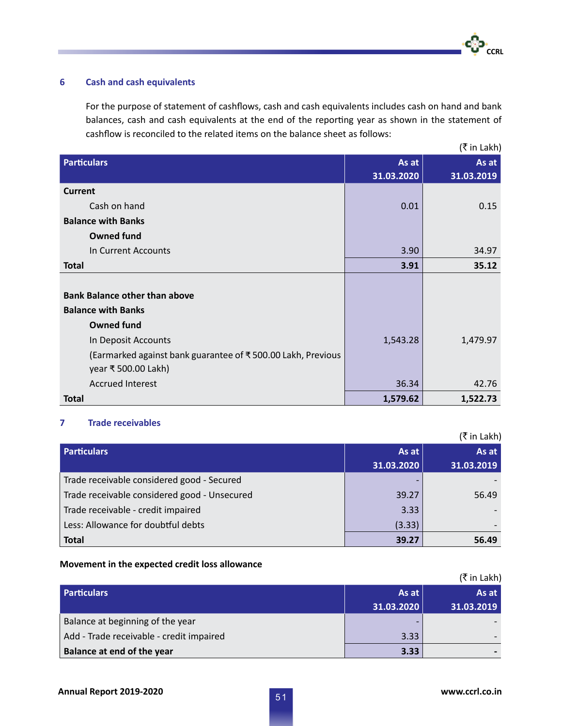# **6 Cash and cash equivalents**

For the purpose of statement of cashflows, cash and cash equivalents includes cash on hand and bank balances, cash and cash equivalents at the end of the reporting year as shown in the statement of cashflow is reconciled to the related items on the balance sheet as follows:

|                                                             |            | (₹ in Lakh) |
|-------------------------------------------------------------|------------|-------------|
| <b>Particulars</b>                                          | As at      | As at       |
|                                                             | 31.03.2020 | 31.03.2019  |
| <b>Current</b>                                              |            |             |
| Cash on hand                                                | 0.01       | 0.15        |
| <b>Balance with Banks</b>                                   |            |             |
| <b>Owned fund</b>                                           |            |             |
| In Current Accounts                                         | 3.90       | 34.97       |
| <b>Total</b>                                                | 3.91       | 35.12       |
|                                                             |            |             |
| <b>Bank Balance other than above</b>                        |            |             |
| <b>Balance with Banks</b>                                   |            |             |
| <b>Owned fund</b>                                           |            |             |
| In Deposit Accounts                                         | 1,543.28   | 1,479.97    |
| (Earmarked against bank guarantee of ₹500.00 Lakh, Previous |            |             |
| year ₹ 500.00 Lakh)                                         |            |             |
| <b>Accrued Interest</b>                                     | 36.34      | 42.76       |
| <b>Total</b>                                                | 1,579.62   | 1,522.73    |

## **7 Trade receivables**

|                                              |            | (₹in Lakh) |
|----------------------------------------------|------------|------------|
| <b>Particulars</b>                           | As at      | As at      |
|                                              | 31.03.2020 | 31.03.2019 |
| Trade receivable considered good - Secured   |            |            |
| Trade receivable considered good - Unsecured | 39.27      | 56.49      |
| Trade receivable - credit impaired           | 3.33       |            |
| Less: Allowance for doubtful debts           | (3.33)     |            |
| <b>Total</b>                                 | 39.27      | 56.49      |

## **Movement in the expected credit loss allowance**

|                                          |            | (₹ in Lakh) |
|------------------------------------------|------------|-------------|
| <b>Particulars</b>                       | As at      | As at       |
|                                          | 31.03.2020 | 31.03.2019  |
| Balance at beginning of the year         | -          |             |
| Add - Trade receivable - credit impaired | 3.33       |             |
| <b>Balance at end of the year</b>        | 3.33       |             |

<u>CCRL</u>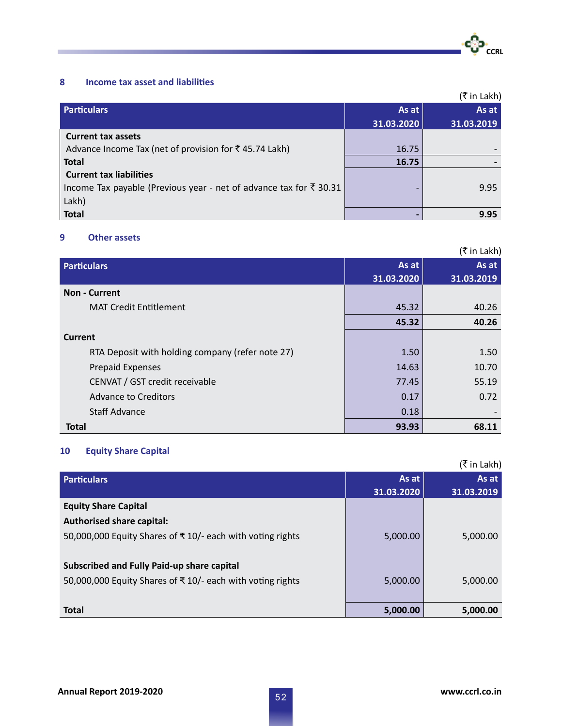# **8 Income tax asset and liabilities**

|                                                                               |            | (₹in Lakh) |
|-------------------------------------------------------------------------------|------------|------------|
| <b>Particulars</b>                                                            | As at      | As at      |
|                                                                               | 31.03.2020 | 31.03.2019 |
| <b>Current tax assets</b>                                                     |            |            |
| Advance Income Tax (net of provision for ₹45.74 Lakh)                         | 16.75      |            |
| <b>Total</b>                                                                  | 16.75      |            |
| <b>Current tax liabilities</b>                                                |            |            |
| Income Tax payable (Previous year - net of advance tax for $\bar{\tau}$ 30.31 |            | 9.95       |
| Lakh)                                                                         |            |            |
| <b>Total</b>                                                                  |            | 9.95       |

# **9 Other assets**

**College** 

| (₹ in Lakh)                                      |            |            |  |
|--------------------------------------------------|------------|------------|--|
| <b>Particulars</b>                               | As at      | As at      |  |
|                                                  | 31.03.2020 | 31.03.2019 |  |
| <b>Non - Current</b>                             |            |            |  |
| <b>MAT Credit Entitlement</b>                    | 45.32      | 40.26      |  |
|                                                  | 45.32      | 40.26      |  |
| Current                                          |            |            |  |
| RTA Deposit with holding company (refer note 27) | 1.50       | 1.50       |  |
| <b>Prepaid Expenses</b>                          | 14.63      | 10.70      |  |
| CENVAT / GST credit receivable                   | 77.45      | 55.19      |  |
| Advance to Creditors                             | 0.17       | 0.72       |  |
| Staff Advance                                    | 0.18       |            |  |
| <b>Total</b>                                     | 93.93      | 68.11      |  |

# **10 Equity Share Capital**

|                                                           |            | (₹ in Lakh) |
|-----------------------------------------------------------|------------|-------------|
| <b>Particulars</b>                                        | As at      | As at       |
|                                                           | 31.03.2020 | 31.03.2019  |
| <b>Equity Share Capital</b>                               |            |             |
| <b>Authorised share capital:</b>                          |            |             |
| 50,000,000 Equity Shares of ₹10/- each with voting rights | 5,000.00   | 5,000.00    |
|                                                           |            |             |
| Subscribed and Fully Paid-up share capital                |            |             |
| 50,000,000 Equity Shares of ₹10/- each with voting rights | 5,000.00   | 5,000.00    |
|                                                           |            |             |
| <b>Total</b>                                              | 5,000.00   | 5,000.00    |

**CCRL** 

-60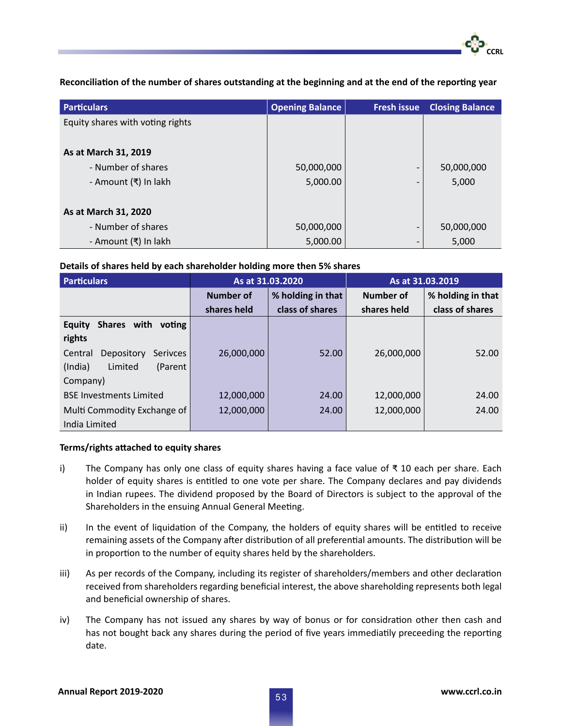**Reconciliation of the number of shares outstanding at the beginning and at the end of the reporting year**

| <b>Particulars</b>               | <b>Opening Balance</b> | <b>Fresh issue</b>       | <b>Closing Balance</b> |
|----------------------------------|------------------------|--------------------------|------------------------|
| Equity shares with voting rights |                        |                          |                        |
|                                  |                        |                          |                        |
| As at March 31, 2019             |                        |                          |                        |
| - Number of shares               | 50,000,000             |                          | 50,000,000             |
| - Amount (₹) In lakh             | 5,000.00               |                          | 5,000                  |
|                                  |                        |                          |                        |
| As at March 31, 2020             |                        |                          |                        |
| - Number of shares               | 50,000,000             | $\overline{\phantom{a}}$ | 50,000,000             |
| - Amount (₹) In lakh             | 5,000.00               |                          | 5,000                  |

# **Details of shares held by each shareholder holding more then 5% shares**

| <b>Particulars</b>                       | As at 31.03.2020               |                 |             | As at 31.03.2019  |       |
|------------------------------------------|--------------------------------|-----------------|-------------|-------------------|-------|
|                                          | % holding in that<br>Number of |                 | Number of   | % holding in that |       |
|                                          | shares held                    | class of shares | shares held | class of shares   |       |
| Shares with voting<br><b>Equity</b>      |                                |                 |             |                   |       |
| rights                                   |                                |                 |             |                   |       |
| Depository<br>Central<br><b>Serivces</b> | 26,000,000                     | 52.00           | 26,000,000  | 52.00             |       |
| Limited<br>(India)<br>(Parent)           |                                |                 |             |                   |       |
| Company)                                 |                                |                 |             |                   |       |
| <b>BSE Investments Limited</b>           | 12,000,000                     | 24.00           | 12,000,000  | 24.00             |       |
| Multi Commodity Exchange of              | 12,000,000                     |                 | 24.00       | 12,000,000        | 24.00 |
| India Limited                            |                                |                 |             |                   |       |

### **Terms/rights attached to equity shares**

- i) The Company has only one class of equity shares having a face value of ₹ 10 each per share. Each holder of equity shares is entitled to one vote per share. The Company declares and pay dividends in Indian rupees. The dividend proposed by the Board of Directors is subject to the approval of the Shareholders in the ensuing Annual General Meeting.
- ii) In the event of liquidation of the Company, the holders of equity shares will be entitled to receive remaining assets of the Company after distribution of all preferential amounts. The distribution will be in proportion to the number of equity shares held by the shareholders.
- iii) As per records of the Company, including its register of shareholders/members and other declaration received from shareholders regarding beneficial interest, the above shareholding represents both legal and beneficial ownership of shares.
- iv) The Company has not issued any shares by way of bonus or for considration other then cash and has not bought back any shares during the period of five years immediatily preceeding the reporting date.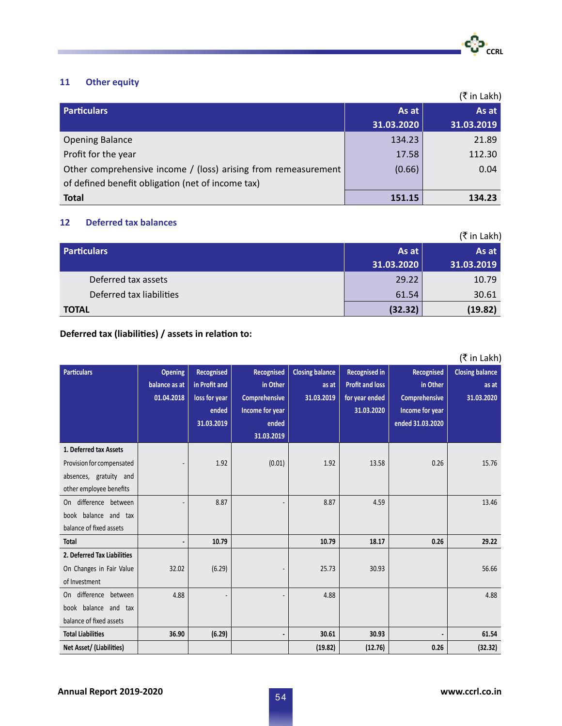

# **11 Other equity**

|                                                                |            | (₹in Lakh) |
|----------------------------------------------------------------|------------|------------|
| <b>Particulars</b>                                             | As at      | As at      |
|                                                                | 31.03.2020 | 31.03.2019 |
| <b>Opening Balance</b>                                         | 134.23     | 21.89      |
| Profit for the year                                            | 17.58      | 112.30     |
| Other comprehensive income / (loss) arising from remeasurement | (0.66)     | 0.04       |
| of defined benefit obligation (net of income tax)              |            |            |
| <b>Total</b>                                                   | 151.15     | 134.23     |

# **12 Deferred tax balances**

|                          |            | (₹ in Lakh) |
|--------------------------|------------|-------------|
| <b>Particulars</b>       | As at      | As at       |
|                          | 31.03.2020 | 31.03.2019  |
| Deferred tax assets      | 29.22      | 10.79       |
| Deferred tax liabilities | 61.54      | 30.61       |
| <b>TOTAL</b>             | (32.32)    | (19.82)     |

# **Deferred tax (liabilities) / assets in relation to:**

| <b>Particulars</b>          | <b>Opening</b> | Recognised    | Recognised      | <b>Closing balance</b> | <b>Recognised in</b>   | Recognised           | (₹ in Lakh)<br><b>Closing balance</b> |
|-----------------------------|----------------|---------------|-----------------|------------------------|------------------------|----------------------|---------------------------------------|
|                             | balance as at  | in Profit and | in Other        | as at                  | <b>Profit and loss</b> | in Other             | as at                                 |
|                             | 01.04.2018     | loss for year | Comprehensive   | 31.03.2019             | for year ended         | <b>Comprehensive</b> | 31.03.2020                            |
|                             |                | ended         | Income for year |                        | 31.03.2020             | Income for year      |                                       |
|                             |                | 31.03.2019    | ended           |                        |                        | ended 31.03.2020     |                                       |
|                             |                |               | 31.03.2019      |                        |                        |                      |                                       |
|                             |                |               |                 |                        |                        |                      |                                       |
| 1. Deferred tax Assets      |                |               |                 |                        |                        |                      |                                       |
| Provision for compensated   |                | 1.92          | (0.01)          | 1.92                   | 13.58                  | 0.26                 | 15.76                                 |
| absences, gratuity and      |                |               |                 |                        |                        |                      |                                       |
| other employee benefits     |                |               |                 |                        |                        |                      |                                       |
| difference between<br>On    |                | 8.87          |                 | 8.87                   | 4.59                   |                      | 13.46                                 |
| book balance and tax        |                |               |                 |                        |                        |                      |                                       |
| balance of fixed assets     |                |               |                 |                        |                        |                      |                                       |
| <b>Total</b>                |                | 10.79         |                 | 10.79                  | 18.17                  | 0.26                 | 29.22                                 |
| 2. Deferred Tax Liabilities |                |               |                 |                        |                        |                      |                                       |
| On Changes in Fair Value    | 32.02          | (6.29)        |                 | 25.73                  | 30.93                  |                      | 56.66                                 |
| of Investment               |                |               |                 |                        |                        |                      |                                       |
| difference between<br>On    | 4.88           |               |                 | 4.88                   |                        |                      | 4.88                                  |
| book balance and tax        |                |               |                 |                        |                        |                      |                                       |
| balance of fixed assets     |                |               |                 |                        |                        |                      |                                       |
| <b>Total Liabilities</b>    | 36.90          | (6.29)        |                 | 30.61                  | 30.93                  |                      | 61.54                                 |
| Net Asset/ (Liabilities)    |                |               |                 | (19.82)                | (12.76)                | 0.26                 | (32.32)                               |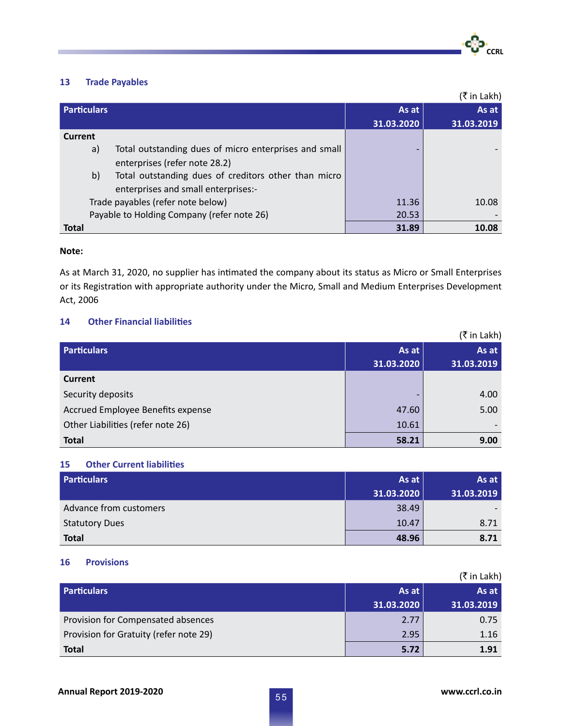

# **13 Trade Payables**

|                                                             |            | (₹ in Lakh) |
|-------------------------------------------------------------|------------|-------------|
| <b>Particulars</b>                                          | As at      | As at       |
|                                                             | 31.03.2020 | 31.03.2019  |
| Current                                                     |            |             |
| Total outstanding dues of micro enterprises and small<br>a) |            |             |
| enterprises (refer note 28.2)                               |            |             |
| b)<br>Total outstanding dues of creditors other than micro  |            |             |
| enterprises and small enterprises:-                         |            |             |
| Trade payables (refer note below)                           | 11.36      | 10.08       |
| Payable to Holding Company (refer note 26)                  | 20.53      |             |
| <b>Total</b>                                                | 31.89      | 10.08       |

### **Note:**

As at March 31, 2020, no supplier has intimated the company about its status as Micro or Small Enterprises or its Registration with appropriate authority under the Micro, Small and Medium Enterprises Development Act, 2006

# **14 Other Financial liabilities**

|                                   |                          | (₹in Lakh) |
|-----------------------------------|--------------------------|------------|
| <b>Particulars</b>                | As at                    | As at      |
|                                   | 31.03.2020               | 31.03.2019 |
| <b>Current</b>                    |                          |            |
| Security deposits                 | $\overline{\phantom{0}}$ | 4.00       |
| Accrued Employee Benefits expense | 47.60                    | 5.00       |
| Other Liabilities (refer note 26) | 10.61                    |            |
| <b>Total</b>                      | 58.21                    | 9.00       |

## **15 Other Current liabilities**

| <b>Particulars</b>     | As at      | As at      |
|------------------------|------------|------------|
|                        | 31.03.2020 | 31.03.2019 |
| Advance from customers | 38.49      |            |
| <b>Statutory Dues</b>  | 10.47      | 8.71       |
| <b>Total</b>           | 48.96      | 8.71       |

### **16 Provisions**

|                                        |            | (₹ in Lakh) |
|----------------------------------------|------------|-------------|
| <b>Particulars</b>                     | As at      | As at       |
|                                        | 31.03.2020 | 31.03.2019  |
| Provision for Compensated absences     | 2.77       | 0.75        |
| Provision for Gratuity (refer note 29) | 2.95       | 1.16        |
| <b>Total</b>                           | 5.72       | 1.91        |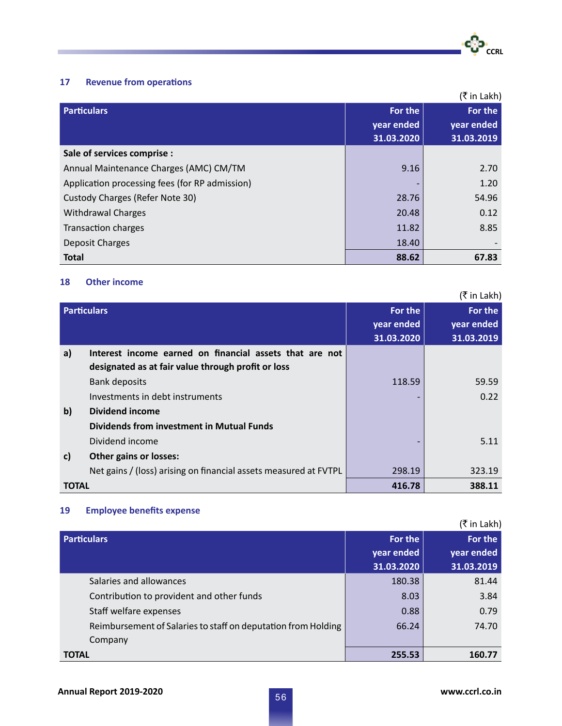

# **17 Revenue from operations**

|                                                |                                     | (₹ in Lakh)                         |
|------------------------------------------------|-------------------------------------|-------------------------------------|
| <b>Particulars</b>                             | For the<br>year ended<br>31.03.2020 | For the<br>year ended<br>31.03.2019 |
| Sale of services comprise :                    |                                     |                                     |
| Annual Maintenance Charges (AMC) CM/TM         | 9.16                                | 2.70                                |
| Application processing fees (for RP admission) |                                     | 1.20                                |
| Custody Charges (Refer Note 30)                | 28.76                               | 54.96                               |
| <b>Withdrawal Charges</b>                      | 20.48                               | 0.12                                |
| <b>Transaction charges</b>                     | 11.82                               | 8.85                                |
| Deposit Charges                                | 18.40                               |                                     |
| <b>Total</b>                                   | 88.62                               | 67.83                               |

# **18 Other income**

|              |                                                                  |            | (₹ in Lakh) |
|--------------|------------------------------------------------------------------|------------|-------------|
|              | <b>Particulars</b>                                               | For the    | For the     |
|              |                                                                  | year ended | year ended  |
|              |                                                                  | 31.03.2020 | 31.03.2019  |
| a)           | Interest income earned on financial assets that are not          |            |             |
|              | designated as at fair value through profit or loss               |            |             |
|              | <b>Bank deposits</b>                                             | 118.59     | 59.59       |
|              | Investments in debt instruments                                  |            | 0.22        |
| $\mathbf{b}$ | <b>Dividend income</b>                                           |            |             |
|              | <b>Dividends from investment in Mutual Funds</b>                 |            |             |
|              | Dividend income                                                  |            | 5.11        |
| c)           | <b>Other gains or losses:</b>                                    |            |             |
|              | Net gains / (loss) arising on financial assets measured at FVTPL | 298.19     | 323.19      |
| <b>TOTAL</b> |                                                                  | 416.78     | 388.11      |

# **19 Employee benefits expense**

| (₹ in Lakh)                                                   |            |            |  |
|---------------------------------------------------------------|------------|------------|--|
| <b>Particulars</b>                                            | For the    | For the    |  |
|                                                               | year ended | year ended |  |
|                                                               | 31.03.2020 | 31.03.2019 |  |
| Salaries and allowances                                       | 180.38     | 81.44      |  |
| Contribution to provident and other funds                     | 8.03       | 3.84       |  |
| Staff welfare expenses                                        | 0.88       | 0.79       |  |
| Reimbursement of Salaries to staff on deputation from Holding | 66.24      | 74.70      |  |
| Company                                                       |            |            |  |
| <b>TOTAL</b>                                                  | 255.53     | 160.77     |  |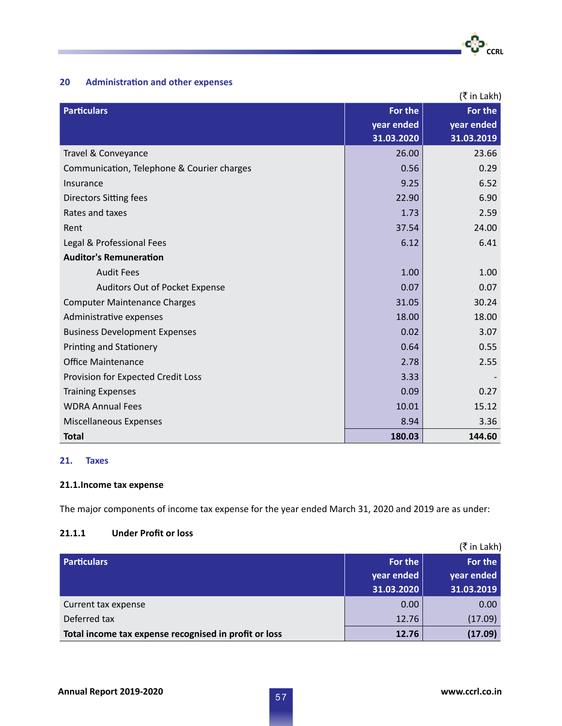

# **20 Administration and other expenses**

| (₹ in Lakh)                                |            |            |  |
|--------------------------------------------|------------|------------|--|
| <b>Particulars</b>                         | For the    | For the    |  |
|                                            | year ended | year ended |  |
|                                            | 31.03.2020 | 31.03.2019 |  |
| Travel & Conveyance                        | 26.00      | 23.66      |  |
| Communication, Telephone & Courier charges | 0.56       | 0.29       |  |
| Insurance                                  | 9.25       | 6.52       |  |
| <b>Directors Sitting fees</b>              | 22.90      | 6.90       |  |
| Rates and taxes                            | 1.73       | 2.59       |  |
| Rent                                       | 37.54      | 24.00      |  |
| Legal & Professional Fees                  | 6.12       | 6.41       |  |
| <b>Auditor's Remuneration</b>              |            |            |  |
| <b>Audit Fees</b>                          | 1.00       | 1.00       |  |
| Auditors Out of Pocket Expense             | 0.07       | 0.07       |  |
| <b>Computer Maintenance Charges</b>        | 31.05      | 30.24      |  |
| Administrative expenses                    | 18.00      | 18.00      |  |
| <b>Business Development Expenses</b>       | 0.02       | 3.07       |  |
| <b>Printing and Stationery</b>             | 0.64       | 0.55       |  |
| <b>Office Maintenance</b>                  | 2.78       | 2.55       |  |
| Provision for Expected Credit Loss         | 3.33       |            |  |
| <b>Training Expenses</b>                   | 0.09       | 0.27       |  |
| <b>WDRA Annual Fees</b>                    | 10.01      | 15.12      |  |
| Miscellaneous Expenses                     | 8.94       | 3.36       |  |
| <b>Total</b>                               | 180.03     | 144.60     |  |

# **21. Taxes**

# **21.1.Income tax expense**

The major components of income tax expense for the year ended March 31, 2020 and 2019 are as under:

# **21.1.1 Under Profit or loss**

|                                                       |            | (₹ in Lakh) |
|-------------------------------------------------------|------------|-------------|
| <b>Particulars</b>                                    | For the    | For the     |
|                                                       | year ended | year ended  |
|                                                       | 31.03.2020 | 31.03.2019  |
| Current tax expense                                   | 0.00       | 0.00        |
| Deferred tax                                          | 12.76      | (17.09)     |
| Total income tax expense recognised in profit or loss | 12.76      | (17.09)     |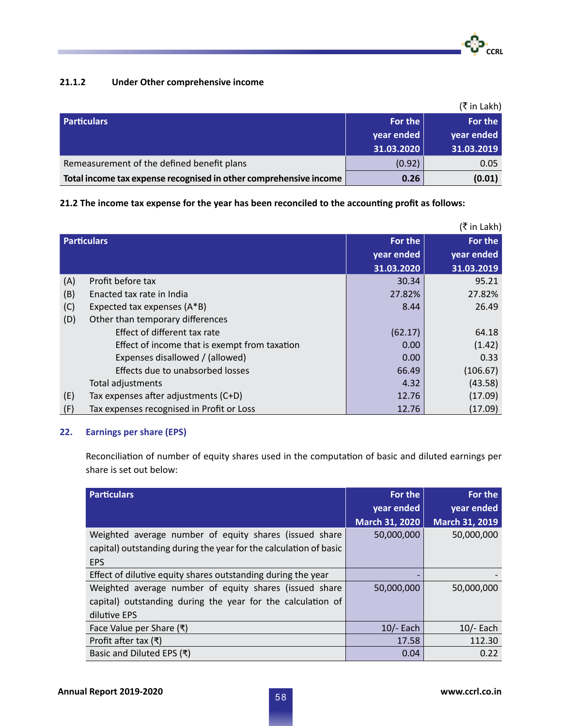

# **21.1.2 Under Other comprehensive income**

|                                                                   |            | (₹ in Lakh) |
|-------------------------------------------------------------------|------------|-------------|
| <b>Particulars</b>                                                | For the    | For the     |
|                                                                   | year ended | year ended  |
|                                                                   | 31.03.2020 | 31.03.2019  |
| Remeasurement of the defined benefit plans                        | (0.92)     | 0.05        |
| Total income tax expense recognised in other comprehensive income | 0.26       | (0.01)      |

**21.2 The income tax expense for the year has been reconciled to the accounting profit as follows:**

|     | (₹ in Lakh)                                   |            |            |  |
|-----|-----------------------------------------------|------------|------------|--|
|     | <b>Particulars</b>                            | For the    | For the    |  |
|     |                                               | year ended | year ended |  |
|     |                                               | 31.03.2020 | 31.03.2019 |  |
| (A) | Profit before tax                             | 30.34      | 95.21      |  |
| (B) | Enacted tax rate in India                     | 27.82%     | 27.82%     |  |
| (C) | Expected tax expenses (A*B)                   | 8.44       | 26.49      |  |
| (D) | Other than temporary differences              |            |            |  |
|     | Effect of different tax rate                  | (62.17)    | 64.18      |  |
|     | Effect of income that is exempt from taxation | 0.00       | (1.42)     |  |
|     | Expenses disallowed / (allowed)               | 0.00       | 0.33       |  |
|     | Effects due to unabsorbed losses              | 66.49      | (106.67)   |  |
|     | Total adjustments                             | 4.32       | (43.58)    |  |
| (E) | Tax expenses after adjustments (C+D)          | 12.76      | (17.09)    |  |
| (F) | Tax expenses recognised in Profit or Loss     | 12.76      | (17.09)    |  |

# **22. Earnings per share (EPS)**

Reconciliation of number of equity shares used in the computation of basic and diluted earnings per share is set out below:

| <b>Particulars</b>                                                | For the               | For the               |
|-------------------------------------------------------------------|-----------------------|-----------------------|
|                                                                   | year ended            | year ended            |
|                                                                   | <b>March 31, 2020</b> | <b>March 31, 2019</b> |
| Weighted average number of equity shares (issued share            | 50,000,000            | 50,000,000            |
| capital) outstanding during the year for the calculation of basic |                       |                       |
| <b>EPS</b>                                                        |                       |                       |
| Effect of dilutive equity shares outstanding during the year      |                       |                       |
| Weighted average number of equity shares (issued share            | 50,000,000            | 50,000,000            |
| capital) outstanding during the year for the calculation of       |                       |                       |
| dilutive EPS                                                      |                       |                       |
| Face Value per Share (₹)                                          | $10/-$ Each           | $10/-$ Each           |
| Profit after tax $($ ₹)                                           | 17.58                 | 112.30                |
| Basic and Diluted EPS (₹)                                         | 0.04                  | 0.22                  |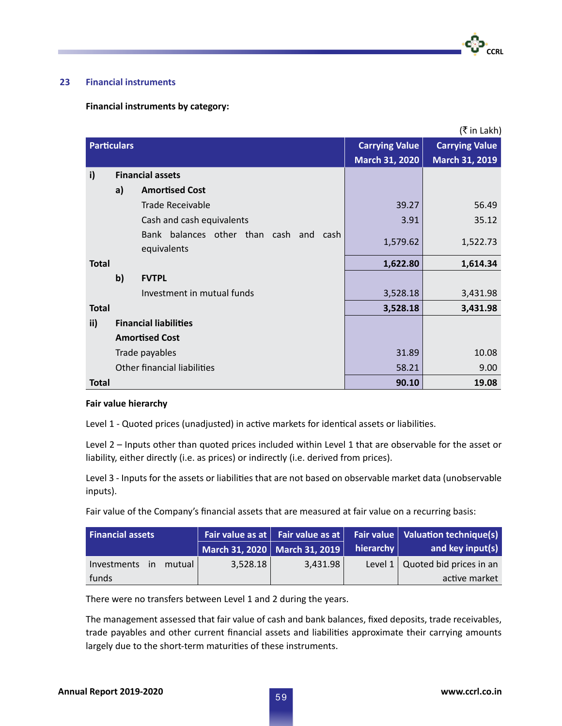# **23 Financial instruments**

### **Financial instruments by category:**

|                    |              |                                                          |                       | (₹ in Lakh)           |
|--------------------|--------------|----------------------------------------------------------|-----------------------|-----------------------|
| <b>Particulars</b> |              |                                                          | <b>Carrying Value</b> | <b>Carrying Value</b> |
|                    |              |                                                          | <b>March 31, 2020</b> | March 31, 2019        |
| i)                 |              | <b>Financial assets</b>                                  |                       |                       |
|                    | a)           | <b>Amortised Cost</b>                                    |                       |                       |
|                    |              | <b>Trade Receivable</b>                                  | 39.27                 | 56.49                 |
|                    |              | Cash and cash equivalents                                | 3.91                  | 35.12                 |
|                    |              | Bank balances other than cash and<br>cash<br>equivalents | 1,579.62              | 1,522.73              |
| <b>Total</b>       |              |                                                          | 1,622.80              | 1,614.34              |
|                    | $\mathbf{b}$ | <b>FVTPL</b>                                             |                       |                       |
|                    |              | Investment in mutual funds                               | 3,528.18              | 3,431.98              |
| <b>Total</b>       |              |                                                          | 3,528.18              | 3,431.98              |
| $\mathbf{ii}$      |              | <b>Financial liabilities</b>                             |                       |                       |
|                    |              | <b>Amortised Cost</b>                                    |                       |                       |
|                    |              | Trade payables                                           | 31.89                 | 10.08                 |
|                    |              | <b>Other financial liabilities</b>                       | 58.21                 | 9.00                  |
| <b>Total</b>       |              |                                                          | 90.10                 | 19.08                 |

#### **Fair value hierarchy**

Level 1 - Quoted prices (unadjusted) in active markets for identical assets or liabilities.

Level 2 – Inputs other than quoted prices included within Level 1 that are observable for the asset or liability, either directly (i.e. as prices) or indirectly (i.e. derived from prices).

Level 3 - Inputs for the assets or liabilities that are not based on observable market data (unobservable inputs).

Fair value of the Company's financial assets that are measured at fair value on a recurring basis:

| <b>Financial assets</b>  |          |                               |               | Fair value as at $\vert$ Fair value as at $\vert$ Fair value $\vert$ Valuation technique(s) |
|--------------------------|----------|-------------------------------|---------------|---------------------------------------------------------------------------------------------|
|                          |          | March 31, 2020 March 31, 2019 | hierarchy $ $ | and key input(s)                                                                            |
| mutual<br>Investments in | 3,528.18 | 3.431.98                      |               | Level $1 \mid$ Quoted bid prices in an                                                      |
| funds                    |          |                               |               | active market                                                                               |

There were no transfers between Level 1 and 2 during the years.

The management assessed that fair value of cash and bank balances, fixed deposits, trade receivables, trade payables and other current financial assets and liabilities approximate their carrying amounts largely due to the short-term maturities of these instruments.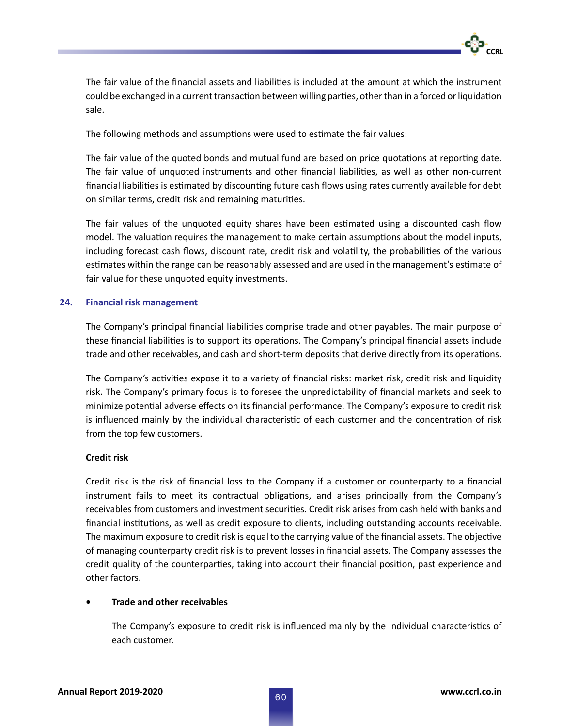

The fair value of the financial assets and liabilities is included at the amount at which the instrument could be exchanged in a current transaction between willing parties, other than in a forced or liquidation sale.

The following methods and assumptions were used to estimate the fair values:

The fair value of the quoted bonds and mutual fund are based on price quotations at reporting date. The fair value of unquoted instruments and other financial liabilities, as well as other non-current financial liabilities is estimated by discounting future cash flows using rates currently available for debt on similar terms, credit risk and remaining maturities.

The fair values of the unquoted equity shares have been estimated using a discounted cash flow model. The valuation requires the management to make certain assumptions about the model inputs, including forecast cash flows, discount rate, credit risk and volatility, the probabilities of the various estimates within the range can be reasonably assessed and are used in the management's estimate of fair value for these unquoted equity investments.

# **24. Financial risk management**

The Company's principal financial liabilities comprise trade and other payables. The main purpose of these financial liabilities is to support its operations. The Company's principal financial assets include trade and other receivables, and cash and short-term deposits that derive directly from its operations.

The Company's activities expose it to a variety of financial risks: market risk, credit risk and liquidity risk. The Company's primary focus is to foresee the unpredictability of financial markets and seek to minimize potential adverse effects on its financial performance. The Company's exposure to credit risk is influenced mainly by the individual characteristic of each customer and the concentration of risk from the top few customers.

### **Credit risk**

Credit risk is the risk of financial loss to the Company if a customer or counterparty to a financial instrument fails to meet its contractual obligations, and arises principally from the Company's receivables from customers and investment securities. Credit risk arises from cash held with banks and financial institutions, as well as credit exposure to clients, including outstanding accounts receivable. The maximum exposure to credit risk is equal to the carrying value of the financial assets. The objective of managing counterparty credit risk is to prevent losses in financial assets. The Company assesses the credit quality of the counterparties, taking into account their financial position, past experience and other factors.

# **• Trade and other receivables**

The Company's exposure to credit risk is influenced mainly by the individual characteristics of each customer.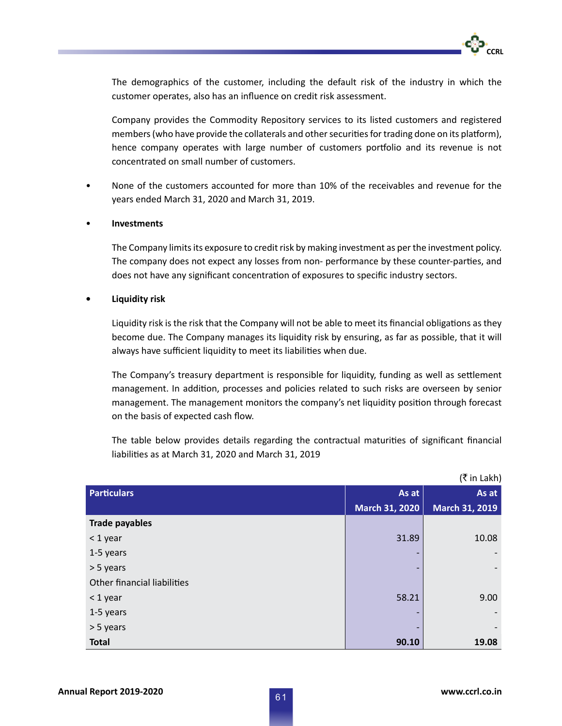

 The demographics of the customer, including the default risk of the industry in which the customer operates, also has an influence on credit risk assessment.

 Company provides the Commodity Repository services to its listed customers and registered members (who have provide the collaterals and other securities for trading done on its platform), hence company operates with large number of customers portfolio and its revenue is not concentrated on small number of customers.

• None of the customers accounted for more than 10% of the receivables and revenue for the years ended March 31, 2020 and March 31, 2019.

# • **Investments**

 The Company limits its exposure to credit risk by making investment as per the investment policy. The company does not expect any losses from non- performance by these counter-parties, and does not have any significant concentration of exposures to specific industry sectors.

# **• Liquidity risk**

Liquidity risk is the risk that the Company will not be able to meet its financial obligations as they become due. The Company manages its liquidity risk by ensuring, as far as possible, that it will always have sufficient liquidity to meet its liabilities when due.

The Company's treasury department is responsible for liquidity, funding as well as settlement management. In addition, processes and policies related to such risks are overseen by senior management. The management monitors the company's net liquidity position through forecast on the basis of expected cash flow.

The table below provides details regarding the contractual maturities of significant financial liabilities as at March 31, 2020 and March 31, 2019

|                             |                          | (₹ in Lakh)           |
|-----------------------------|--------------------------|-----------------------|
| <b>Particulars</b>          | As at                    | As at                 |
|                             | <b>March 31, 2020</b>    | <b>March 31, 2019</b> |
| <b>Trade payables</b>       |                          |                       |
| $<$ 1 year                  | 31.89                    | 10.08                 |
| 1-5 years                   |                          |                       |
| > 5 years                   |                          |                       |
| Other financial liabilities |                          |                       |
| $<$ 1 year                  | 58.21                    | 9.00                  |
| 1-5 years                   |                          |                       |
| > 5 years                   | $\overline{\phantom{0}}$ |                       |
| <b>Total</b>                | 90.10                    | 19.08                 |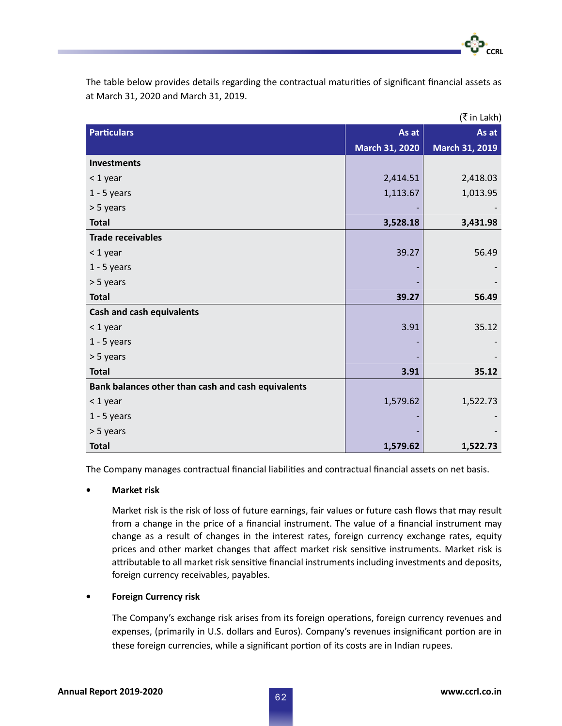The table below provides details regarding the contractual maturities of significant financial assets as at March 31, 2020 and March 31, 2019.

| (₹ in Lakh)                                        |                       |                |  |  |
|----------------------------------------------------|-----------------------|----------------|--|--|
| <b>Particulars</b>                                 | As at                 | As at          |  |  |
|                                                    | <b>March 31, 2020</b> | March 31, 2019 |  |  |
| <b>Investments</b>                                 |                       |                |  |  |
| < 1 year                                           | 2,414.51              | 2,418.03       |  |  |
| $1 - 5$ years                                      | 1,113.67              | 1,013.95       |  |  |
| > 5 years                                          |                       |                |  |  |
| <b>Total</b>                                       | 3,528.18              | 3,431.98       |  |  |
| <b>Trade receivables</b>                           |                       |                |  |  |
| < 1 year                                           | 39.27                 | 56.49          |  |  |
| $1 - 5$ years                                      |                       |                |  |  |
| > 5 years                                          |                       |                |  |  |
| <b>Total</b>                                       | 39.27                 | 56.49          |  |  |
| <b>Cash and cash equivalents</b>                   |                       |                |  |  |
| < 1 year                                           | 3.91                  | 35.12          |  |  |
| $1 - 5$ years                                      |                       |                |  |  |
| > 5 years                                          |                       |                |  |  |
| <b>Total</b>                                       | 3.91                  | 35.12          |  |  |
| Bank balances other than cash and cash equivalents |                       |                |  |  |
| < 1 year                                           | 1,579.62              | 1,522.73       |  |  |
| $1 - 5$ years                                      |                       |                |  |  |
| > 5 years                                          |                       |                |  |  |
| <b>Total</b>                                       | 1,579.62              | 1,522.73       |  |  |

The Company manages contractual financial liabilities and contractual financial assets on net basis.

**• Market risk**

Market risk is the risk of loss of future earnings, fair values or future cash flows that may result from a change in the price of a financial instrument. The value of a financial instrument may change as a result of changes in the interest rates, foreign currency exchange rates, equity prices and other market changes that affect market risk sensitive instruments. Market risk is attributable to all market risk sensitive financial instruments including investments and deposits, foreign currency receivables, payables.

### **• Foreign Currency risk**

The Company's exchange risk arises from its foreign operations, foreign currency revenues and expenses, (primarily in U.S. dollars and Euros). Company's revenues insignificant portion are in these foreign currencies, while a significant portion of its costs are in Indian rupees.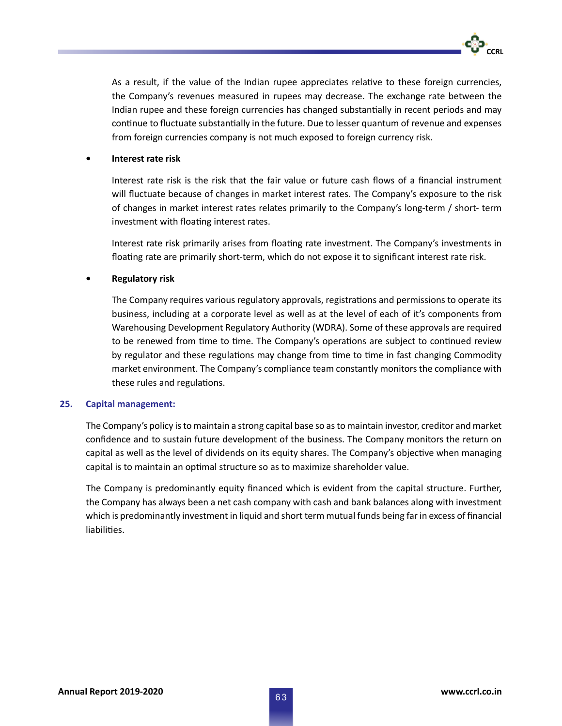As a result, if the value of the Indian rupee appreciates relative to these foreign currencies, the Company's revenues measured in rupees may decrease. The exchange rate between the Indian rupee and these foreign currencies has changed substantially in recent periods and may continue to fluctuate substantially in the future. Due to lesser quantum of revenue and expenses from foreign currencies company is not much exposed to foreign currency risk.

### **• Interest rate risk**

Interest rate risk is the risk that the fair value or future cash flows of a financial instrument will fluctuate because of changes in market interest rates. The Company's exposure to the risk of changes in market interest rates relates primarily to the Company's long-term / short- term investment with floating interest rates.

Interest rate risk primarily arises from floating rate investment. The Company's investments in floating rate are primarily short-term, which do not expose it to significant interest rate risk.

### **• Regulatory risk**

The Company requires various regulatory approvals, registrations and permissions to operate its business, including at a corporate level as well as at the level of each of it's components from Warehousing Development Regulatory Authority (WDRA). Some of these approvals are required to be renewed from time to time. The Company's operations are subject to continued review by regulator and these regulations may change from time to time in fast changing Commodity market environment. The Company's compliance team constantly monitors the compliance with these rules and regulations.

### **25. Capital management:**

The Company's policy is to maintain a strong capital base so as to maintain investor, creditor and market confidence and to sustain future development of the business. The Company monitors the return on capital as well as the level of dividends on its equity shares. The Company's objective when managing capital is to maintain an optimal structure so as to maximize shareholder value.

The Company is predominantly equity financed which is evident from the capital structure. Further, the Company has always been a net cash company with cash and bank balances along with investment which is predominantly investment in liquid and short term mutual funds being far in excess of financial liabilities.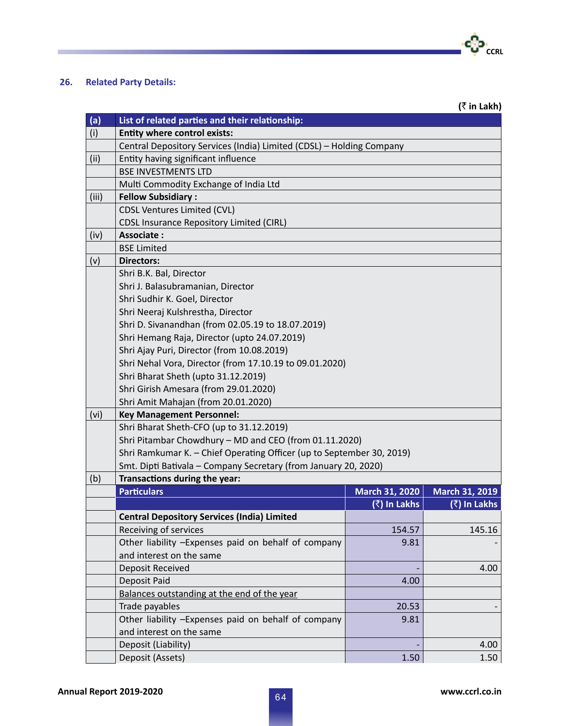**26. Related Party Details:**

T.

|                                       |                                                                       |                | (₹ in Lakh)                              |  |  |  |  |
|---------------------------------------|-----------------------------------------------------------------------|----------------|------------------------------------------|--|--|--|--|
| (a)                                   | List of related parties and their relationship:                       |                |                                          |  |  |  |  |
| (i)                                   | <b>Entity where control exists:</b>                                   |                |                                          |  |  |  |  |
|                                       | Central Depository Services (India) Limited (CDSL) - Holding Company  |                |                                          |  |  |  |  |
| (ii)                                  | Entity having significant influence                                   |                |                                          |  |  |  |  |
|                                       | <b>BSE INVESTMENTS LTD</b>                                            |                |                                          |  |  |  |  |
| Multi Commodity Exchange of India Ltd |                                                                       |                |                                          |  |  |  |  |
| (iii)                                 | <b>Fellow Subsidiary:</b>                                             |                |                                          |  |  |  |  |
|                                       | <b>CDSL Ventures Limited (CVL)</b>                                    |                |                                          |  |  |  |  |
|                                       | <b>CDSL Insurance Repository Limited (CIRL)</b>                       |                |                                          |  |  |  |  |
| (iv)                                  | <b>Associate:</b>                                                     |                |                                          |  |  |  |  |
|                                       | <b>BSE Limited</b>                                                    |                |                                          |  |  |  |  |
| (v)                                   | <b>Directors:</b>                                                     |                |                                          |  |  |  |  |
|                                       | Shri B.K. Bal, Director                                               |                |                                          |  |  |  |  |
|                                       | Shri J. Balasubramanian, Director                                     |                |                                          |  |  |  |  |
|                                       | Shri Sudhir K. Goel, Director                                         |                |                                          |  |  |  |  |
|                                       | Shri Neeraj Kulshrestha, Director                                     |                |                                          |  |  |  |  |
|                                       | Shri D. Sivanandhan (from 02.05.19 to 18.07.2019)                     |                |                                          |  |  |  |  |
|                                       | Shri Hemang Raja, Director (upto 24.07.2019)                          |                |                                          |  |  |  |  |
|                                       | Shri Ajay Puri, Director (from 10.08.2019)                            |                |                                          |  |  |  |  |
|                                       | Shri Nehal Vora, Director (from 17.10.19 to 09.01.2020)               |                |                                          |  |  |  |  |
|                                       | Shri Bharat Sheth (upto 31.12.2019)                                   |                |                                          |  |  |  |  |
|                                       | Shri Girish Amesara (from 29.01.2020)                                 |                |                                          |  |  |  |  |
|                                       | Shri Amit Mahajan (from 20.01.2020)                                   |                |                                          |  |  |  |  |
| (vi)                                  | <b>Key Management Personnel:</b>                                      |                |                                          |  |  |  |  |
|                                       | Shri Bharat Sheth-CFO (up to 31.12.2019)                              |                |                                          |  |  |  |  |
|                                       | Shri Pitambar Chowdhury - MD and CEO (from 01.11.2020)                |                |                                          |  |  |  |  |
|                                       | Shri Ramkumar K. - Chief Operating Officer (up to September 30, 2019) |                |                                          |  |  |  |  |
|                                       | Smt. Dipti Bativala - Company Secretary (from January 20, 2020)       |                |                                          |  |  |  |  |
| (b)                                   | Transactions during the year:                                         |                |                                          |  |  |  |  |
|                                       | <b>Particulars</b>                                                    | March 31, 2020 | <b>March 31, 2019</b>                    |  |  |  |  |
|                                       |                                                                       | (रै) In Lakhs  | $\overline{(\overline{\zeta})}$ In Lakhs |  |  |  |  |
|                                       | <b>Central Depository Services (India) Limited</b>                    |                |                                          |  |  |  |  |
|                                       | Receiving of services                                                 | 154.57         | 145.16                                   |  |  |  |  |
|                                       | Other liability -Expenses paid on behalf of company                   | 9.81           |                                          |  |  |  |  |
|                                       | and interest on the same                                              |                |                                          |  |  |  |  |
|                                       | Deposit Received                                                      |                | 4.00                                     |  |  |  |  |
|                                       | Deposit Paid                                                          | 4.00           |                                          |  |  |  |  |
|                                       | Balances outstanding at the end of the year                           |                |                                          |  |  |  |  |
|                                       | Trade payables                                                        | 20.53          |                                          |  |  |  |  |
|                                       | Other liability -Expenses paid on behalf of company                   | 9.81           |                                          |  |  |  |  |
|                                       | and interest on the same                                              |                |                                          |  |  |  |  |
|                                       | Deposit (Liability)                                                   |                | 4.00                                     |  |  |  |  |
|                                       | Deposit (Assets)                                                      | 1.50           | 1.50                                     |  |  |  |  |

•**င**္ပြဲ၁•<br>cc<sub>RL</sub>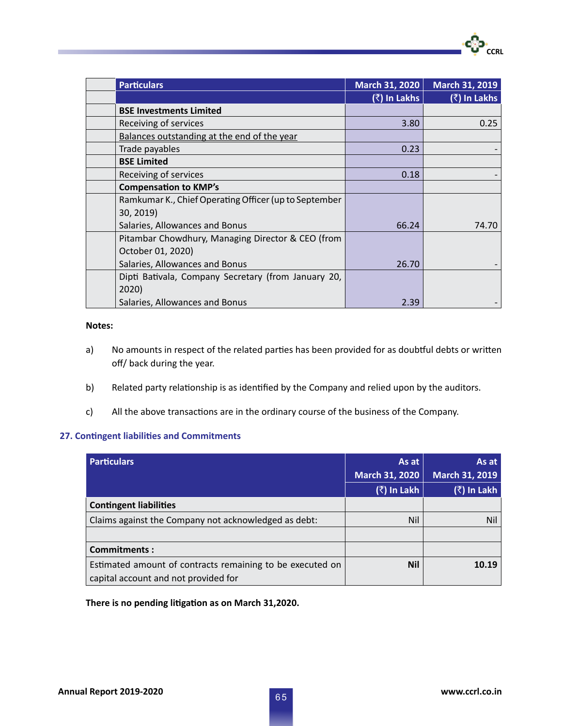| <b>Particulars</b>                                    | March 31, 2020 | March 31, 2019 |
|-------------------------------------------------------|----------------|----------------|
|                                                       | (₹) In Lakhs   | (₹) In Lakhs   |
| <b>BSE Investments Limited</b>                        |                |                |
| Receiving of services                                 | 3.80           | 0.25           |
| Balances outstanding at the end of the year           |                |                |
| Trade payables                                        | 0.23           |                |
| <b>BSE Limited</b>                                    |                |                |
| Receiving of services                                 | 0.18           |                |
| <b>Compensation to KMP's</b>                          |                |                |
| Ramkumar K., Chief Operating Officer (up to September |                |                |
| 30, 2019)                                             |                |                |
| Salaries, Allowances and Bonus                        | 66.24          | 74.70          |
| Pitambar Chowdhury, Managing Director & CEO (from     |                |                |
| October 01, 2020)                                     |                |                |
| Salaries, Allowances and Bonus                        | 26.70          |                |
| Dipti Bativala, Company Secretary (from January 20,   |                |                |
| 2020)                                                 |                |                |
| Salaries, Allowances and Bonus                        | 2.39           |                |

## **Notes:**

- a) No amounts in respect of the related parties has been provided for as doubtful debts or written off/ back during the year.
- b) Related party relationship is as identified by the Company and relied upon by the auditors.
- c) All the above transactions are in the ordinary course of the business of the Company.

# **27. Contingent liabilities and Commitments**

| <b>Particulars</b>                                        | As at                 | As at          |
|-----------------------------------------------------------|-----------------------|----------------|
|                                                           | <b>March 31, 2020</b> | March 31, 2019 |
|                                                           | (₹) In Lakh           | (₹) In Lakh    |
| <b>Contingent liabilities</b>                             |                       |                |
| Claims against the Company not acknowledged as debt:      | Nil                   | Nil            |
|                                                           |                       |                |
| <b>Commitments:</b>                                       |                       |                |
| Estimated amount of contracts remaining to be executed on | <b>Nil</b>            | 10.19          |
| capital account and not provided for                      |                       |                |

# **There is no pending litigation as on March 31,2020.**

<u>CCRL</u>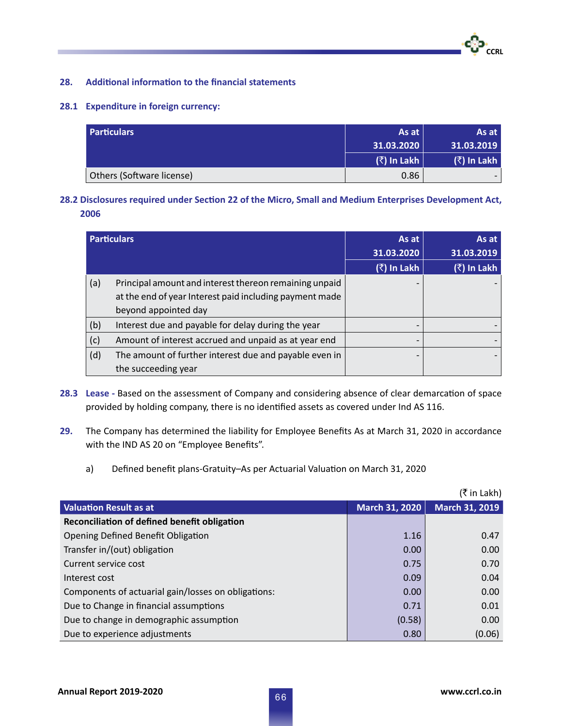# **28. Additional information to the financial statements**

### **28.1 Expenditure in foreign currency:**

| <b>Particulars</b>        | As at       | As at $ $   |
|---------------------------|-------------|-------------|
|                           | 31.03.2020  | 31.03.2019  |
|                           | (₹) In Lakh | (₹) In Lakh |
| Others (Software license) | 0.86        |             |

# **28.2 Disclosures required under Section 22 of the Micro, Small and Medium Enterprises Development Act, 2006**

| <b>Particulars</b> |                                                         | As at       | As at       |
|--------------------|---------------------------------------------------------|-------------|-------------|
|                    |                                                         | 31.03.2020  | 31.03.2019  |
|                    |                                                         | (₹) In Lakh | (₹) In Lakh |
| (a)                | Principal amount and interest thereon remaining unpaid  |             |             |
|                    | at the end of year Interest paid including payment made |             |             |
|                    | beyond appointed day                                    |             |             |
| (b)                | Interest due and payable for delay during the year      |             |             |
| (c)                | Amount of interest accrued and unpaid as at year end    |             |             |
| (d)                | The amount of further interest due and payable even in  |             |             |
|                    | the succeeding year                                     |             |             |

- **28.3 Lease** Based on the assessment of Company and considering absence of clear demarcation of space provided by holding company, there is no identified assets as covered under Ind AS 116.
- **29.** The Company has determined the liability for Employee Benefits As at March 31, 2020 in accordance with the IND AS 20 on "Employee Benefits".
	- a) Defined benefit plans-Gratuity–As per Actuarial Valuation on March 31, 2020

|                                                     |                       | (₹ in Lakh)    |
|-----------------------------------------------------|-----------------------|----------------|
| <b>Valuation Result as at</b>                       | <b>March 31, 2020</b> | March 31, 2019 |
| Reconciliation of defined benefit obligation        |                       |                |
| Opening Defined Benefit Obligation                  | 1.16                  | 0.47           |
| Transfer in/(out) obligation                        | 0.00                  | 0.00           |
| Current service cost                                | 0.75                  | 0.70           |
| Interest cost                                       | 0.09                  | 0.04           |
| Components of actuarial gain/losses on obligations: | 0.00                  | 0.00           |
| Due to Change in financial assumptions              | 0.71                  | 0.01           |
| Due to change in demographic assumption             | (0.58)                | 0.00           |
| Due to experience adjustments                       | 0.80                  | (0.06)         |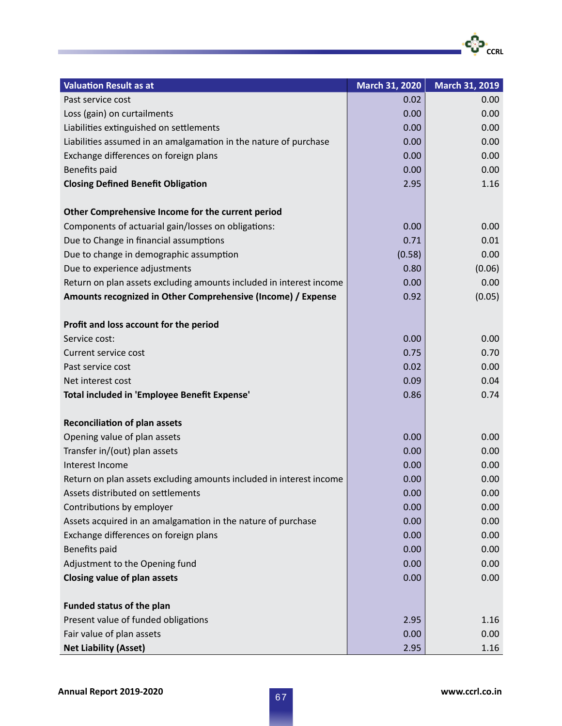| <b>Valuation Result as at</b>                                       | <b>March 31, 2020</b> | March 31, 2019 |
|---------------------------------------------------------------------|-----------------------|----------------|
| Past service cost                                                   | 0.02                  | 0.00           |
| Loss (gain) on curtailments                                         | 0.00                  | 0.00           |
| Liabilities extinguished on settlements                             | 0.00                  | 0.00           |
| Liabilities assumed in an amalgamation in the nature of purchase    | 0.00                  | 0.00           |
| Exchange differences on foreign plans                               | 0.00                  | 0.00           |
| Benefits paid                                                       | 0.00                  | 0.00           |
| <b>Closing Defined Benefit Obligation</b>                           | 2.95                  | 1.16           |
| Other Comprehensive Income for the current period                   |                       |                |
| Components of actuarial gain/losses on obligations:                 | 0.00                  | 0.00           |
| Due to Change in financial assumptions                              | 0.71                  | 0.01           |
| Due to change in demographic assumption                             | (0.58)                | 0.00           |
| Due to experience adjustments                                       | 0.80                  | (0.06)         |
| Return on plan assets excluding amounts included in interest income | 0.00                  | 0.00           |
| Amounts recognized in Other Comprehensive (Income) / Expense        | 0.92                  | (0.05)         |
|                                                                     |                       |                |
| Profit and loss account for the period                              |                       |                |
| Service cost:                                                       | 0.00                  | 0.00           |
| Current service cost                                                | 0.75                  | 0.70           |
| Past service cost                                                   | 0.02                  | 0.00           |
| Net interest cost                                                   | 0.09                  | 0.04           |
| Total included in 'Employee Benefit Expense'                        | 0.86                  | 0.74           |
| <b>Reconciliation of plan assets</b>                                |                       |                |
| Opening value of plan assets                                        | 0.00                  | 0.00           |
| Transfer in/(out) plan assets                                       | 0.00                  | 0.00           |
| Interest Income                                                     | 0.00                  | 0.00           |
| Return on plan assets excluding amounts included in interest income | 0.00                  | 0.00           |
| Assets distributed on settlements                                   | 0.00                  | 0.00           |
| Contributions by employer                                           | 0.00                  | 0.00           |
| Assets acquired in an amalgamation in the nature of purchase        | 0.00                  | 0.00           |
| Exchange differences on foreign plans                               | 0.00                  | 0.00           |
| Benefits paid                                                       | 0.00                  | 0.00           |
| Adjustment to the Opening fund                                      | 0.00                  | 0.00           |
| <b>Closing value of plan assets</b>                                 | 0.00                  | 0.00           |
| Funded status of the plan                                           |                       |                |
| Present value of funded obligations                                 | 2.95                  | 1.16           |
| Fair value of plan assets                                           | 0.00                  | 0.00           |
| <b>Net Liability (Asset)</b>                                        | 2.95                  | 1.16           |

·င</sub>္ပြာ<br>C<sub>CCRL</sub>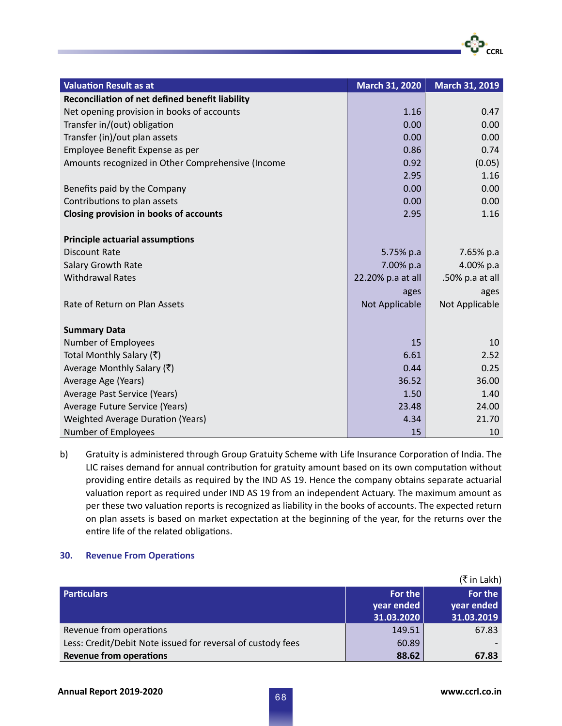| <b>Valuation Result as at</b>                     | March 31, 2020    | <b>March 31, 2019</b> |
|---------------------------------------------------|-------------------|-----------------------|
| Reconciliation of net defined benefit liability   |                   |                       |
| Net opening provision in books of accounts        | 1.16              | 0.47                  |
| Transfer in/(out) obligation                      | 0.00              | 0.00                  |
| Transfer (in)/out plan assets                     | 0.00              | 0.00                  |
| Employee Benefit Expense as per                   | 0.86              | 0.74                  |
| Amounts recognized in Other Comprehensive (Income | 0.92              | (0.05)                |
|                                                   | 2.95              | 1.16                  |
| Benefits paid by the Company                      | 0.00              | 0.00                  |
| Contributions to plan assets                      | 0.00              | 0.00                  |
| <b>Closing provision in books of accounts</b>     | 2.95              | 1.16                  |
|                                                   |                   |                       |
| <b>Principle actuarial assumptions</b>            |                   |                       |
| <b>Discount Rate</b>                              | 5.75% p.a         | 7.65% p.a             |
| Salary Growth Rate                                | 7.00% p.a         | 4.00% p.a             |
| <b>Withdrawal Rates</b>                           | 22.20% p.a at all | .50% p.a at all       |
|                                                   | ages              | ages                  |
| Rate of Return on Plan Assets                     | Not Applicable    | Not Applicable        |
|                                                   |                   |                       |
| <b>Summary Data</b>                               |                   |                       |
| <b>Number of Employees</b>                        | 15                | 10                    |
| Total Monthly Salary (₹)                          | 6.61              | 2.52                  |
| Average Monthly Salary $(\bar{\zeta})$            | 0.44              | 0.25                  |
| Average Age (Years)                               | 36.52             | 36.00                 |
| Average Past Service (Years)                      | 1.50              | 1.40                  |
| Average Future Service (Years)                    | 23.48             | 24.00                 |
| Weighted Average Duration (Years)                 | 4.34              | 21.70                 |
| Number of Employees                               | 15                | 10                    |

b) Gratuity is administered through Group Gratuity Scheme with Life Insurance Corporation of India. The LIC raises demand for annual contribution for gratuity amount based on its own computation without providing entire details as required by the IND AS 19. Hence the company obtains separate actuarial valuation report as required under IND AS 19 from an independent Actuary. The maximum amount as per these two valuation reports is recognized as liability in the books of accounts. The expected return on plan assets is based on market expectation at the beginning of the year, for the returns over the entire life of the related obligations.

# **30. Revenue From Operations**

|                                                             |                          | (₹ in Lakh)              |
|-------------------------------------------------------------|--------------------------|--------------------------|
| <b>Particulars</b>                                          | For the                  | For the                  |
|                                                             | year ended<br>31.03.2020 | year ended<br>31.03.2019 |
| Revenue from operations                                     | 149.51                   | 67.83                    |
| Less: Credit/Debit Note issued for reversal of custody fees | 60.89                    |                          |
| <b>Revenue from operations</b>                              | 88.62                    | 67.83                    |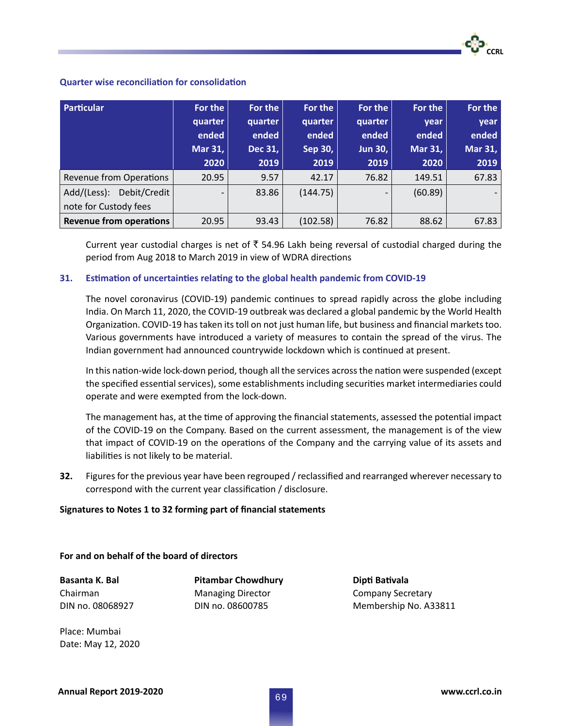## **Quarter wise reconciliation for consolidation**

| Particular                     | For the                  | For the | For the  | For the                  | For the | For the |
|--------------------------------|--------------------------|---------|----------|--------------------------|---------|---------|
|                                | quarter                  | quarter | quarter  | quarter                  | year    | year    |
|                                | ended                    | ended   | ended    | ended                    | ended   | ended   |
|                                | Mar 31,                  | Dec 31, | Sep 30,  | <b>Jun 30,</b>           | Mar 31, | Mar 31, |
|                                | 2020                     | 2019    | 2019     | 2019                     | 2020    | 2019    |
| <b>Revenue from Operations</b> | 20.95                    | 9.57    | 42.17    | 76.82                    | 149.51  | 67.83   |
| Add/(Less): Debit/Credit       | $\overline{\phantom{0}}$ | 83.86   | (144.75) | $\overline{\phantom{0}}$ | (60.89) |         |
| note for Custody fees          |                          |         |          |                          |         |         |
| <b>Revenue from operations</b> | 20.95                    | 93.43   | (102.58) | 76.82                    | 88.62   | 67.83   |

Current year custodial charges is net of  $\bar{\tau}$  54.96 Lakh being reversal of custodial charged during the period from Aug 2018 to March 2019 in view of WDRA directions

# **31. Estimation of uncertainties relating to the global health pandemic from COVID-19**

The novel coronavirus (COVID-19) pandemic continues to spread rapidly across the globe including India. On March 11, 2020, the COVID-19 outbreak was declared a global pandemic by the World Health Organization. COVID-19 has taken its toll on not just human life, but business and financial markets too. Various governments have introduced a variety of measures to contain the spread of the virus. The Indian government had announced countrywide lockdown which is continued at present.

In this nation-wide lock-down period, though all the services across the nation were suspended (except the specified essential services), some establishments including securities market intermediaries could operate and were exempted from the lock-down.

The management has, at the time of approving the financial statements, assessed the potential impact of the COVID-19 on the Company. Based on the current assessment, the management is of the view that impact of COVID-19 on the operations of the Company and the carrying value of its assets and liabilities is not likely to be material.

**32.** Figures for the previous year have been regrouped / reclassified and rearranged wherever necessary to correspond with the current year classification / disclosure.

### **Signatures to Notes 1 to 32 forming part of financial statements**

### **For and on behalf of the board of directors**

**Basanta K. Bal Pitambar Chowdhury Dipti Bativala**

Chairman Managing Director Company Secretary

DIN no. 08068927 DIN no. 08600785 Membership No. A33811

Place: Mumbai Date: May 12, 2020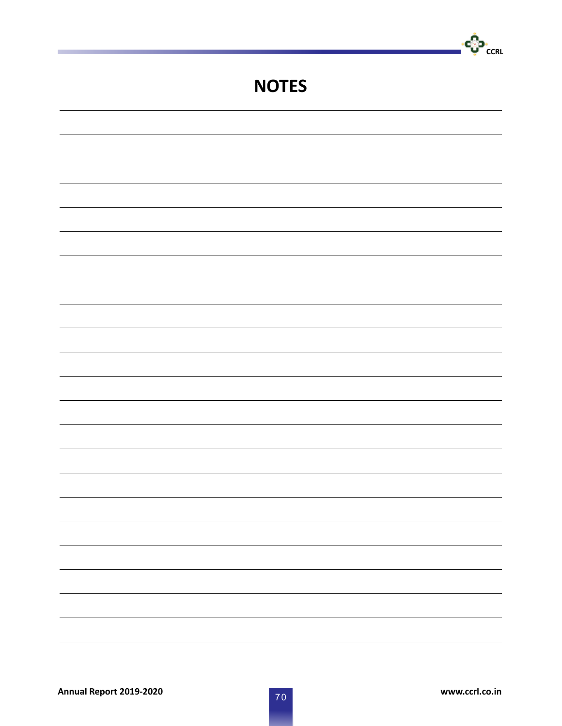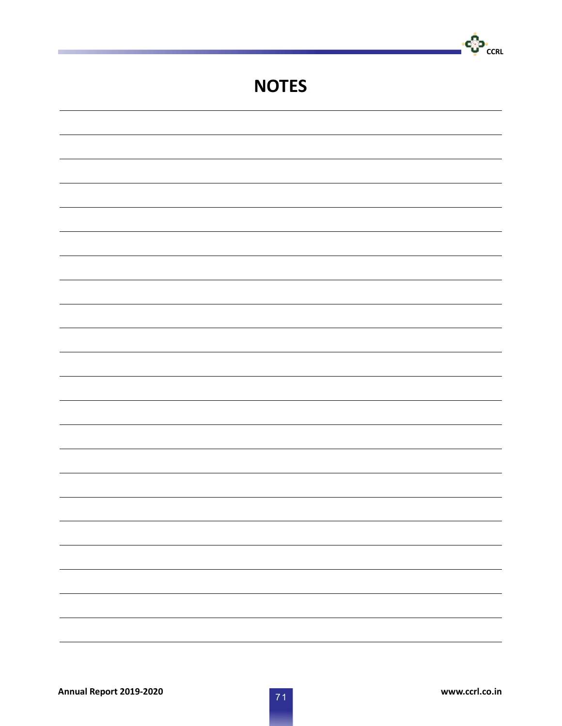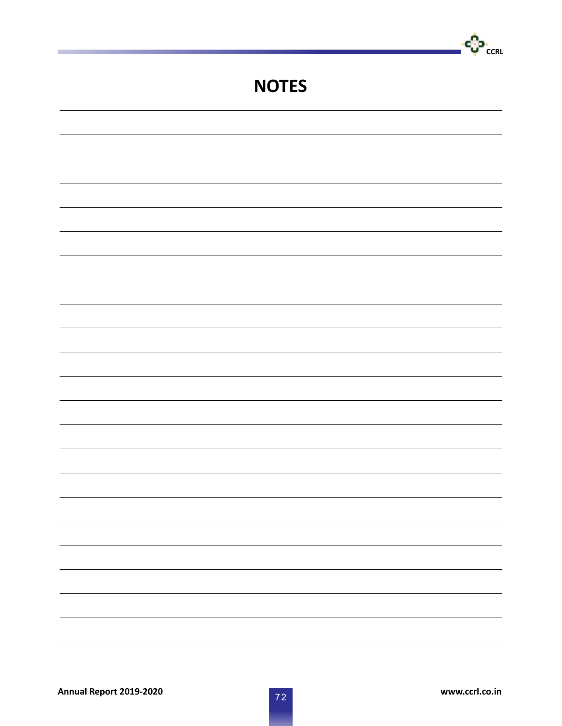